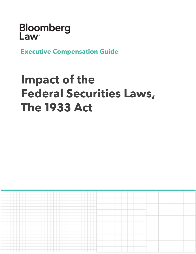# Bloomberg<br>Law

**Executive Compensation Guide**

## **Impact of the Federal Securities Laws, The 1933 Act**

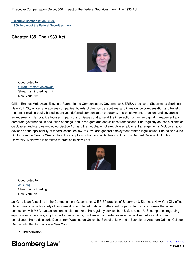**[Executive Compensation Guide](javascript:jumpToTOCSource() [800. Impact of the Federal Securities Laws](javascript:jumpToTOCSource()**

#### **Chapter 135. The 1933 Act**



Contributed by: [Gillian Emmett Moldowan](https://www.shearman.com/people/m/moldowan-gillian-emmett) Shearman & Sterling LLP New York, NY

Gillian Emmett Moldowan, Esq., is a Partner in the Compensation, Governance & ERISA practice of Shearman & Sterling's New York City office. She advises companies, boards of directors, executives, and investors on compensation and benefit matters, including equity-based incentives, deferred compensation programs, and employment, retention, and severance arrangements. Her practice focuses in particular on issues that arise at the intersection of human capital management and corporate governance, in securities offerings, and in mergers and acquisitions transactions. She regularly counsels clients on disclosure, trading rules (including Section 16), and the negotiation of executive employment arrangements. Moldowan also advises on the applicability of federal securities law, tax law, and general employment-related legal issues. She holds a Juris Doctor from the George Washington University Law School and a Bachelor of Arts from Barnard College, Columbia University. Moldowan is admitted to practice in New York.



Contributed by: [Jai Garg](https://www.shearman.com/people/g/garg-jai) Shearman & Sterling LLP New York, NY

Jai Garg is an Associate in the Compensation, Governance & ERISA practice of Shearman & Sterling's New York City office. He focuses on a wide variety of compensation and benefit-related matters, with a particular focus on issues that arise in connection with M&A transactions and capital markets. He regularly advises both U.S. and non-U.S. companies regarding equity-based incentives, employment arrangements, disclosure, corporate governance, and securities and tax law compliance. He holds a Juris Doctor from Washington University School of Law and a Bachelor of Arts from Grinnell College. Garg is admitted to practice in New York.

**.10 Introduction** —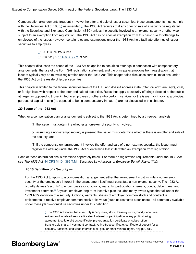Compensation arrangements frequently involve the offer and sale of issuer securities; these arrangements must comply with the Securities Act of [1](#page-2-0)933,<sup>1</sup> as amended.<sup>[2](#page-2-1)</sup> The 1933 Act requires that any offer or sale of a security be registered with the Securities and Exchange Commission (SEC) unless the security involved is an exempt security or otherwise subject to an exemption from registration. The 1933 Act has no special exemption from this basic rule for offerings to employees of the issuer; however, certain rules and exemptions under the 1933 Act help facilitate offerings of issuer securities to employees.

> <span id="page-2-3"></span><span id="page-2-2"></span><span id="page-2-1"></span><span id="page-2-0"></span>**[1](#page-2-2)** 15 U.S.C. ch. 2A, subch. I. **[2](#page-2-3)** 1933 Act § 5, [15 U.S.C. § 77e](https://www.bloomberglaw.com/product/bec/document/1?citation=15%20USC%2077e&summary=yes#jcite) *et seq*.

This chapter discusses the scope of the 1933 Act as applied to securities offerings in connection with compensatory arrangements, the use of the Form S-8 registration statement, and the principal exemptions from registration that issuers typically rely on to avoid registration under the 1933 Act. This chapter also discusses certain limitations under the 1933 Act on the resale of issuer securities.

This chapter is limited to the federal securities laws of the U.S. and doesn't address state (often called "Blue Sky"), local, or foreign laws with respect to the offer and sale of securities. Rules that apply to security offerings directed at the public at large (as opposed to those limited to employees or others who perform services for the issuer), or involving a principal purpose of capital raising (as opposed to being compensatory in nature) are not discussed in this chapter.

#### **.20 Scope of the 1933 Act** —

Whether a compensation plan or arrangement is subject to the 1933 Act is determined by a three-part analysis:

(1) the issuer must determine whether a non-exempt security is involved;

(2) assuming a non-exempt security is present, the issuer must determine whether there is an offer and sale of the security; and

(3) if the compensatory arrangement involves the offer and sale of a non-exempt security, the issuer must register the offering under the 1933 Act or determine that it fits within an exemption from registration.

Each of these determinations is examined separately below. For more on registration requirements under the 1933 Act, see *The 1933 Act*, [44 CPS §II.D.](https://www.bloomberglaw.com/product/bec/document/1?citation=cps%2044%20II%20D&summary=yes#jcite); [362 T.M.](https://www.bloomberglaw.com/product/bec/document/1?citation=TM%20362&summary=yes#jcite), *Securities Law Aspects of Employee Benefit Plans, §II.D*.

#### **.20.10 Definition of a Security** —

For the 1933 Act to apply to a compensation arrangement either the arrangement must include a non-exempt security or the employee's interest in the arrangement itself must constitute a non-exempt security. The 1933 Act broadly defines "security" to encompass stock, options, warrants, participation interests, bonds, debentures, and investment contracts.**[3](#page-2-4)** A typical employer long-term incentive plan includes many award types that fall under the 1933 Act's definition of a security. Options, warrants, shares of employer common stock and contractual entitlements to receive employer common stock or its value (such as restricted stock units)—all commonly available under these plans—constitute securities under this definition.

> <span id="page-2-5"></span><span id="page-2-4"></span>**[3](#page-2-5)** The 1933 Act states that a security is "any note, stock, treasury stock, bond, debenture, evidence of indebtedness, certificate of interest or participation in any profit-sharing agreement, collateral-trust certificate, pre-organization certificate or subscription, transferable share, investment contract, voting-trust certificate, certificate of deposit for a security, fractional undivided interest in oil, gas, or other mineral rights, any put, call,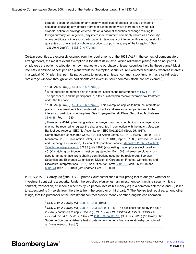straddle, option, or privilege on any security, certificate of deposit, or group or index of securities (including any interest therein or based on the value thereof) or any put, call, straddle, option, or privilege entered into on a national securities exchange relating to foreign currency, or, in general, any interest or instrument commonly known as a "security" or any certificate of interest or participation in, temporary or interim certificate for, receipt for, guarantee of, or warrant or right to subscribe to or purchase, any of the foregoing." *See* 1933 Act § 2(a)(1), [15 U.S.C. § 77b\(a\)\(1\).](https://www.bloomberglaw.com/product/bec/document/1?citation=15%20USC%2077b(a)(1)&summary=yes#jcite)

Certain securities are expressly exempt from the requirements of the 1933 Act.**[4](#page-3-0)** In the context of compensatory arrangements, the most relevant exemption is for interests in tax-qualified retirement plans**[5](#page-3-1)** that do not permit employees the option to allocate their own money to the purchase of issuer securities held by these plans.**[6](#page-3-2)** Most interests in defined benefit pension plans would be exempted securities, re-exempted securities, whereas interests in a typical 401(k) plan that permits participants to invest in an issuer common stock fund, or has a self-directed "brokerage window" through which participants can invest in issuer common stock, are not exempt.**[7](#page-3-3)**

<span id="page-3-7"></span><span id="page-3-6"></span><span id="page-3-5"></span><span id="page-3-4"></span><span id="page-3-0"></span>**[4](#page-3-4)** 1933 Act § 3(a)(2), [15 U.S.C. § 77c\(a\)\(2\)](https://www.bloomberglaw.com/product/bec/document/1?citation=15%20USC%2077c(a)(2)&summary=yes#jcite).

<span id="page-3-1"></span>**[5](#page-3-5)** A tax-qualified retirement plan is a plan that satisfies the requirements of [IRC § 401\(a\)](https://www.bloomberglaw.com/product/bec/document/1?citation=26%20USC%20401(a)&summary=yes#jcite). The sponsor of, and the participants in, a tax-qualified plan receive favorable tax treatment under the tax code.

<span id="page-3-2"></span>**[6](#page-3-6)** 1933 Act § 3(a)(2), [15 U.S.C. § 77c\(a\)\(2\)](https://www.bloomberglaw.com/product/bec/document/1?citation=15%20USC%2077c(a)(2)&summary=yes#jcite). This exemption applies to both the interests of plans in investment vehicles maintained by banks and insurance companies and to the interests of participants in the plans. *See* Employee Benefit Plans, Securities Act Release [33-6188](https://www.bloomberglaw.com/product/bec/document/1?citation=sec%20release%2033-6188&summary=yes#jcite) (Feb. 1, 1980).

<span id="page-3-3"></span>**[7](#page-3-7)** However, a 401(k) plan that grants an employer matching contribution in employer stock may not be required to register the shares granted in connection with the match. *See*, *e.g.*, Bank of Los Angeles, SEC No-Action Letter, SEC NAL 29937 (Sept. 25, 1987); Commonwealth Bancshares Corp., SEC No-Action Letter, SEC NAL 16275 (Feb. 9, 1987); Monsanto Co., SEC No-Action Letter, SEC NAL 12013 (Sept. 16, 1983). *But see* Securities and Exchange Commission, Division of Corporation Finance, [Manual of Publicly Available](http://www.sec.gov/interps/telephone/cftelinterps_securitiesactforms.pdf) [Telephone Interpretations,](http://www.sec.gov/interps/telephone/cftelinterps_securitiesactforms.pdf) § G.88 (July 1997) (suggesting that employer stock used for 401(k) matching contributions must be registered on Form S-8, whereas employer stock used for an automatic, profit-sharing contributions need not be registered). *See also* Securities and Exchange Commission, Division of Corporation Finance, Compliance and Disclosure Interpretations (C&DI): Securities Act Forms [§ 126.19](https://www.sec.gov/corpfin/securities-act-forms) (Jan. 26, 2009) and [§ 126.41](https://www.sec.gov/corpfin/securities-act-forms) (Sep. 21, 2016) (last updated Sept. 21, 2020).

In *SEC v. W. J. Howey Inc.*,<sup>[8](#page-3-8)</sup> the U.S. Supreme Court established a four-prong test to analyze whether an investment contract is a security. Under the so-called *Howey* test, an investment contract is a security if it is a contract, transaction, or scheme whereby "(1) a person invests his money (2) in a common enterprise and (3) is led to expect profits (4) solely from the efforts from the promoter or third party."**[9](#page-3-9)** The *Howey* test requires, among other things, that the purchaser of the investment contract provide money or other tangible consideration.

<span id="page-3-11"></span><span id="page-3-10"></span><span id="page-3-8"></span>**[8](#page-3-10)** *SEC v. W. J. Howey Inc.*, [328 U.S. 293](https://www.bloomberglaw.com/product/bec/document/1?citation=328%20U.S.%20293&summary=yes#jcite) (1946).

<span id="page-3-9"></span>**[9](#page-3-11)** *SEC v. W. J. Howey Inc.,* [328 U.S. 293,](https://www.bloomberglaw.com/product/bec/document/1?citation=328%20U.S.%20293&summary=yes#jcite) [298-99](https://www.bloomberglaw.com/product/bec/document/1?citation=328%20U.S.%20298&summary=yes#jcite) (1946). The basic test set out by the court in *Howey* continues to apply. *See*, *e.g*., *IN RE ENRON CORPORATION SECURITIES, DERIVATIVE & 'ERISA' LITIGATION*, [238 F. Supp. 3d 799](https://www.bloomberglaw.com/product/bec/document/1?citation=238%20F.%20Supp%203d%20799&summary=yes#jcite) (S.D. Tex. 2017) ("In Howey, the Supreme Court established a test to determine whether a financial relationship constituted an 'investment contract,'").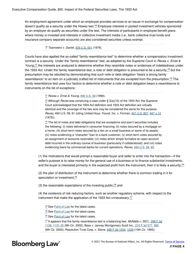An employment agreement under which an employee provides services to an issuer in exchange for compensation doesn't qualify as a security under the Howey test.**[10](#page-4-0)** Employee interests in pooled investment vehicles sponsored by an employer do qualify as securities under this test. The interests of participants in employee benefit plans where money is invested and interests in collective investment media (*i.e.*, bank collective trust funds and insurance company separate accounts) are also considered securities unless exempt.

<span id="page-4-6"></span><span id="page-4-1"></span><span id="page-4-0"></span>**[10](#page-4-1)** *Teamsters v. Daniel*, [439 U.S. 551](https://www.bloomberglaw.com/product/bec/document/1?citation=439%20U.S.%20551&summary=yes#jcite) (1979).

<span id="page-4-5"></span>Courts have also applied the so-called "family resemblance test" to determine whether a compensatory investment contract is a security. Under the "family resemblance" test, as adopted by the Supreme Court in *Reves v. Ernst &* Young,<sup>[11](#page-4-2)</sup> the interests are analyzed to determine whether they resemble notes or evidences of indebtedness under the 1933 Act. Under the family resemblance test, a note or debt obligation is presumed to be a security,**[12](#page-4-3)** but the presumption may be rebutted by demonstrating that such note or debt obligation "bears a strong family resemblance" to an item on a judicially crafted list of instruments that are excepted from the presumption.**[13](#page-4-4)** The family resemblance test uses four factors to determine whether a note or debt obligation bears a resemblance to instruments on the list of exceptions:

<span id="page-4-7"></span><span id="page-4-2"></span>**[11](#page-4-5)** *Reves v. Ernst & Young*, [494 U.S. 56](https://www.bloomberglaw.com/product/bec/document/1?citation=494%20U.S.%2056&summary=yes#jcite) (1990).

<span id="page-4-3"></span>**[12](#page-4-6)** Although *Reves* was construing a case under § 3(a)(10) of the 1934 Act, the Supreme Court acknowledged that the 1934 Act definition and 1933 Act definition are virtually identical and the coverage of the two acts may be considered the same for this purpose. *Reves*, 494 U.S. 56, 61 (citing *United Hous. Found. Inc. v. Forman*, [421 U.S. 837](https://www.bloomberglaw.com/product/bec/document/1?citation=421%20U.S.%20837&summary=yes#jcite), [847 n.12](https://www.bloomberglaw.com/product/bec/document/1?citation=421%20U.S.%20847&summary=yes#jcite) (1975)).

<span id="page-4-4"></span>**[13](#page-4-7)** The list of notes and debt obligations that are exceptions and aren't securities includes the following: (i) notes delivered in consumer financing; (ii) notes secured by a mortgage on a home; (iii) short-term notes secured by a lien on a small business or some of its assets; (iv) notes evidencing a "character" loan to a bank customer; (v) short-term notes secured by an assignment of accounts receivable; (vi) notes which simply formalize an open-account debt incurred in the ordinary course of business (particularly if collateralized); and (vii) notes evidencing loans by commercial banks for current operations. *Reves*, [494 U.S. 56](https://www.bloomberglaw.com/product/bec/document/1?citation=494%20U.S.%2056&summary=yes#jcite), [65](https://www.bloomberglaw.com/product/bec/document/1?citation=494%20U.S.%2065&summary=yes#jcite).

(1) the motivations that would prompt a reasonable buyer and seller to enter into the transaction—if the seller's purpose is to raise money for the general use of a business or to finance substantial investments, and the buyer is interested primarily in the expected profit from the instrument, then it is likely a security;**[14](#page-4-8)**

<span id="page-4-13"></span>(2) the plan of distribution of the instrument to determine whether there is common trading in it for speculation or investment;**[15](#page-4-9)**

(3) the reasonable expectations of the investing public;**[16](#page-4-10)** and

(4) the existence of risk reducing factors, such as another regulatory scheme, with respect to the instrument that make the application of the 1933 Act unnecessary.**[17](#page-4-11)**

- <span id="page-4-15"></span><span id="page-4-14"></span><span id="page-4-12"></span><span id="page-4-8"></span>**[14](#page-4-12)** See [Point of Law](https://www.bloomberglaw.com/product/bec/search/results/84d445e5dc4eb89db57010843a621e9a?doc_id=XGMME2CG000N) for the latest cases.
- <span id="page-4-9"></span>**[15](#page-4-13)** See [Point of Law](https://www.bloomberglaw.com/product/bec/search/results/f8da99b13efbbafacfa3cf292f3b5c2d?doc_id=X1HLU79HG000N) for the latest cases.
- <span id="page-4-10"></span>**[16](#page-4-14)** See [Point of Law](https://www.bloomberglaw.com/product/bec/search/results/66fe8ffdabd1fcf9019c3dfc8a9635f2?doc_id=X1AJN1T10000N) for the latest cases.

<span id="page-4-11"></span>**[17](#page-4-15)** It appears that the family resemblance test is a balancing test. *McNabb v. SEC,*, [298 F.3d](https://www.bloomberglaw.com/product/bec/document/1?citation=298%20F.3d%201126&summary=yes#jcite) [1126](https://www.bloomberglaw.com/product/bec/document/1?citation=298%20F.3d%201126&summary=yes#jcite), [1131-33](https://www.bloomberglaw.com/product/bec/document/1?citation=298%20F.3d%201131&summary=yes#jcite) (9th Cir. 2002); Bass v. Janney Montgomery Scott Inc., [210 F.3d 577,](https://www.bloomberglaw.com/product/bec/document/1?citation=210%20F.3d%20577&summary=yes#jcite) [585](https://www.bloomberglaw.com/product/bec/document/1?citation=210%20F.3d%20585&summary=yes#jcite) (6th Cir. 2000); Resolution Trust Corp. v. Stone, [998 F.2d 1534](https://www.bloomberglaw.com/product/bec/document/1?citation=998%20F.2d%201534&summary=yes#jcite), [1539](https://www.bloomberglaw.com/product/bec/document/1?citation=998%20F.2d%201539&summary=yes#jcite) (10th Cir. 1993);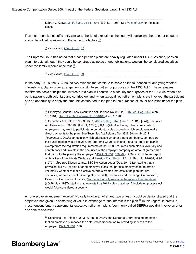Executive Compensation Guide, 800. Impact of the Federal Securities Laws, The 1933 Act

Lebrun v. Kuswa, [24 F. Supp. 2d 641,](https://www.bloomberglaw.com/product/bec/document/1?citation=24%20F.%20Supp.%202d%20641&summary=yes#jcite) [646](https://www.bloomberglaw.com/product/bec/document/1?citation=24%20F.%20Supp.%202d%20646&summary=yes#jcite) (E.D. La. 1998). See [Point of Law](https://www.bloomberglaw.com/product/bec/search/results/888b1a490ebcd19884b411b17f138043) for the latest cases.

If an instrument is not sufficiently similar to the list of exceptions, the court will decide whether another category should be added by examining the same four factors.**[18](#page-5-0)**

<span id="page-5-1"></span><span id="page-5-0"></span>**[18](#page-5-1)** *See Reves,* [494 U.S. 56](https://www.bloomberglaw.com/product/bec/document/1?citation=494%20U.S.%2056&summary=yes#jcite), [67](https://www.bloomberglaw.com/product/bec/document/1?citation=494%20U.S.%2067&summary=yes#jcite).

The Supreme Court has noted that funded pension plans are heavily regulated under ERISA. As such, pension plan interests, although they could be construed as notes or debt obligations, wouldn't be considered securities under the family resemblance test.**[19](#page-5-2)**

<span id="page-5-6"></span><span id="page-5-3"></span><span id="page-5-2"></span>**[19](#page-5-3)** *See Reves*, [494 U.S. 56](https://www.bloomberglaw.com/product/bec/document/1?citation=494%20U.S.%2056&summary=yes#jcite), [69](https://www.bloomberglaw.com/product/bec/document/1?citation=494%20U.S.%2069&summary=yes#jcite).

<span id="page-5-7"></span>In the early 1980s, the SEC issued two releases that continue to serve as the foundation for analyzing whether interests in a plan or other arrangement constitute securities for purposes of the 1933 Act.**[20](#page-5-4)** These releases reaffirm the basic principle that interests in a plan will constitute a security for purposes of the 1933 Act when plan participation is both voluntary and contributory and, when tax-qualified retirement plans are involved, the participant has an opportunity to apply the amounts contributed to the plan to the purchase of issuer securities under the plan. **[21](#page-5-5)**

> <span id="page-5-4"></span>**[20](#page-5-6)** Employee Benefit Plans, Securities Act Release No. 33-6281, [46 Fed. Reg. 8446](https://www.bloomberglaw.com/product/bec/document/1?citation=46%20FR%208446&summary=yes#jcite) (Jan. 15, 1981); [Securities Act Release No. 33-6188](https://www.bloomberglaw.com/product/blaw/document/XAMTKH) (Feb. 1, 1980).

<span id="page-5-5"></span>**[21](#page-5-7)** Securities Act Release No. 33-6281, [46 Fed. Reg. 8446](https://www.bloomberglaw.com/product/bec/document/1?citation=46%20FR%208446&summary=yes#jcite) (Jan. 15, 1981), § I(A); Securities Act Release No. 33-6188 (Feb. 1, 1980), § II(A)(2)(d). A voluntary plan is one in which employees may elect to participate. A contributory plan is one in which employees make direct payments to the plan. *See* Securities Act Release No. 33-6188, nn.19, 20. In *Teamsters v. Daniel*, an opinion which addressed whether a noncontributory, compulsory tax-qualified plan was a security, the Supreme Court explained that a tax-qualified plan is exempt from the registration requirements of the 1933 Act unless such plan is voluntary and contributory and "invests in the securities of the employer company an amount greater than that paid into the plan by the employer."  $439$  U.S. 551, [568, 69](https://www.bloomberglaw.com/product/bec/document/1?citation=439%20U.S.%20568&summary=yes#jcite) (1979) (citing Interim Report of Activities of the Private Welfare and Pension Plan Study, 1971, S. Rep. No. 92-634, at 96 (1972)). *See also* Diasonics Inc., SEC No-Action Letter (Dec. 20, 1982) (stating that a provision in a 401(k) plan offering employer stock that permits employees to determine voluntarily whether to make elective deferrals creates interests in the plan that are securities, whereas a profit-sharing plan doesn't); Securities and Exchange Commission, Division of Corporation Finance, [Manual of Publicly Available Telephone Interpretations,](http://www.sec.gov/interps/telephone/cftelinterps_securitiesactforms.pdf) § G.78 (July 1997) (stating that interests in a 401(k) plan that doesn't include employer stock wouldn't be considered a security).

A nonelective arrangement wouldn't typically involve an offer and sale unless it could be demonstrated that the employee had given up something of value in exchange for the interest in the plan.**[22](#page-5-8)** In this regard, interests in most noncontributory supplemental executive retirement plans (commonly called SERPs) wouldn't involve an offer and sale of securities.

> <span id="page-5-9"></span><span id="page-5-8"></span>**[22](#page-5-9)** Securities Act Release No. 33-6188. In *Daniel*, the Supreme Court rejected the notion that an employee purchases the deferred compensation by providing services to the employer. [439 U.S. 551,](https://www.bloomberglaw.com/product/bec/document/1?citation=439%20U.S.%20551&summary=yes#jcite) 560.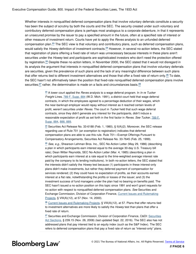<span id="page-6-5"></span>Whether interests in nonqualified deferred compensation plans that involve voluntary deferrals constitute a security has been the subject of scrutiny by both the courts and the SEC. The security created under such voluntary and contributory deferred compensation plans is perhaps most analogous to a corporate debenture, in that it represents an unsecured promise by the issuer to pay a specified amount in the future, often at a specified rate of interest or other measure of investment return. Courts have yet to apply the *Reves* analysis to an unfunded deferred compensation plan.**[23](#page-6-0)** The SEC view is that voluntary and contributory plans, such as deferred compensation plans, would satisfy the *Howey* definition of investment contracts.**[24](#page-6-1)** However, in several no-action letters, the SEC stated that registration of plans offering a fixed rate of return was unnecessary because interests in these plans aren't securities under the *Howey* test and participants are sophisticated investors who don't need the protection offered by registration.**[25](#page-6-2)** Despite these no-action letters, in November 2000, the SEC stated that it would not disregard in its analysis the argument that interests in nonqualified deferred compensation plans that involve voluntary deferrals are securities, given the prevalence of such plans and the lack of any meaningful difference between such plans that offer returns tied to different investment alternatives and those that offer a fixed rate of return only.**[26](#page-6-3)** To date, the SEC hasn't not affirmatively taken the position that fixed-rate nonqualified deferred compensation plans involve securities;**[27](#page-6-4)** rather, the determination is made on a facts and circumstances basis.**[28](#page-7-0)**

> <span id="page-6-10"></span><span id="page-6-9"></span><span id="page-6-8"></span><span id="page-6-7"></span><span id="page-6-6"></span><span id="page-6-0"></span>**[23](#page-6-5)** A lower court applied the *Reves* analysis to a wage deferral program. In *In re Tucker Freight Lines*, [789 F. Supp. 884](https://www.bloomberglaw.com/product/bec/document/1?citation=789%20F.%20Supp.%20884&summary=yes#jcite) (W.D. Mich. 1991), a district court held that wage deferral contracts, in which the employees agreed to a percentage deduction of their wages, which the near-bankrupt employer would repay without interest as it reached certain levels of profit, weren't securities under *Reves*. The court in *Tucker* held that such wage deferral contracts, since they didn't generate any interest for the participants, didn't induce a reasonable expectation of profit as set forth in the first factor in *Reves. See Tucker*, [789 F.](https://www.bloomberglaw.com/product/bec/document/1?citation=789%20F.%20Supp.%20884&summary=yes#jcite) [Supp. 884](https://www.bloomberglaw.com/product/bec/document/1?citation=789%20F.%20Supp.%20884&summary=yes#jcite), [888, 889](https://www.bloomberglaw.com/product/bec/document/1?citation=789%20F.%20Supp.%20888&summary=yes#jcite).

<span id="page-6-2"></span><span id="page-6-1"></span>**[24](#page-6-6)** Securities Act Release No. 33-6188 (Feb. 1, 1980), § II(A)(2). Moreover, the SEC release regarding use of Rule 701 (an exemption to registration) indicates that deferred compensation plans are able to use this rule. Rule 701—Exempt Offerings Pursuant to Compensatory Arrangements, Securities Act Release No. 33-7645 (Feb. 25, 1999). **[25](#page-6-7)** *See*, *e.g.*, Shearson Lehman Bros. Inc., SEC No-Action Letter (May 29, 1986) (describing a plan in which participants earn interest equal to the average 30-day U.S. Treasury bill rate); Dean Witter Reynolds, SEC No-Action Letter (Mar. 4, 1985) (describing a plan in which participants earn interest at a rate equal to the time-weighted average interest rate paid by the company to its lending institutions). In both no-action letters, the SEC stated that the interests didn't satisfy the *Howey* test because (1) participants in these interest-only plans didn't make investments, but rather they deferred payment of compensation for services rendered; (2) they could have no expectation of profits, as their accounts earned interest at a flat rate, notwithstanding the profits or losses of the issuer; and (3) the investment success of fund managers under the plan had no bearing on benefits paid. The SEC hasn't issued a no-action position on this topic since 1991 and won't grant requests for no-action with respect to nonqualified deferred compensation plans. *See* Securities and Exchange Commission, Division of Corporation Finance, [Current Issues and Rulemaking](https://www.sec.gov/pdf/cfcr112k.pdf) [Projects,](https://www.sec.gov/pdf/cfcr112k.pdf) § VIII(A)(12), at 57 (Nov. 14, 2000).

<span id="page-6-3"></span>**[26](#page-6-8)** [Current Issues and Rulemaking Projects,](https://www.sec.gov/pdf/cfcr112k.pdf) § VIII(A)(12), at 57. Plans that offer returns tied to investment alternatives are more likely to satisfy the *Howey* test than plans that offer a fixed rate of return.

<span id="page-6-4"></span>**[27](#page-6-9)** Securities and Exchange Commission, Division of Corporation Finance, C&DI: [Securities](http://www.sec.gov/divisions/corpfin/guidance/sasinterp.htm) [Act Sections](http://www.sec.gov/divisions/corpfin/guidance/sasinterp.htm), § 239.15 (Nov. 26, 2008) (last updated Sept. 22, 2016). The SEC also has not addressed plans that pay interest tied to an equity index (such as the S&P Index). The SEC refers to deferred compensation plans that pay a fixed rate of return as "interest-only" plans.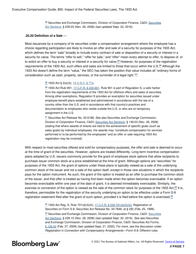<span id="page-7-0"></span>**[28](#page-6-10)** Securities and Exchange Commission, Division of Corporation Finance, C&DI: [Securities](https://www.sec.gov/divisions/corpfin/guidance/sasinterp.htm) [Act Sections](https://www.sec.gov/divisions/corpfin/guidance/sasinterp.htm), § 239.03 (Nov. 26, 2008) (last updated Sept. 22, 2016).

#### **.20.20 Definition of a Sale** —

Most issuances by a company of its securities under a compensation arrangement where the employee has a choice regarding participation are likely to involve an offer and sale of a security for purposes of the 1933 Act, which defines the term "sale" broadly to include every contract of sale or disposition of a security or interest in a security for value. The terms "offer to sell," "offer for sale," and "offer" mean every attempt to offer, to dispose of, or to solicit an offer to buy a security or interest in a security for value.**[29](#page-7-1)** However, for purposes of the registration requirements of the 1933 Act, such offers and sales are limited to those that occur within the U.S.**[30](#page-7-2)** Although the 1933 Act doesn't define the term "value," the SEC has taken the position that value includes all "ordinary forms of consideration such as cash, property, services, or the surrender of a legal right."**[31](#page-7-3)**

#### <span id="page-7-6"></span><span id="page-7-5"></span><span id="page-7-4"></span><span id="page-7-1"></span>**[29](#page-7-4)** 1933 Act § 2(a)(3), [15 U.S.C. § 77a](https://www.bloomberglaw.com/product/bec/document/1?citation=15%20USC%2077a&summary=yes#jcite).

<span id="page-7-2"></span>**[30](#page-7-5)** 1933 Act Rule 901, [17 C.F.R. § 230.901.](https://www.bloomberglaw.com/product/bec/document/1?citation=17%20CFR%20230.901&summary=yes#jcite) Rule 901 is part of Regulation S, a safe harbor from the registration requirements of the 1933 Act for offshore offers and sales of securities. Among other exemptions, Regulation S provides an exemption for securities issued under employee benefit plans established and administered in accordance with the law of a country other than the U.S. and in accordance with that country's practices and documentation to employees who reside outside the U.S. or who are on temporary assignment in the U.S.

<span id="page-7-3"></span>**[31](#page-7-6)** Securities Act Release No. 33-6188. *See also* Securities and Exchange Commission, Division of Corporation Finance, C&DI: [Securities Act Sections](http://www.sec.gov/divisions/corpfin/guidance/sasinterp.htm), § 139.03 (Nov. 26, 2008) (stating that where awards of shares are tied to the achievement of specific goals (such as sales goals) by individual employees, the awards may "constitute compensation for services performed or to be performed by the employees" and an offer or sale requiring 1933 Act registration may be involved).

With respect to most securities offered and sold for compensatory purposes, the offer and sale is deemed to occur at the time of grant of the securities. However, options are treated differently. Long-term incentive compensation plans adopted by U.S. issuers commonly provide for the grant of employee stock options that allow recipients to purchase issuer common stock at a price established at the time of grant. Although options are "securities" for purposes of the 1933 Act, the grant of options under these plans is typically viewed as a sale of the underlying common stock of the issuer and not a sale of the option itself, except in those rare situations in which the recipients pays for the option instrument. As such, the grant of the option is treated as an offer to purchase the common stock of the issuer, and that offer is treated as having first been made when the option becomes exercisable. If an option becomes exercisable within one year of the date of grant, it is deemed immediately exercisable. Similarly, the exercise or conversion of the option is viewed as the sale of the common stock for purposes of the 1933 Act.**[32](#page-7-7)** It is, therefore, permissible for the registration of the security underlying an option to be effective under a Form S-8 registration statement filed after the grant of such option, provided it is filed before the option is exercised.**[33](#page-7-8)**

> <span id="page-7-10"></span><span id="page-7-9"></span><span id="page-7-8"></span><span id="page-7-7"></span>**[32](#page-7-9)** 1933 Act Reg. S, Rule 701(d)(3)(iii), [17 C.F.R. § 230.701\(d\)\(3\)\(iii\)](https://www.bloomberglaw.com/product/bec/document/1?citation=17%20CFR%20230.701(d)(3)(iii)&summary=yes#jcite); Registration of Securities on Form S-8, Securities Act Release No. 33-7646, at § I(B) (Feb. 25, 1999). **[33](#page-7-10)** Securities and Exchange Commission, Division of Corporation Finance, C&DI: [Securities](http://www.sec.gov/divisions/corpfin/guidance/sasinterp.htm) [Act Sections](http://www.sec.gov/divisions/corpfin/guidance/sasinterp.htm), § 239.15 (Nov. 26, 2008) (last updated Sept. 22, 2016). *See also* Securities and Exchange Commission, Division of Corporation Finance, C&DI: Securities Act Forms, [§ 126.02](https://www.sec.gov/corpfin/securities-act-forms) (Feb. 27, 2009) (last updated Sept. 21, 2020). For more, see the discussion under *Registration in Connection with Compensatory Arrangements—Form S-8*. Different rules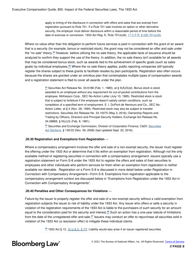apply to timing of the disclosure in connection with offers and sales that are exempt from registration pursuant to Rule 701. If a Rule 701 sale involves an option or other derivative security, the employer must deliver disclosure within a reasonable period of time before the date of exercise or conversion. 1933 Act Reg. E, Rule 701(e)(6), [17 C.F.R. § 230.701\(e\)\(6\).](https://www.bloomberglaw.com/product/bec/document/1?citation=17%20CFR%20230.701(e)(6)&summary=yes#jcite)

<span id="page-8-2"></span>Where no value other than the obligation to perform future services is paid in connection with the grant of an award that is a security (for example, bonus or restricted stock), the grant may not be considered an offer and sale under the "no sale" theory.**[34](#page-8-0)** However, before utilizing the no sale theory, the applicable facts of issuance should be analyzed to confirm they support the use of the theory. In addition, the no sale theory isn't available for all awards that may be considered bonus stock, such as awards tied to the achievement of specific goals (such as sales goals) by individual employees.**[35](#page-8-1)** Where the no sale theory applies, public reporting companies still typically register the shares subject to these grants to facilitate resales by plan participants. Registration also often occurs because the shares are granted under an omnibus plan that contemplates multiple types of compensation awards and a registration statement is filed to cover all awards under the plan.

> <span id="page-8-3"></span><span id="page-8-0"></span>**[34](#page-8-2)** Securities Act Release No. 33-6188 (Feb. 1, 1980), at § II(A)(5)(d). Bonus stock is stock awarded to an employee without any requirement for out-of-pocket contributions from the employee. McKesson Corp., SEC No-Action Letter (July 10, 1985). Restricted stock is stock that is subject to forfeiture if the employee doesn't satisfy certain conditions, such as completion of a specified term of employment. E. I. DuPont de Nemours and Co., SEC No-Action Letter, at § II (Nov. 28, 1994). Restricted stock may also be subject to transfer restrictions. Securities Act Release No. 33-10075 (May 3, 2016); Ownership Reports and Trading by Officers, Directors and Principal Security Holders, Exchange Act Release No. 34-28869, § III(c)(3) (Feb. 8, 1991).

> <span id="page-8-1"></span>**[35](#page-8-3)** Securities and Exchange Commission, Division of Corporation Finance, C&DI: [Securities](http://www.sec.gov/divisions/corpfin/guidance/sasinterp.htm) [Act Sections](http://www.sec.gov/divisions/corpfin/guidance/sasinterp.htm), § 139.03 (Nov. 26, 2008) (last updated Sept. 22, 2016).

#### **.20.30 Registration and Exemptions from Registration** —

Where a compensatory arrangement involves the offer and sale of a non-exempt security, the issuer must register the offering under the 1933 Act or determine that it fits within an exemption from registration. Although not the only available method of registering securities in connection with a compensatory arrangement, issuers typically use a registration statement on Form S-8 under the 1933 Act to register the offers and sales of their securities to employees and other individuals who perform services for them when an exemption from registration is neither available nor desirable. Registration on a Form S-8 is discussed in more detail below under Registration in Connection with Compensatory Arrangement—Form S-8. Exemptions from registration applicable to the compensatory arrangement context are discussed below in "Exemptions from Registration under the 1933 Act in Connection with Compensatory Arrangements".

#### **.20.40 Penalties and Other Consequences for Violations** —

Failure by the issuer to properly register the offer and sale of a non-exempt security without a valid exemption from registration subjects the issuer to risk of liability under the 1933 Act. Any issuer who offers or sells a security in violation of the registration requirements of the 1933 Act is liable to the purchasers of such security for an amount equal to the consideration paid for the security and interest.**[36](#page-8-4)** Such an action has a one-year statute of limitations from the date of the unregistered offer and sale.**[37](#page-9-0)** Issuers may conduct an offer to repurchase all securities sold in violation of the 1933 Act (a rescission offer) to mitigate these individual claims.

<span id="page-8-6"></span><span id="page-8-5"></span><span id="page-8-4"></span>**[36](#page-8-5)** 1933 Act § 12, [15 U.S.C. § 77l](https://www.bloomberglaw.com/product/bec/document/1?citation=15%20USC%2077&summary=yes#jcite). Liability would also arise if an issuer registered securities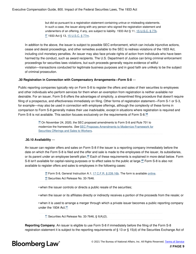<span id="page-9-0"></span>but did so pursuant to a registration statement containing untrue or misleading statements. In such a case, the issuer along with any person who signed the registration statement and underwriters of an offering, if any, are subject to liability. 1933 Act § 11, [15 U.S.C. § 77k.](https://www.bloomberglaw.com/product/bec/document/1?citation=15%20USC%2077k&summary=yes#jcite) **[37](#page-8-6)** 1933 Act § 13, [15 U.S.C. § 77m.](https://www.bloomberglaw.com/product/bec/document/1?citation=15%20USC%2077m&summary=yes#jcite)

In addition to the above, the issuer is subject to possible SEC enforcement, which can include injunctive actions, cease and desist proceedings, and other remedies available to the SEC to redress violations of the 1933 Act, including civil monetary penalties. An issuer may also face private rights of action from individuals who have been harmed by the conduct, such as award recipients. The U.S. Department of Justice can bring criminal enforcement proceedings for securities laws violations, but such proceeds generally require evidence of willful violation—transactions conducted for legitimate business purposes and in good faith are unlikely to be the subject of criminal prosecution.

#### **.30 Registration in Connection with Compensatory Arrangements—Form S-8** —

Public reporting companies typically rely on Form S-8 to register the offers and sales of their securities to employees and other individuals who perform services for them when an exemption from registration is neither available nor desirable. For an issuer, Form S-8 offers the advantages of simplicity, a streamlined filing procedure that doesn't require filing of a prospectus, and effectiveness immediately on filing. Other forms of registration statement—Form S-1 or S-3, for example—may also be used in connection with employee offerings, although the complexity of these forms in comparison to Form S-8 generally makes their use inadvisable, except in situations where registration is required and Form S-8 is not available. This section focuses exclusively on the requirements of Form S-8.**[38](#page-9-1)**

> <span id="page-9-2"></span><span id="page-9-1"></span>**[38](#page-9-2)** On November 24, 2020, the SEC proposed amendments to Form S-8 and Rule 701 to modernize the frameworks. *See* [SEC Proposes Amendments to Modernize Framework for](https://www.sec.gov/news/press-release/2020-294) [Securities Offerings and Sales to Workers](https://www.sec.gov/news/press-release/2020-294).

#### **.30.10 Availability** —

An issuer can register offers and sales on Form S-8 if the issuer is a reporting company immediately before the date on which the Form S-8 is filed and the offer and sale is made to the employees of the issuer, its subsidiaries, or its parent under an employee benefit plan.**[39](#page-9-3)** Each of these requirements is explained in more detail below. Form S-8 isn't available for capital-raising purposes or to effect sales to the public at large.**[40](#page-9-4)** Form S-8 is also not available to register offers and sales to employees in the following cases:

> <span id="page-9-6"></span><span id="page-9-5"></span><span id="page-9-4"></span><span id="page-9-3"></span>**[39](#page-9-5)** Form S-8, General Instruction A.1; [17 C.F.R. § 239.16b](https://www.bloomberglaw.com/product/bec/document/1?citation=17%20CFR%20239.16b&summary=yes#jcite). The form is available [online.](http://www.sec.gov/divisions/corpfin/forms/securities.shtml) **[40](#page-9-6)** Securities Act Release No. 33-7646.

• when the issuer controls or directs a public resale of the securities;

• when the issuer or its affiliates directly or indirectly receives a portion of the proceeds from the resale; or

• when it is used to arrange a merger through which a private issuer becomes a public reporting company under the 1934 Act.**[41](#page-9-7)**

<span id="page-9-8"></span><span id="page-9-7"></span>**[41](#page-9-8)** Securities Act Release No. 33-7646, § II(A)(2).

**Reporting Company**. An issuer is eligible to use Form S-8 if immediately before the filing of the Form S-8 registration statement it is subject to the reporting requirements of § 13 or § 15(d) of the Securities Exchange Act of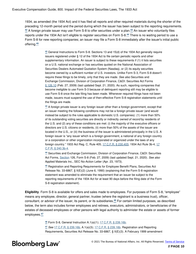<span id="page-10-4"></span>1934, as amended (the 1934 Act) and it has filed all reports and other required materials during the shorter of the preceding 12-month period and the period during which the issuer has been subject to the reporting requirements. **[42](#page-10-0)** A foreign private issuer may use Form S-8 to offer securities under a plan.**[43](#page-10-1)** An issuer who voluntarily files reports under the 1934 Act isn't eligible to register securities on Form S-8.**[44](#page-10-2)** There is no waiting period to use a Form S-8 for new reporting companies; an issuer may file a Form S-8 immediately after the issuer's initial public offering.**[45](#page-10-3)**

> <span id="page-10-7"></span><span id="page-10-6"></span><span id="page-10-5"></span><span id="page-10-0"></span>**[42](#page-10-4)** General Instructions to Form S-8. Sections 13 and 15(d) of the 1934 Act generally require issuers registered under § 12 of the 1934 Act to file certain periodic reports and other supplementary information. An issuer is subject to these requirements if (1) it lists securities on a U.S. national exchange or has securities quoted on the National Association of Securities Dealers Automated Quotation System (Nasdaq), or (2) its equity securities become owned by a sufficient number of U.S. investors. Unlike Form S-3, Form S-8 doesn't require these filings to be timely, only that they are made. *See also* Securities and Exchange Commission, Division of Corporation Finance, C&DI: Securities Act Forms [§ 126.10](https://www.sec.gov/corpfin/securities-act-forms) (Feb. 27, 2009) (last updated Sept. 21, 2020). As such, reporting companies that become ineligible to use Form S-3 because of delinquent reporting still may be eligible to use Form S-8 once the late filing has been made. Whenever required filings have not been made, issuers must suspend the use of then-effective Form S-8 registration statements until the filings are made.

> <span id="page-10-1"></span>**[43](#page-10-5)** A foreign private issuer is any foreign issuer other than a foreign government, except that an issuer meeting the following conditions may not be a foreign private issuer (and would instead be subject to the rules applicable to domestic U.S. companies): (1) more than 50% of its outstanding voting securities are directly or indirectly *owned of record* by residents of the U.S. and (2) any of these conditions are met: (i) the majority of the executive officers or directors are U.S. citizens or residents, (ii) more than 50% of the assets of the issuer are located in the U.S., or (iii) the business of the issuer is administered principally in the U.S. A foreign issuer is "any issuer which is a foreign government, a national of any foreign country or a corporation or other organization incorporated or organized under the laws of any foreign country." 1933 Act Reg. C, Rule 405, [17 C.F.R. § 230.405;](https://www.bloomberglaw.com/product/bec/document/1?citation=17%20CFR%20230.405&summary=yes#jcite) 1934 Act Rule 3b-4, [17](https://www.bloomberglaw.com/product/bec/document/1?citation=17%20CFR%20240.3b-4&summary=yes#jcite) [C.F.R. § 240.3b-4.](https://www.bloomberglaw.com/product/bec/document/1?citation=17%20CFR%20240.3b-4&summary=yes#jcite)

> <span id="page-10-2"></span>**[44](#page-10-6)** Securities and Exchange Commission, Division of Corporation Finance, C&DI: Securities Act Forms, [Section](https://www.sec.gov/corpfin/securities-act-forms) 126, Form S-8 (Feb. 27, 2009) (last updated Sept. 21, 2020). *See also* Applied Materials Inc., SEC No-Action Letter (Apr. 23, 1973).

> <span id="page-10-3"></span>**[45](#page-10-7)** Registration and Reporting Requirements for Employee Benefit Plans, Securities Act Release No. 33-6867, § II(E)(2) (June 6, 1990) (explaining that the Form S-8 registration statement was amended to eliminate the requirement that an issuer be subject to the reporting requirements of the 1934 Act for at least 90 days before the filing date of the Form S-8 registration statement).

**Eligibility**. Form S-8 is available for offers and sales made to employees. For purposes of Form S-8, "employee" means any employee, director, general partner, trustee (where the registrant is a business trust), officer, consultant, or advisor of the issuer, its parent, or its subsidiaries.**[46](#page-10-8)** For certain limited purposes, as described below, the term also includes former employees and retirees, executors, administrators, or beneficiaries of the estates of deceased employees or other persons with legal authority to administer the estate or assets of former employees.**[47](#page-10-9)**

<span id="page-10-11"></span><span id="page-10-10"></span><span id="page-10-8"></span>**[46](#page-10-10)** Form S-8, General Instruction A.1(a)(1); [17 C.F.R. § 239.16b](https://www.bloomberglaw.com/product/bec/document/1?citation=17%20CFR%20239.16b&summary=yes#jcite).

<span id="page-10-9"></span>**[47](#page-10-11)** *See* [17 C.F.R. § 239.16b](https://www.bloomberglaw.com/product/bec/document/1?citation=17%20CFR%20239.16b&summary=yes#jcite), A.1(a)(3); [17 C.F.R. § 239.16b.](https://www.bloomberglaw.com/product/bec/document/1?citation=17%20CFR%20239.16b&summary=yes#jcite) Registration and Reporting Requirements, Securities Act Release No. 33-6867, § II(E)(3). A February 1999 amendment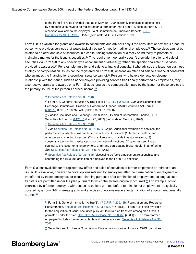<span id="page-11-7"></span><span id="page-11-6"></span>to the Form S-8 rules provided that, as of May 10, 1999, currently exercisable options held by nonemployees have to be registered on a form other than Form S-8, such as Form S-3, if otherwise available to the employer. Joint Committee on Employee Benefits, [JCEB](http://www.abanet.org/jceb/2001/qa01sec.html) [Questions for SEC—1999](http://www.abanet.org/jceb/2001/qa01sec.html) , Q&A 3 [hereinafter JCEB Questions 1999].

Form S-8 is available for grants and awards to consultants and advisers only if the consultant or adviser is a natural person who provides services that would typically be performed by traditional employees.**[48](#page-11-0)** The services cannot be related to an offer and sale of securities in a capital-raising transaction or directly or indirectly to promote or maintain a market for the issuer's securities.**[49](#page-11-1)** This requirement generally doesn't preclude the offer and sale of securities via Form S-8 to any specific type of consultant or adviser;**[50](#page-11-2)** rather, the specific character of services provided is assessed.**[51](#page-11-3)** For example, an offer and sale to a financial consultant who advises the issuer on business strategy or compensation issues can be registered on Form S-8, whereas an offer and sale to a financial consultant who arranges the financing for a securities issuance cannot.**[52](#page-11-4)** Persons who have a de facto employment relationship with the issuer, such as nonemployees providing services traditionally performed by employees, may also receive grants and awards on a Form S-8, as long as the compensation paid by the issuer for those services is the primary source of the person's earned income.**[53](#page-11-5)**

<span id="page-11-11"></span><span id="page-11-10"></span><span id="page-11-9"></span><span id="page-11-8"></span><span id="page-11-0"></span>**[48](#page-11-6)** [Securities Act Release No. 33-7646](https://www.bloomberglaw.com/product/blaw/document/X2VBDG).

<span id="page-11-1"></span>**[49](#page-11-7)** Form S-8, General Instruction A.1(a)(1)(iii); [17 C.F.R. § 239.16b](https://www.bloomberglaw.com/product/bec/document/1?citation=17%20CFR%20239.16b&summary=yes#jcite). *See also* Securities and Exchange Commission, Division of Corporation Finance, C&DI: Securities Act Forms, [§ 126.15](https://www.sec.gov/corpfin/securities-act-forms) (Feb. 27, 2009) (last updated Sept. 21, 2020).

<span id="page-11-2"></span>**[50](#page-11-8)** *But see* Securities and Exchange Commission, Division of Corporation Finance, C&DI: Securities Act Forms, [§ 126.16](https://www.sec.gov/corpfin/securities-act-forms) (Feb. 27, 2009) (last updated Sept. 21, 2020).

<span id="page-11-3"></span>**[51](#page-11-9)** [Securities Act Release No. 33-7646](https://www.bloomberglaw.com/product/blaw/document/X2VBDG).

<span id="page-11-4"></span>**[52](#page-11-10)** *See* [Securities Act Release No. 33-7646,](https://www.bloomberglaw.com/product/blaw/document/X2VBDG) § II(A)(2). Additional examples of services, the performance of which would preclude use of Form S-8 include (1) brokers, dealers, and other persons who find investors; (2) consultants who provide investor relations; (3) consultants performing capital raising or promotional functions; (4) attorneys serving as counsel to the issuer or its underwriters; or (5) any participating broker-dealer in an offering. *See* [Securities Act Release No. 33-7646](https://www.bloomberglaw.com/product/blaw/document/X2VBDG), § II(A)(2).

<span id="page-11-5"></span>**[53](#page-11-11)** [Securities Act Release No. 33-7645](https://www.bloomberglaw.com/product/blaw/document/X2VBE2) (discussing de facto employment relationships and conforming the Rule 701 definition of employee to the Form S-8 definition).

Form S-8 isn't available for to register new offers and sales of securities to former employees or retirees of an issuer. It is available, however, to cover options retained by employees after their termination of employment or transferred by these employees for estate-planning purposes after termination of employment, as long as such transfers are permitted under the plan pursuant to which the awards originally occurred.**[54](#page-11-12)** For example, option exercises by a former employee with respect to options granted before termination of employment are typically covered by a Form S-8, whereas grants and exercises of options made after termination of employment generally are not.**[55](#page-11-13)**

> <span id="page-11-15"></span><span id="page-11-14"></span><span id="page-11-12"></span>**[54](#page-11-14)** Form S-8, General Instruction A.1(a)(3); [17 C.F.R. § 239.16b](https://www.bloomberglaw.com/product/bec/document/1?citation=17%20CFR%20239.16b&summary=yes#jcite); Registration and Reporting Requirements, [Securities Act Release No. 33-6867,](https://www.bloomberglaw.com/product/blaw/document/X647JP) at § II(E)(3). Form S-8 is also available for the acquisition of issuer securities pursuant to intra-plan transfers among plan funds, if permitted under the plan. [Securities Act Release No. 33-6867](https://www.bloomberglaw.com/product/blaw/document/X647JP), § II(E)(3). The term "former employee" includes former consultants and former advisers. [Securities Act Release No. 33-](https://www.bloomberglaw.com/product/blaw/document/X2VBDG) [7646](https://www.bloomberglaw.com/product/blaw/document/X2VBDG).

> <span id="page-11-13"></span>**[55](#page-11-15)** Securities and Exchange Commission, Division of Corporation Finance, C&DI: Securities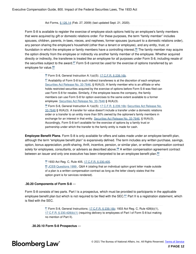<span id="page-12-3"></span>Act Forms, [§ 126.14](https://www.sec.gov/corpfin/securities-act-forms) (Feb. 27, 2009) (last updated Sept. 21, 2020).

Form S-8 is available to register the exercise of employee stock options held by an employee's family members that were acquired by gift or domestic relations order. For these purposes, the term "family member" includes spouses, children, parents, in-laws, nieces, and nephews, former spouses (pursuant to a domestic relations order), any person sharing the employee's household (other than a tenant or employee), and any entity, trust, or foundation in which the employee or family members have a controlling interest.**[56](#page-12-0)** The family member may acquire the option directly from the employee or indirectly via another family member of the employee. Whether acquired directly or indirectly, the transferee is treated like an employee for all purposes under Form S-8, including resale of the securities subject to the award.**[57](#page-12-1)** Form S-8 cannot be used for the exercise of options transferred by an employee for value.**[58](#page-12-2)**

<span id="page-12-5"></span><span id="page-12-4"></span><span id="page-12-0"></span>**[56](#page-12-3)** Form S-8, General Instruction A.1(a)(5); [17 C.F.R. § 239.16b](https://www.bloomberglaw.com/product/bec/document/1?citation=17%20CFR%20239.16b&summary=yes#jcite).

<span id="page-12-2"></span><span id="page-12-1"></span>**[57](#page-12-4)** Availability of Form S-8 to such indirect transferees is at the discretion of each employer. [Securities Act Release No. 33-7646,](https://www.bloomberglaw.com/product/blaw/document/X2VBDG) § III(A)(3). A family member who is an affiliate or who holds restricted securities acquired by the exercise of options before Form S-8 was filed can use Form S-8 for resales. Similarly, if the employee leaves the company, the family members can use Form S-8 for option exercises to the same extent available to a former employee. [Securities Act Release No. 33-7646](https://www.bloomberglaw.com/product/blaw/document/X2VBDG) § III(A)(3). **[58](#page-12-5)** Form S-8, General Instruction A.1(a)(5); [17 C.F.R. § 239.16b](https://www.bloomberglaw.com/product/bec/document/1?citation=17%20CFR%20239.16b&summary=yes#jcite); [Securities Act Release No.](https://www.bloomberglaw.com/product/blaw/document/X2VBDG) [33-7646](https://www.bloomberglaw.com/product/blaw/document/X2VBDG) § III(A)(3). A transfer for value doesn't include a transfer under a domestic relations order or a transfer to an entity more than 50% owned by the optionee's family members in exchange for an interest in that entity. [Securities Act Release No. 33-7646](https://www.bloomberglaw.com/product/blaw/document/X2VBDG), § III(A)(3). Accordingly, Form S-8 isn't available for the exercise of options by a family trust or partnership under which the transfer to the family entity is made for cash.

**Employee Benefit Plans**. Form S-8 is only available for offers and sales made under an employee benefit plan, although the term "employee benefit plan" is expansively defined. The term includes any written purchase, savings, option, bonus appreciation, profit-sharing, thrift, incentive, pension, or similar plan, or written compensation contract solely for employees, consultants, or advisers as described above.**[59](#page-12-6)** A written compensation agreement contract between an issuer and only one executive has been interpreted to be an employee benefit plan.**[60](#page-12-7)**

<span id="page-12-9"></span><span id="page-12-8"></span><span id="page-12-6"></span>**[59](#page-12-8)** 1933 Act Reg. C, Rule 405, [17 C.F.R. § 230.405.](https://www.bloomberglaw.com/product/bec/document/1?citation=17%20CFR%20230.405&summary=yes#jcite)

<span id="page-12-7"></span>**[60](#page-12-9)** [JCEB Questions 1999](http://www.abanet.org/jceb/2001/qa01sec.html) [,](http://www.abanet.org/jceb/2001/qa01sec.html) Q&A 4 (stating that an individual option grant letter made outside of a plan is a written compensation contract as long as the letter clearly states that the option grant is for services rendered).

#### **.30.20 Components of Form S-8** —

Form S-8 consists of two parts. Part I is a prospectus, which must be provided to participants in the applicable employee benefit plan but which is not required to be filed with the SEC.**[61](#page-12-10)** Part II is a registration statement, which is filed with the SEC.

> <span id="page-12-11"></span><span id="page-12-10"></span>**[61](#page-12-11)** Form S-8, General Instructions; [17 C.F.R. § 239.16b;](https://www.bloomberglaw.com/product/bec/document/1?citation=17%20CFR%20239.16b&summary=yes#jcite) 1933 Act Reg. C, Rule 428(b)(1), [17 C.F.R. § 230.428\(b\)\(1\)](https://www.bloomberglaw.com/product/bec/document/1?citation=17%20CFR%20230.428(b)(1)&summary=yes#jcite) (requiring delivery to employees of Part I of Form S-8 but making no mention of Part II).

**.30.20.10 Form S-8 Prospectus** —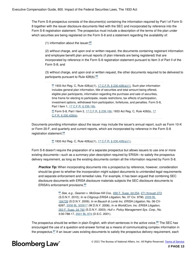The Form S-8 prospectus consists of the document(s) containing the information required by Part I of Form S-8 together with the issuer disclosure documents filed with the SEC and incorporated by reference into the Form S-8 registration statement. The prospectus must include a description of the terms of the plan under which securities are being registered on the Form S-8 and a statement regarding the availability of:

<span id="page-13-2"></span>(1) information about the issuer;**[62](#page-13-0)**

(2) without charge, and upon oral or written request, the documents containing registrant information and employee benefit plan annual reports (if plan interests are being registered) that are incorporated by reference in the Form S-8 registration statement pursuant to Item 3 of Part II of the Form S-8; and

(3) without charge, and upon oral or written request, the other documents required to be delivered to participants pursuant to Rule 428(b).**[63](#page-13-1)**

<span id="page-13-3"></span><span id="page-13-0"></span>**[62](#page-13-2)** 1933 Act Reg. C, Rule 428(a)(1), [17 C.F.R. § 230.428\(a\)\(1\).](https://www.bloomberglaw.com/product/bec/document/1?citation=17%20CFR%20230.428(a)(1)&summary=yes#jcite) Such plan information includes general plan information, title of securities and total amount being offered, eligible plan participants, information regarding the purchase and sale of securities, time frame for electing to participate, resale restrictions, tax effects of participation, investment options, withdrawal from participation, forfeitures, and penalties. Form S-8, Part I Item 1, [17 C.F.R. § 239.16b](https://www.bloomberglaw.com/product/bec/document/1?citation=17%20CFR%20239.16b&summary=yes#jcite). **[63](#page-13-3)** Form S-8, Part I Item 2, [17 C.F.R. § 239.16b](https://www.bloomberglaw.com/product/bec/document/1?citation=17%20CFR%20239.16b&summary=yes#jcite); 1933 Act Reg. C, Rule 428(b), [17](https://www.bloomberglaw.com/product/bec/document/1?citation=17%20CFR%20230.428(b)&summary=yes#jcite) [C.F.R. § 230.428\(b\).](https://www.bloomberglaw.com/product/bec/document/1?citation=17%20CFR%20230.428(b)&summary=yes#jcite)

<span id="page-13-1"></span>Documents providing information about the issuer may include the issuer's annual report, such as Form 10-K or Form 20-F, and quarterly and current reports, which are incorporated by reference in the Form S-8 registration statement.**[64](#page-13-4)**

<span id="page-13-5"></span><span id="page-13-4"></span>**[64](#page-13-5)** 1933 Act Reg. C, Rule 428(a)(1), [17 C.F.R. § 230.428\(a\)\(1\).](https://www.bloomberglaw.com/product/bec/document/1?citation=17%20CFR%20230.428(a)(1)&summary=yes#jcite)

Form S-8 doesn't require the preparation of a separate prospectus but allows issuers to use one or more existing documents—such as a summary plan description required by ERISA—to satisfy the prospectus delivery requirement, as long as the existing documents contain all the information required by Form S-8.

**Practice Tip:** When incorporating documents into a prospectus by reference, however, consideration should be given to whether the incorporation might subject documents to unintended legal requirements and separate enforcement and remedial rules. For example, it has been argued that combining SEC disclosure documents with ERISA disclosure materials subjects the SEC disclosure documents to ERISA's enforcement provisions.**[65](#page-13-6)**

> <span id="page-13-8"></span><span id="page-13-7"></span><span id="page-13-6"></span>**[65](#page-13-7)** *See*, *e.g.*, *Gearren v. McGraw-Hill Cos.*, [690 F. Supp. 2d 254](https://www.bloomberglaw.com/product/bec/document/1?citation=690%20F.%20Supp.%202d%20254&summary=yes#jcite), [271 through 273](https://www.bloomberglaw.com/product/bec/document/1?citation=690%20F.%20Supp.%202d%20271&summary=yes#jcite) (S.D.N.Y. 2010); *In re Citigroup ERISA Litigation*, No. 07 Civ. 9790, [2009 BL](https://www.bloomberglaw.com/product/bec/document/1?citation=2009%20BL%20184739&summary=yes#jcite) [184739](https://www.bloomberglaw.com/product/bec/document/1?citation=2009%20BL%20184739&summary=yes#jcite) (S.D.N.Y. 2009); *In re Bausch & Lomb Inc. ERISA Litigation*, No. 06-CV-6297, [2008 BL 305917](https://www.bloomberglaw.com/product/bec/document/1?citation=2008%20BL%20305917&summary=yes#jcite) (W.D.N.Y. 2008); *In re WorldCom, Inc. ERISA Litigation*, [263 F. Supp. 2d 760](https://www.bloomberglaw.com/product/bec/document/1?citation=263%20F.%20Supp.%202d%20760&summary=yes#jcite) (S.D.N.Y. 2003); *Hull v. Policy Management Sys. Corp.*, No. 3:00-788-17, [2001 BL 974](https://www.bloomberglaw.com/product/bec/document/1?citation=2001%20BL%20974&summary=yes#jcite) (D.S.C. 2001).

<span id="page-13-9"></span>The prospectus should be written in plain English, with short sentences in the active voice.**[66](#page-14-0)** The SEC has encouraged the use of a question-and-answer format as a means of communicating complex information in the prospectus.**[67](#page-14-1)** If an issuer uses existing documents to satisfy the prospectus delivery requirement, each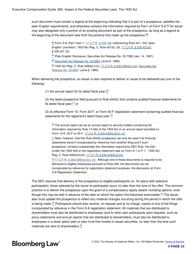such document must contain a legend at the beginning indicating that it is part of a prospectus, satisfies the plain English requirements, and otherwise contains the information required by Part I of Form S-8.**[68](#page-14-2)** An issuer may also designate only a portion of an existing document as part of the prospectus, as long as a legend at the beginning of the document sets forth the portions that make up the prospectus.<sup>[69](#page-14-3)</sup>

> <span id="page-14-5"></span><span id="page-14-4"></span><span id="page-14-3"></span><span id="page-14-2"></span><span id="page-14-1"></span><span id="page-14-0"></span>**[66](#page-13-8)** Form S-8, Part I Item 1; [17 C.F.R. § 239.16b](https://www.bloomberglaw.com/product/bec/document/1?citation=17%20CFR%20239.16b&summary=yes#jcite) (referencing Rule 421—the "plain English" provision); 1933 Act Reg. C, Rule 421(b), (d), [17 C.F.R. § 230.421\(b\)](https://www.bloomberglaw.com/product/bec/document/1?citation=17%20CFR%20230.421(b)&summary=yes#jcite), § 230.421 (d). **[67](#page-13-9)** Plain English Disclosure, Securities Act Release No. 33-7380 (Jan. 14, 1997). **[68](#page-14-4)** [Securities Act Release No. 33-6867](https://www.bloomberglaw.com/product/blaw/document/X647JP) (June 6, 1990). **[69](#page-14-5)** 1933 Act Reg. C, Rule 428(b)(1)(ii), [17 C.F.R. § 230.428\(b\)\(1\)\(ii\);](https://www.bloomberglaw.com/product/bec/document/1?citation=17%20CFR%20230.428(b)(1)(ii)&summary=yes#jcite) [Securities Act](https://www.bloomberglaw.com/product/blaw/document/X647JP) [Release No. 33-6867](https://www.bloomberglaw.com/product/blaw/document/X647JP) (June 6, 1990).

When delivering the prospectus, an issuer is also required to deliver or cause to be delivered any one of the following:

<span id="page-14-9"></span>(1) the annual report for its latest fiscal year;**[70](#page-14-6)**

<span id="page-14-10"></span>(2) the latest prospectus filed pursuant to Rule 424(b) that contains audited financial statements for its latest fiscal year;**[71](#page-14-7)** or

(3) its effective Form 10, Form 20-F, or Form 40-F registration statement containing audited financial statements for the registrant's latest fiscal year.**[72](#page-14-8)**

<span id="page-14-11"></span><span id="page-14-6"></span>**[70](#page-14-9)** The annual report can be an annual report to security holders containing the information required by Rule 14-3(b) of the 1934 Act or an annual report provided on Form 10-K, 20-F or 40-F. [17 C.F.R. § 230.428\(b\)\(2\)\(i\)–\(ii\).](https://www.bloomberglaw.com/product/bec/document/1?citation=17%20CFR%20230.428(b)(2)(i)&summary=yes#jcite)

<span id="page-14-7"></span>**[71](#page-14-10)** Note, however, that this Rule 424(b) prospectus can only be used if its financial statements weren't incorporated by reference from another filing and if such prospectus "contains substantially the information required by SEC Rule 14a-3(b) [under the 1934 Act] or the registration statement was on Form S-1 or F-1." 1933 Act Reg. C, Rule 428(b)(2)(iii), [17 C.F.R. § 230.428\(b\)\(2\)\(iii\)](https://www.bloomberglaw.com/product/bec/document/1?citation=17%20CFR%20230.428(b)(2)(iii)&summary=yes#jcite).

<span id="page-14-12"></span><span id="page-14-8"></span>**[72](#page-14-11)** [17 C.F.R. § 230.428\(b\)\(2\)\(i\)–\(iv\)](https://www.bloomberglaw.com/product/bec/document/1?citation=17%20CFR%20230.428(b)(2)(i)&summary=yes#jcite). Although one of these documents is required to be delivered to eligible employees pursuant to Rule 428, the documents can be incorporated by reference for registration statement purposes. the discussion at *Form S-8 Registration Statement.*

<span id="page-14-14"></span><span id="page-14-13"></span>The SEC requires that delivery of the prospectus to eligible participants (or, for plans with selective participation, those selected by the issuer to participate) occur no later than the time of the offer. The common practice is to deliver the prospectus upon the grant of a compensatory equity award, including options, even though this may be well in advance of the date on which the option first becomes exercisable.**[73](#page-15-0)** The issuer also must update the prospectus to reflect any material changes occurring during the period in which the offer is being made.**[74](#page-15-1)** Participants should also receive, on request and at no charge, copies of any of the filings incorporated by reference in the Form S-8 registration statement. All materials that are distributed to shareholders must also be distributed to employees (and to other plan participants upon request), such as proxy statements and annual reports that are distributed to shareholders, must also be distributed to employees in a stock option plan or plan fund that invests in issuer securities, no later than the time such materials are sent to shareholders.**[75](#page-15-2)**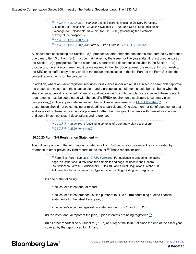<span id="page-15-2"></span><span id="page-15-1"></span><span id="page-15-0"></span>**[73](#page-14-12)** [17 C.F.R. § 230.428\(b\);](https://www.bloomberglaw.com/product/bec/document/1?citation=17%20CFR%20230.428(b)&summary=yes#jcite) *see also* Use of Electronic Media for Delivery Purposes, Exchange Act Release No. 34-36345 (October 6, 1995) and Use of Electronic Media, Exchange Act Release No. 34-42728 (Apr. 28, 2000) (discussing the electronic delivery of the prospectus). **[74](#page-14-13)** [17 C.F.R. § 230.428\(b\)\(1\).](https://www.bloomberglaw.com/product/bec/document/1?citation=17%20CFR%20230.428(b)(1)&summary=yes#jcite) **[75](#page-14-14)** [17 C.F.R. § 230.428\(b\)\(5\);](https://www.bloomberglaw.com/product/bec/document/1?citation=17%20CFR%20230.428(b)(5)&summary=yes#jcite) Form S-8, Part I Item 2; [17 C.F.R. § 239.16b](https://www.bloomberglaw.com/product/bec/document/1?citation=17%20CFR%20239.16b&summary=yes#jcite).

All documents constituting the Section 10(a) prospectus, other than the documents incorporated by reference pursuant to Item 3 of Form S-8, must be maintained by the issuer for five years after it is last used as part of the Section 10(a) prospectus. To the extent only a portion of a document is included in the Section 10(a) prospectus, the entire document must be maintained in the file. Upon request, the registrant must furnish to the SEC or its staff a copy of any or all of the documents included in the file. Part I of the Form S-8 lists the content requirements for the prospectus.

In addition, where an issuer registers securities for issuance under a plan still subject to shareholder approval, the prospectus must make the situation clear and a prospectus supplement should be distributed when the shareholder approval is obtained. When tax-qualified defined contribution plans are involved, these content requirements must be coordinated with the specific ERISA requirements applicable to summary plan descriptions**[76](#page-15-3)** and, in appropriate instances, the disclosure requirements of [ERISA § 404\(c\).](https://www.bloomberglaw.com/product/bec/document/1?citation=29%20USC%201104(c)&summary=yes#jcite) **[77](#page-15-4)** The presentation should not be confusing or misleading to participants. One document (or set of documents) that addresses all of these requirements is preferred, rather than multiple documents with parallel, overlapping, and sometimes inconsistent descriptions and references.

> <span id="page-15-6"></span><span id="page-15-5"></span><span id="page-15-4"></span><span id="page-15-3"></span>**[76](#page-15-5)** [29 C.F.R. § 2520.102-3](https://www.bloomberglaw.com/product/bec/document/1?citation=29%20CFR%202520.102-3&summary=yes#jcite) (describing contents of a summary plan description). **[77](#page-15-6)** [29 C.F.R. § 2550.404c-1\(a\)\(2\)](https://www.bloomberglaw.com/product/bec/document/1?citation=29%20CFR%202550.404c-1(a)(2)&summary=yes#jcite).

#### **.30.20.20 Form S-8 Registration Statement** —

A significant portion of the information included in a Form S-8 registration statement is incorporated by reference to other previously filed reports of the issuer.**[78](#page-15-7)** These reports include:

> <span id="page-15-8"></span><span id="page-15-7"></span>**[78](#page-15-8)** Form S-8, Part II Item 3; [17 C.F.R. § 239.16b.](https://www.bloomberglaw.com/product/bec/document/1?citation=17%20CFR%20239.16b&summary=yes#jcite) For guidance in preparing the facing page, an issuer should rely upon the sample facing page included in the General Instructions to Form S-8. Additionally, Rules 402 and 403 of Regulation C of the 1933 Act provide information regarding type of paper, printing, binding, and pagination.

- (1) one of the following:
	- the issuer's latest annual report,

• the issuer's latest prospectus filed pursuant to Rule 424(b) containing audited financial statements for the latest fiscal year, or

<span id="page-15-9"></span>• the issuer's effective registration statement on Form 10 or Form 20-F;

(2) the latest annual report of the plan, if plan interests are being registered;**[79](#page-16-0)**

(3) all other reports filed pursuant to § 13(a) or 15(d) of the 1934 Act since the end of the fiscal year covered by the report used for (1); and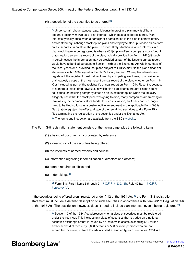(4) a description of the securities to be offered.**[80](#page-16-1)**

<span id="page-16-2"></span><span id="page-16-0"></span>**[79](#page-15-9)** Under certain circumstances, a participant's interest in a plan may itself be a separate security known as a "plan interest," which must also be registered. Plan interests typically arise when a participant's participation in the plan is both voluntary and contributory, although stock option plans and employee stock purchase plans don't create separate interests in the plan. The most likely situation in which interests in a plan would have to be registered is when a 401(k) plan offers a company stock fund. In that situation, an annual report of the plan, typically provided on Form 11-K (although in certain cases the information may be provided as part of the issuer's annual report), would have to be filed pursuant to Section 15(d) of the Exchange Act within 90 days of the fiscal year's end, provided that plans subject to ERISA may file the plan's financial statements within 180 days after the plan's fiscal year end. When plan interests are registered, the registrant must deliver to each participating employee, upon written or oral request, a copy of the most recent annual report of the plan, whether on Form 11- K or included as part of the registrant's annual report on Form 10-K. Recently, because of numerous "stock drop" lawsuits, in which plan participants brought claims against fiduciaries for including company stock as an investment option when the fiduciary allegedly knew that the stock price was going to drop, many companies are freezing or terminating their company stock funds. In such a situation, an 11-K would no longer need to be filed so long as a post-effective amendment to the applicable Form S-8 is filed that deregisters the offer and sale of the remaining securities and a Form 15 is filed terminating the registration of the securities under the Exchange Act.

<span id="page-16-1"></span>**[80](#page-16-2)** The forms and instruction are available from the SEC's [website](http://www.sec.gov/divisions/corpfin/forms/securities.shtml).

The Form S-8 registration statement consists of the facing page, plus the following items:

- (1) a listing of documents incorporated by reference;
- (2) a description of the securities being offered;
- (3) the interests of named experts and counsel;
- (4) information regarding indemnification of directors and officers;
- (5) certain required exhibits; and
- (6) undertakings.**[81](#page-16-3)**

<span id="page-16-6"></span><span id="page-16-4"></span><span id="page-16-3"></span>**[81](#page-16-4)** Form S-8, Part II Items 3 through 9; [17 C.F.R. § 239.16b;](https://www.bloomberglaw.com/product/bec/document/1?citation=17%20CFR%20239.16b&summary=yes#jcite) Rule 404(a), [17 C.F.R.](https://www.bloomberglaw.com/product/bec/document/1?citation=17%20CFR%20230.404(a)&summary=yes#jcite) [§ 230.404\(a\)](https://www.bloomberglaw.com/product/bec/document/1?citation=17%20CFR%20230.404(a)&summary=yes#jcite).

If the securities being offered aren't registered under § 12 of the 1934 Act,<sup>[82](#page-16-5)</sup> the Form S-8 registration statement must include a detailed description of such securities in accordance with Item 202 of Regulation S-K of the 1933 Act. The description, however, doesn't need to include plan interests, even if being registered.**[83](#page-17-0)**

> <span id="page-16-7"></span><span id="page-16-5"></span>**[82](#page-16-6)** Section 12 of the 1934 Act addresses when a class of securities must be registered under the 1934 Act. This includes any class of securities that is traded on a national securities exchange or that is issued by an issuer with assets exceeding \$10 million and either held of record by 2,000 persons or 500 or more persons who are not accredited investors, subject to certain limited exempted types of securities. 1934 Act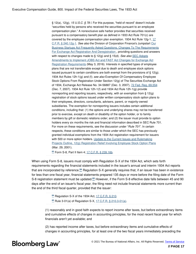§ 12(a), 12(g), *15 U.S.C. § 78 l*. For this purpose, "held of record" doesn't include "securities held by persons who received the securities pursuant to an employee compensation plan." A nonexclusive safe harbor provides that securities received pursuant to a compensatory benefit plan as defined in 1933 Act Rule 701(c) are covered by the employee compensation plan exemption. 1934 Act Rule 12g-1, [17](https://www.bloomberglaw.com/product/bec/document/1?citation=17%20CFR%20240.12g-1&summary=yes#jcite) [C.F.R. § 240.12g-1.](https://www.bloomberglaw.com/product/bec/document/1?citation=17%20CFR%20240.12g-1&summary=yes#jcite) *See also* the Division of Corporation Finance's Jumpstart [Our](http://www.sec.gov/divisions/corpfin/guidance/cfjjobsactfaq-12g.htm) [Business Startups Act Frequently Asked Questions, Changes To The Requirements](http://www.sec.gov/divisions/corpfin/guidance/cfjjobsactfaq-12g.htm) [For Exchange Act Registration And Deregistration](http://www.sec.gov/divisions/corpfin/guidance/cfjjobsactfaq-12g.htm) [,](http://www.sec.gov/divisions/corpfin/guidance/cfjjobsactfaq-12g.htm) providing questions and answers with respect to changes made to § 12(g) and § 15(d). *See also* [SEC Adopts](https://www.sec.gov/news/pressrelease/2016-81.html) [Amendments to Implement JOBS Act and FAST Act Changes for Exchange Act](https://www.sec.gov/news/pressrelease/2016-81.html) [Registration Requirements](https://www.sec.gov/news/pressrelease/2016-81.html) (May 3, 2016). Interests in specified types of employee plans that are not transferrable except due to death and employee stock options issued pursuant to certain conditions are both exempt from the provisions of  $\S 12(g)$ . 1934 Act Rules 12h-1(g) and (f); *see also* Exemption Of Compensatory Employee Stock Options From Registration Under Section 12(g) of The Securities Exchange Act of 1934, Exchange Act Release No. 34-56887 (Dec. 3, 2007), [72 Fed. Reg. 69,554](https://www.bloomberglaw.com/product/bec/document/1?citation=72%20FR%2069554&summary=yes#jcite) (Dec. 7, 2007). 1934 Act Rule 12h-1(f) and 1934 Act Rule 12h-1(g) provide nonreporting and reporting issuers, respectively, with an exemption from § 12(g) registration of stock options issued under written compensatory stock option plans to their employees, directors, consultants, advisers, parent, or majority-owned subsidiaries. The exemption for nonreporting issuers includes certain additional conditions, including that: (1) the options and underlying shares may not be transferred prior to exercise, except on death or disability of the option holder, or to family members by gift or domestic relations order; and (2) the issuer must provide to option holders every six months the risk and financial information described in SEC Rule 701. For more on these requirements, see the discussion under "*Rule 701*". In certain respects, these conditions are similar to those under which the SEC has previously granted individual exemptions from the 1934 Act registration requirement for issuers with 500 or more option holders. [Update to the Current Issues and Rulemaking](http://www.sec.gov/divisions/corpfin/12hcurrentissues.htm) [Projects Outline, 12\(g\) Registration Relief Involving Employee Stock Option Plans](http://www.sec.gov/divisions/corpfin/12hcurrentissues.htm) (Mar. 29, 2001).

<span id="page-17-3"></span><span id="page-17-0"></span>**[83](#page-16-7)** Form S-8, Part II Item 4; [17 C.F.R. § 239.16b.](https://www.bloomberglaw.com/product/bec/document/1?citation=17%20CFR%20239.16b&summary=yes#jcite)

When using Form S-8, issuers must comply with Regulation S-X of the 1934 Act, which sets forth requirements regarding the financial statements included in the issuer's annual and interim 1934 Act reports that are incorporated by reference.**[84](#page-17-1)** Regulation S-X generally requires that, if an issuer has been in existence for less than one fiscal year, financial statements prepared 135 days or more before the filing date of the Form S-8 registration statement must be updated.**[85](#page-17-2)** However, if the Form S-8 effective date falls between 45 and 90 days after the end of an issuer's fiscal year, the filing need not include financial statements more current than the end of the third fiscal quarter, provided that the issuer:

> <span id="page-17-4"></span><span id="page-17-2"></span><span id="page-17-1"></span>**[84](#page-17-3)** Regulation S-X of the 1934 Act, [17 C.F.R. § 210.](https://www.bloomberglaw.com/product/bec/document/1?citation=17%20CFR%20210&summary=yes#jcite) **[85](#page-17-4)** Rule 3-01(a) of Regulation S-X, [17 C.F.R. § 210.3-01\(a\).](https://www.bloomberglaw.com/product/bec/document/1?citation=17%20CFR%20210.3-01(a)&summary=yes#jcite)

(1) reasonably and in good faith expects to report income after taxes, but before extraordinary items and cumulative effects of changes in accounting principles, for the most recent fiscal year for which financials aren't yet available; and

(2) has reported income after taxes, but before extraordinary items and cumulative effects of changes in accounting principles, for at least one of the two fiscal years immediately preceding the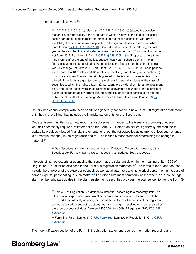#### most recent fiscal year.**[86](#page-18-0)**

<span id="page-18-1"></span><span id="page-18-0"></span>**[86](#page-18-1)** [17 C.F.R. § 210.3-01\(c\)](https://www.bloomberglaw.com/product/bec/document/1?citation=17%20CFR%20210.3-01(c)&summary=yes#jcite). *See also* [17 C.F.R. § 210.3-01\(b\)](https://www.bloomberglaw.com/product/bec/document/1?citation=17%20CFR%20210.3-01(b)&summary=yes#jcite) (stating the conditions that an issuer must satisfy if the filing date is within 45 days of the end of the issuer's fiscal year and audited financial statements for the most recent fiscal year aren't available). The timeliness rules applicable to foreign private issuers are somewhat more lenient. [17 C.F.R. § 210.3-12\(f\)](https://www.bloomberglaw.com/product/bec/document/1?citation=17%20CFR%20210.3-12(f)&summary=yes#jcite). Generally, at the time of the offering, the last year of their audited financial statements may not be older than 15 months. Exchange Act Form 20-F, Part I Item 8.A.4; [17 C.F.R. § 249.220f](https://www.bloomberglaw.com/product/bec/document/1?citation=17%20CFR%20249.220f&summary=yes#jcite). If the filing occurs more than nine months after the end of the last audited fiscal year, it should contain interim financial statements (unaudited) covering at least the first six months of the financial year. Exchange Act Form 20-F, Part I Item 8.A.5; [17 C.F.R. § 249.220f](https://www.bloomberglaw.com/product/bec/document/1?citation=17%20CFR%20249.220f&summary=yes#jcite). These periods are extended to 18 months and 12 months, respectively, for offerings of securities (1) upon the exercise of outstanding rights granted by the issuer of the securities to be offered, if the rights are granted pro rata to all existing securityholders of the class of securities to which the rights attach;, (2) pursuant to a dividend or interest reinvestment plan, and (3) on the conversion of outstanding convertible securities or the exercise of outstanding transferable warrants issued by the issuer of the securities to be offered, or by one of its affiliates. Exchange Act Form 20-F, Part I Instruction 2 to Item 8; [17](https://www.bloomberglaw.com/product/bec/document/1?citation=17%20CFR%20249.220f&summary=yes#jcite) [C.F.R. § 249.220f](https://www.bloomberglaw.com/product/bec/document/1?citation=17%20CFR%20249.220f&summary=yes#jcite).

Issuers who cannot comply with these conditions generally cannot file a new Form S-8 registration statement until they make a filing that includes the financial statements for that fiscal year.

Once an issuer has filed its annual report, any subsequent changes to the issuer's accounting principles wouldn't necessarily require a restatement on the Form S-8. Rather, an issuer is generally not required to update its previously issued financial statements to reflect the retrospective adjustments unless such change is a "material change[] in the registrant's affairs." The issuer is responsible for determining if a change is material.**[87](#page-18-2)**

> <span id="page-18-6"></span><span id="page-18-3"></span><span id="page-18-2"></span>**[87](#page-18-3)** *See* Securities and Exchange Commission, Division of Corporation Finance, C&DI: Securities Act Forms [§ 126.40](https://www.sec.gov/corpfin/securities-act-forms) (Aug. 14, 2009) (last updated Sept. 21, 2020).

Interests of named experts or counsel to the issuer that are substantial, within the meaning of Item 509 of Regulation S-K, must be disclosed in the Form S-8 registration statement.**[88](#page-18-4)** The terms "expert" and "counsel" include the employer of the expert or counsel, as well as all attorneys and nonclerical personnel (in the case of named experts) participating in such matter.**[89](#page-18-5)** This disclosure most commonly arises where an in-house legal staff member who participates in the plan registering its securities provides the counsel opinion for the Form S-8.

> <span id="page-18-7"></span><span id="page-18-4"></span>**[88](#page-18-6)** Item 509 of Regulation S-K defines "substantial" according to a monetary limit: The interest of an expert or counsel won't be deemed substantial and doesn't have to be disclosed if the interest, including the fair market value of all securities of the registrant owned, received, or subject to options, warrants, or rights received or to be received by the expert or counsel, doesn't exceed \$50,000. Item 509 of Regulation S-K, [17 C.F.R.](https://www.bloomberglaw.com/product/bec/document/1?citation=17%20CFR%20229.509&summary=yes#jcite) [§ 229.509](https://www.bloomberglaw.com/product/bec/document/1?citation=17%20CFR%20229.509&summary=yes#jcite).

> <span id="page-18-5"></span>**[89](#page-18-7)** Form S-8, Part II Item 5; [17 C.F.R. § 239.16b;](https://www.bloomberglaw.com/product/bec/document/1?citation=17%20CFR%20239.16b&summary=yes#jcite) Item 509 of Regulation S-K, [17 C.F.R.](https://www.bloomberglaw.com/product/bec/document/1?citation=17%20CFR%20229.509&summary=yes#jcite) [§ 229.509](https://www.bloomberglaw.com/product/bec/document/1?citation=17%20CFR%20229.509&summary=yes#jcite).

The indemnification section of the Form S-8 registration statement requires information regarding any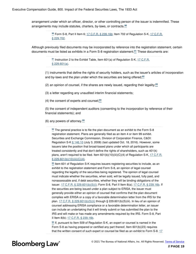arrangement under which an officer, director, or other controlling person of the issuer is indemnified. These arrangements may include statutes, charters, by-laws, or contracts.**[90](#page-19-0)**

> <span id="page-19-1"></span><span id="page-19-0"></span>**[90](#page-19-1)** Form S-8, Part II Item 6; [17 C.F.R. § 239.16b;](https://www.bloomberglaw.com/product/bec/document/1?citation=17%20CFR%20239.16b&summary=yes#jcite) Item 702 of Regulation S-K, [17 C.F.R.](https://www.bloomberglaw.com/product/bec/document/1?citation=17%20CFR%20229.702&summary=yes#jcite) [§ 229.702](https://www.bloomberglaw.com/product/bec/document/1?citation=17%20CFR%20229.702&summary=yes#jcite).

Although previously filed documents may be incorporated by reference into the registration statement, certain documents must be listed as exhibits in a Form S-8 registration statement.**[91](#page-19-2)** These documents are:

> <span id="page-19-8"></span><span id="page-19-7"></span><span id="page-19-3"></span><span id="page-19-2"></span>**[91](#page-19-3)** Instruction 2 to the Exhibit Table, Item 601(a) of Regulation S-K, [17 C.F.R.](https://www.bloomberglaw.com/product/bec/document/1?citation=17%20CFR%20229.601(a)&summary=yes#jcite) [§ 229.601\(a\)](https://www.bloomberglaw.com/product/bec/document/1?citation=17%20CFR%20229.601(a)&summary=yes#jcite).

(1) instruments that define the rights of security holders, such as the issuer's articles of incorporation and by-laws and the plan under which the securities are being offered;**[92](#page-19-4)**

(2) an opinion of counsel, if the shares are newly issued, regarding their legality;**[93](#page-19-5)**

(3) a letter regarding any unaudited interim financial statements;

<span id="page-19-9"></span>(4) the consent of experts and counsel;**[94](#page-19-6)**

(5) the consent of independent auditors (consenting to the incorporation by reference of their financial statements); and

(6) any powers of attorney.**[95](#page-20-0)**

<span id="page-19-10"></span><span id="page-19-4"></span>**[92](#page-19-7)** The general practice is to file the plan document as an exhibit to the Form S-8 registration statement. Plans are generally filed as an item 4 or item 99 exhibit. Securities and Exchange Commission, Division of Corporation Finance, C&DI: Regulation S-K [§ 146.10](http://www.sec.gov/divisions/corpfin/guidance/regs-kinterp.htm) (July 3, 2008) (last updated Oct. 18, 2016). However, some issuers take the position that broad-based plans under which all participants are treated consistently and that don't define the rights of shareholders, such as 401(k) plans, aren't required to be filed. Item  $601(b)(10)(iii)(C)(4)$  of Regulation S-K, [17 C.F.R.](https://www.bloomberglaw.com/product/bec/document/1?citation=17%20CFR%20229.601(b)(10)(iii)(c)(4)&summary=yes#jcite) [§ 229.601\(b\)\(10\)\(iii\)\(C\)\(4\).](https://www.bloomberglaw.com/product/bec/document/1?citation=17%20CFR%20229.601(b)(10)(iii)(c)(4)&summary=yes#jcite)

<span id="page-19-5"></span>**[93](#page-19-8)** Item 601 of Regulation S-K requires issuers registering securities to include, as an exhibit to the registration statement and Form S-8, an opinion of legal counsel regarding the legality of the securities being registered. The opinion of legal counsel must indicate whether the securities, when sold, will be legally issued, fully paid, and nonassessable and, if debt securities, whether they will be binding obligations of the issuer. [17 C.F.R. § 229.601\(b\)\(5\)\(i\)](https://www.bloomberglaw.com/product/bec/document/1?citation=17%20CFR%20229.601(b)(5)(i)&summary=yes#jcite); Form S-8, Part II Item 8(a); [17 C.F.R. § 239.16b](https://www.bloomberglaw.com/product/bec/document/1?citation=17%20CFR%20239.16b&summary=yes#jcite). If the securities are being issued under a plan subject to ERISA, the issuer must generally provide either an opinion of counsel that confirms that the plan document complies with ERISA or a copy of a favorable determination letter from the IRS for the plan. [17 C.F.R. § 229.601\(b\)\(5\)\(ii\)](https://www.bloomberglaw.com/product/bec/document/1?citation=17%20CFR%20229.601(b)(5)(ii)&summary=yes#jcite) through § 229.601(b)(5)(iii). In lieu of an opinion of counsel addressing ERISA compliance or a favorable determination letter, an issuer can include an undertaking that it will timely submit or has submitted the plan to the IRS and will make or has made any amendments required by the IRS. Form S-8, Part II Item 8(b); [17 C.F.R. § 239.16b.](https://www.bloomberglaw.com/product/bec/document/1?citation=17%20CFR%20239.16b&summary=yes#jcite)

<span id="page-19-6"></span>**[94](#page-19-9)** If, pursuant to Item 509 of Regulation S-K, an expert or counsel is named in the Form S-8 as having prepared or certified any part thereof, Item 601(b)(23) requires that the written consent of such expert or counsel be filed as an exhibit to Form S-8. [17](https://www.bloomberglaw.com/product/bec/document/1?citation=17%20CFR%20229.601(b)(23)&summary=yes#jcite)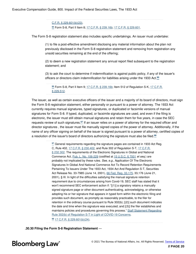<span id="page-20-0"></span>[C.F.R. § 229.601\(b\)\(23\).](https://www.bloomberglaw.com/product/bec/document/1?citation=17%20CFR%20229.601(b)(23)&summary=yes#jcite) **[95](#page-19-10)** Form S-8, Part II Item 8; [17 C.F.R. § 239.16b;](https://www.bloomberglaw.com/product/bec/document/1?citation=17%20CFR%20239.16b&summary=yes#jcite) [17 C.F.R. § 229.601.](https://www.bloomberglaw.com/product/bec/document/1?citation=17%20CFR%20229.601&summary=yes#jcite)

The Form S-8 registration statement also includes specific undertakings. An issuer must undertake:

(1) to file a post-effective amendment disclosing any material information about the plan not previously disclosed in the Form S-8 registration statement and removing from registration any unsold securities remaining at the end of the offering;

(2) to deem a new registration statement any annual report filed subsequent to the registration statement; and

(3) to ask the court to determine if indemnification is against public policy, if any of the issuer's officers or directors claim indemnification for liabilities arising under the 1933 Act.**[96](#page-20-1)**

<span id="page-20-2"></span><span id="page-20-1"></span>**[96](#page-20-2)** Form S-8, Part II Item 9; [17 C.F.R. § 239.16b;](https://www.bloomberglaw.com/product/bec/document/1?citation=17%20CFR%20239.16b&summary=yes#jcite) Item 512 of Regulation S-K, [17 C.F.R.](https://www.bloomberglaw.com/product/bec/document/1?citation=17%20CFR%20229.512&summary=yes#jcite) [§ 229.512](https://www.bloomberglaw.com/product/bec/document/1?citation=17%20CFR%20229.512&summary=yes#jcite).

The issuer, as well as certain executive officers of the issuer and a majority of its board of directors, must sign the Form S-8 registration statement, either personally or pursuant to a power of attorney. The 1933 Act currently requires manual signatures, typed signatures, or duplicated or facsimile versions of manual signatures for Form S-8. If typed, duplicated, or facsimile signatures are used, and even if the filing is electronic, the issuer must still obtain manual signatures and retain them for five years, in case the SEC requests review of such signatures.**[97](#page-20-3)** If an issuer relies on a power of attorney for the required officer and director signatures , the issuer must file manually signed copies of the power of attorney. Additionally, if the name of any officer signing on behalf of the issuer is signed pursuant to a power of attorney, certified copies of a resolution of the issuer's board of directors authorizing the signature must also be filed.**[98](#page-20-4)**

> <span id="page-20-6"></span><span id="page-20-5"></span><span id="page-20-3"></span>**[97](#page-20-5)** General requirements regarding the signature pages are contained in 1933 Act Reg. C, Rule 402, [17 C.F.R. § 230.402,](https://www.bloomberglaw.com/product/bec/document/1?citation=17%20CFR%20230.402&summary=yes#jcite) and Rule 302 of Regulation S-T, [17 C.F.R.](https://www.bloomberglaw.com/product/bec/document/1?citation=17%20CFR%20232.302&summary=yes#jcite) [§ 232.302](https://www.bloomberglaw.com/product/bec/document/1?citation=17%20CFR%20232.302&summary=yes#jcite). The requirements of the Electronic Signatures in Global and National Commerce Act, [Pub. L. No. 106-229](https://www.bloomberglaw.com/product/bec/document/1?citation=Pub.%20L.%20106-229&summary=yes#jcite) (codified at [15 U.S.C. § 7001](https://www.bloomberglaw.com/product/bec/document/1?citation=15%20USC%207001&summary=yes#jcite) *et seq*.) are probably not implicated by these rules. *See*, *e.g.*, Application Of The Electronic Signatures In Global And National Commerce Act To Record Retention Requirements Pertaining To Issuers Under The 1933 Act, 1934 Act And Regulation S-T, Securities Act Release No. 33-7985 (June 14, 2001), [66 Fed. Reg. 33,175](https://www.bloomberglaw.com/product/bec/document/1?citation=66%20FR%2033175&summary=yes#jcite), 33,176 (June 21, 2001), § III. In light of the difficulties satisfying the manual signature retention requirement due to circumstances arising from Covid-19, SEC staff has stated that it won't recommend SEC enforcement action if: "[(1)] a signatory retains a manually signed signature page or other document authenticating, acknowledging, or otherwise adopting his or her signature that appears in typed form within the electronic filing and provides such document, as promptly as reasonably practicable, to the filer for retention in the ordinary course pursuant to Rule 302(b); [(2)] such document indicates the date and time when the signature was executed; and [(3)] the filer establishes and maintains policies and procedures governing this process." [Staff Statement Regarding](https://www.sec.gov/corpfin/announcement/staff-statement-regarding-rule-302b-regulation-s-t-light-covid-19-concerns) [Rule 302\(b\) of Regulation S-T in Light of COVID-19 Concerns](https://www.sec.gov/corpfin/announcement/staff-statement-regarding-rule-302b-regulation-s-t-light-covid-19-concerns). **[98](#page-20-6)** [17 C.F.R. § 229.601\(b\)\(24\).](https://www.bloomberglaw.com/product/bec/document/1?citation=17%20CFR%20229.601(b)(24)&summary=yes#jcite)

<span id="page-20-4"></span>**.30.30 Filing the Form S-8 Registration Statement** —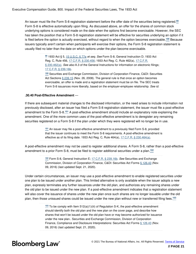An issuer must file the Form S-8 registration statement before the offer date of the securities being registered.**[99](#page-21-0)** Form S-8 is effective automatically upon filing. As discussed above, an offer for the shares of common stock underlying options is considered made on the date when the options first become exercisable. However, the SEC has taken the position that a Form S-8 registration statement will be effective for securities underlying an option if it is filed before the option is actually exercised, without regard to when the option becomes exercisable.**[100](#page-21-1)** Because issuers typically aren't certain when participants will exercise their options, the Form S-8 registration statement is usually filed no later than the date on which options under the plan become exercisable.

> <span id="page-21-3"></span><span id="page-21-2"></span><span id="page-21-0"></span>**[99](#page-21-2)** 1933 Act § 5, [15 U.S.C. § 77e](https://www.bloomberglaw.com/product/bec/document/1?citation=15%20USC%2077e&summary=yes#jcite) *et seq*. *See* Form S-8, General Instruction D; 1933 Act Reg. C, Rule 456, [17 C.F.R. § 230.456](https://www.bloomberglaw.com/product/bec/document/1?citation=17%20CFR%20230.456&summary=yes#jcite); 1933 Act Reg. C, Rule 462(a), [17 C.F.R.](https://www.bloomberglaw.com/product/bec/document/1?citation=17%20CFR%20230.462(a)&summary=yes#jcite) [§ 230.462\(a\)](https://www.bloomberglaw.com/product/bec/document/1?citation=17%20CFR%20230.462(a)&summary=yes#jcite). *See also* A.3 of the General Instructions for information on electronic filings; [17 C.F.R. § 239.16b](https://www.bloomberglaw.com/product/bec/document/1?citation=17%20CFR%20239.16b&summary=yes#jcite).

<span id="page-21-1"></span>**[100](#page-21-3)** Securities and Exchange Commission, Division of Corporation Finance, C&DI: Securities Act Sections [§ 239.15](http://www.sec.gov/divisions/corpfin/guidance/sasinterp.htm) (Nov. 26, 2008). The general rule is that once an option becomes exercisable, an offer is made and a registration statement must be on file. The SEC treats Form S-8 issuances more liberally, based on the employer-employee relationship. *See id.*

#### **.30.40 Post-Effective Amendment** —

If there are subsequent material changes to the disclosed information, or the need arises to include information not previously disclosed, after an issuer has filed a Form S-8 registration statement, the issuer must file a post-effective amendment to the Form S-8.**[101](#page-21-4)** A post-effective amendment should include an explanatory note explaining the amendment. One of the more common uses of the post-effective amendment is to deregister any remaining securities registered on a Form S-8 if the plan under which they were registered will no longer be in use.

> <span id="page-21-5"></span><span id="page-21-4"></span>**[101](#page-21-5)** An issuer may file a post-effective amendment to a previously filed Form S-8, provided that the issuer continues to meet the Form S-8 requirements. A post-effective amendment is effective as of its filing date. 1933 Act Reg. C, Rule 464(a), [17 C.F.R. § 230.464\(a\)](https://www.bloomberglaw.com/product/bec/document/1?citation=17%20CFR%20230.464(a)&summary=yes#jcite).

A post-effective amendment may not be used to register additional shares. A Form S-8, rather than a post-effective amendment to a prior Form S-8, must be filed to register additional securities under a plan.**[102](#page-21-6)**

> <span id="page-21-7"></span><span id="page-21-6"></span>**[102](#page-21-7)** Form S-8, General Instruction E; [17 C.F.R. § 239.16b](https://www.bloomberglaw.com/product/bec/document/1?citation=17%20CFR%20239.16b&summary=yes#jcite). *See* Securities and Exchange Commission, Division of Corporation Finance, C&DI: Securities Act Forms [§ 126.43](https://www.sec.gov/corpfin/securities-act-forms) (Nov. 09, 2016) (last updated Sept. 21, 2020).

Under certain circumstances, an issuer may use a post-effective amendment to enable registered securities under one plan to be issued under another plan. This limited alternative is only available when the issuer adopts a new plan, expressly terminates any further issuances under the old plan, and authorizes any remaining shares under the old plan to be issued under the new plan. If a post-effective amendment indicates that a registration statement will also cover the issuance of shares under the new plan once such shares are no longer issuable under the old plan, then those unissued shares could be issued under the new plan without new or transferred filing fees.**[103](#page-21-8)**

> <span id="page-21-9"></span><span id="page-21-8"></span>**[103](#page-21-9)** To be comply with Item 512(a)(1)(iii) of Regulation S-K, the post-effective amendment should identify both the old plan and the new plan on the cover page, and describe how shares that won't be issued under the old plan have or may become authorized for issuance under the new plan.. Securities and Exchange Commission, Division of Corporation Finance, Compliance and Disclosure Interpretations: Securities Act Forms [§ 126.43](https://www.sec.gov/corpfin/securities-act-forms) (Nov. 09, 2016) (last updated Sept. 21, 2020).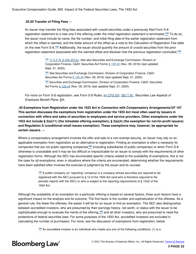#### **.30.50 Transfer of Filing Fees** —

An issuer may transfer the filing fees associated with unsold securities under a previously filed Form S-8 registration statement to a new one if the offering under the initial registration statement is terminated.**[104](#page-22-0)** To do so, the issuer must include its name, the file number, and initial filing date of the earlier registration statement from which the offset is claimed, and the dollar amount of the offset as a note to the Calculation of Registration Fee table on the new Form S-8.**[105](#page-22-1)** Additionally, the issuer should quantify the amount of unsold securities from the prior registration statement associated with the claimed offset and disclose how the previous registration concluded.**[106](#page-22-2)**

> <span id="page-22-5"></span><span id="page-22-4"></span><span id="page-22-3"></span><span id="page-22-0"></span>**[104](#page-22-3)** [17 C.F.R. § 230.457\(p\)](https://www.bloomberglaw.com/product/bec/document/1?citation=17%20CFR%20230.457(p)&summary=yes#jcite). *See also* Securities and Exchange Commission, Division of Corporation Finance, C&DI: Securities Act Forms [§ 126.42](https://www.sec.gov/corpfin/securities-act-forms) (Nov. 09, 2016) (last updated Sept. 21, 2020).

<span id="page-22-2"></span><span id="page-22-1"></span>**[105](#page-22-4)** *See* Securities and Exchange Commission, Division of Corporation Finance, C&DI: Securities Act Forms [§ 126.44](https://www.sec.gov/corpfin/securities-act-forms) (Nov. 09, 2016) (last updated Sept. 21, 2020). **[106](#page-22-5)** Securities and Exchange Commission, Division of Corporation Finance, C&DI: Securities Act Forms [§ 126.44](https://www.sec.gov/corpfin/securities-act-forms) (Nov. 09, 2016) (last updated Sept. 21, 2020).

For more on Form S-8 registration, see *Form S-8 Rules*, [44 CPS §III;](https://www.bloomberglaw.com/product/bec/document/1?citation=cps%2044%20III&summary=yes#jcite) [362 T.M.,](https://www.bloomberglaw.com/product/bec/document/1?citation=TM%20362&summary=yes#jcite) *Securities Law Aspects of Employee Benefit Plans*, §III.

**.40 Exemptions from Registration under the 1933 Act in Connection with Compensatory Arrangements107 107 This section discusses the exemptions from registration under the 1933 Act most often used by issuers in connection with offers and sales of securities to employees and service providers. Other exemptions under the 1933 Act include § 3(a)(11) (the intrastate offering exemption), § 3(a)(4) (the exemption for not-for-profit issuers) and Regulation A (conditional small issues exemption). These exemptions may, however, be appropriate for certain issuers.** —

Where a compensatory arrangement involves the offer and sale of a non-exempt security, an issuer may rely on an applicable exemption from registration as an alternative to registration. Finding an exemption is often a necessity for companies that are not public reporting companies**[108](#page-22-6)** (including subsidiaries of public companies) or when Form S-8 otherwise is unavailable and it may be too difficult or impracticable for an issuer to comply with the requirements of other registration forms. Although the SEC has enumerated specific criteria related to the availability of exemptions, this is not the case for all exemptions; even in situations where the criteria are enumerated, determining whether the requirements have been satisfied often involves the exercise of judgment by the issuer and its counsel.

> <span id="page-22-7"></span><span id="page-22-6"></span>**[108](#page-22-7)** A public company (or "reporting" company) is a company whose securities are required to be registered with the SEC pursuant to § 12 of the 1934 Act (and who is therefore required to file periodic reports with the SEC) or who is subject to the reporting requirements of § 15(d) of the 1934 Act.

Although the availability of an exemption for a particular offering is based on several factors, three such factors have a significant impact on the analysis and its outcome. The first factor is the number and sophistication of the offerees. As a general rule, the fewer the offerees, the easier it will be for an issuer to find an exemption. The SEC also distinguishes between accredited investors, who are presumed by their earnings history, net worth, or status with the issuer to be sophisticated enough to evaluate the merits of the offering,**[109](#page-22-8)** and all other investors, who are presumed to need the protections of federal securities laws. For some purposes of the 1933 Act, accredited investors are excluded in calculating the number of purchasers. For more, see the discussion of exemptions from registration, below.

<span id="page-22-9"></span><span id="page-22-8"></span>**[109](#page-22-9)** An accredited investor is an individual who meets any one of the following conditions: (1) is a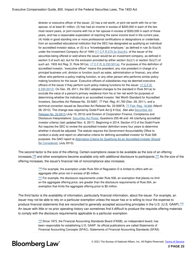director or executive officer of the issuer, (2) has a net worth, or joint net worth with his or her spouse, of at least \$1 million, (3) has had an income in excess of \$200,000 in each of the two most recent years, or joint income with his or her spouse in excess of \$300,000 in each of those years, and has a reasonable expectation of reaching the same income level in the current year, (4) holds in good standing one or more professional certifications or designations or credentials from an accredited educational institution that the SEC has designated as qualifying an individual for accredited investor status, or (5) is a "knowledgeable employee," as defined in rule 3c-5(a)(4) under the Investment Company Act of 1940  $(17 \text{ C.F.R.}270.3c-5(a)(4))$ , of the issuer of the securities being offered or sold where the issuer would be an investment company, as defined in section 3 of such act, but for the exclusion provided by either section  $3(c)(1)$  or section  $3(c)(7)$  of such act. 1933 Act Reg. D, Rule 501(a), [17 C.F.R. § 230.501\(a\).](https://www.bloomberglaw.com/product/bec/document/1?citation=17%20CFR%20230.501(a)&summary=yes#jcite) For purposes of this definition of accredited investor, "executive officer" means the president, any vice president in charge of a principal business unit, division or function (such as sales, administration or finance), any other officer who performs a policy-making function, or any other person who performs similar policymaking functions for the issuer. Executive officers of subsidiaries may be deemed executive officers of the issuer if they perform such policy-making functions for the issuer. [17 C.F.R.](https://www.bloomberglaw.com/product/bec/document/1?citation=17%20CFR%20230.501(f)&summary=yes#jcite)  $\S 230.501(f)$ . On Dec. 29, 2011, the SEC adopted changes to the standard in Rule 501(a) to exclude the value of a person's primary residence from his or her net worth for purposes of determining whether the individual is an accredited investor. Net Worth Standard for Accredited Investors, Securities Act Release No. 33-9287, *77 Fed. Reg. 81,793* (Dec. 29, 2011), and a technical correction issued as Securities Act Release No. 33-9287A, [77 Fed. Reg. 18,684](https://www.bloomberglaw.com/product/bec/document/1?citation=77%20FR%2018684&summary=yes#jcite) (March 28, 2012). The change was required by Dodd-Frank Act § 413(a). *See also* [Securities Act](https://www.bloomberglaw.com/product/blaw/document/X7IHH97) [Release No. 33-9415](https://www.bloomberglaw.com/product/blaw/document/X7IHH97) (July 10, 2013) and Division of Corporation Finance, Compliance and Disclosure Interpretations: [Securities Act Rules,](https://www.sec.gov/divisions/corpfin/guidance/securitiesactrules-interps.htm#255.48) Questions 255.48 and .49 (clarifying accredited investor criteria) (last updated Nov. 6, 2017). Beginning in 2014, Section 413 of the Dodd-Frank Act requires the SEC to review the accredited investor definition every four years to determine whether it should be adjusted. The statute requires the Government Accountability Office to conduct a study and report on alternative criteria for defining accredited investor for Rule 506 purposes. the GAO report at [Alternative Criteria for Qualifying As an Accredited Investor Should](http://www.gao.gov/assets/660/655963.pdf) [Be Considered.](http://www.gao.gov/assets/660/655963.pdf) (July 2013).

The second factor is the size of the offering. Certain exemptions cease to be available as the size of an offering increases,**[110](#page-23-0)** and other exemptions become available only with additional disclosure to participants.**[111](#page-23-1)** As the size of the offering increases, the issuer's financial risk of noncompliance also increases.

> <span id="page-23-3"></span><span id="page-23-2"></span><span id="page-23-0"></span>**[110](#page-23-2)** For example, the exemption under Rule 504 of Regulation D is limited to offers with an aggregate offer price not in excess of \$5 million.

<span id="page-23-1"></span>**[111](#page-23-3)** For example, the disclosure requirements under Rule 506, an exemption that places no limit on the aggregate offering price, are greater than the disclosure requirements of Rule 504, an exemption that limits the aggregate offering price to \$5 million.

The third factor is the availability of information, particularly financial information, about the issuer. For example, an issuer may not be able to rely on a particular exemption unless the issuer has or is willing to incur the expense to produce financial statements that are reconciled to generally accepted accounting principles in the U.S. (U.S. GAAP).**[112](#page-23-4)** An issuer with little or no prior operating history can sometimes find it difficult to produce the requisite offering materials to comply with the disclosure requirements applicable to a particular exemption.

> <span id="page-23-5"></span><span id="page-23-4"></span>**[112](#page-23-5)** Since 1973, the Financial Accounting Standards Board (FASB), an independent board, has been responsible for establishing U.S. GAAP. Its official publications are called Statements of Financial Accounting Concepts (SFAC), Statements of Financial Accounting Standards (SFAS)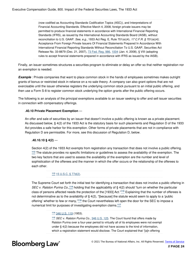(now codified as Accounting Standards Codification Topics (ASC)), and Interpretations of Financial Accounting Standards. Effective March 4, 2008, foreign private issuers may be permitted to produce financial statements in accordance with International Financial Reporting Standards (IFRS), as issued by the International Accounting Standards Board (IASB), without reconciliation to U.S. GAAP. *See*, *e.g.*, 1933 Act Reg. E, Rule 701(e)(4), *17 C.F.R. § 701(e)(4)*; Acceptance From Foreign Private Issuers Of Financial Statements Prepared In Accordance With International Financial Reporting Standards Without Reconciliation To U.S. GAAP, Securities Act Release No. 33-8879 (Dec. 21, 2007), [73 Fed. Reg. 986](https://www.bloomberglaw.com/product/bec/document/1?citation=73%20FR%20986&summary=yes#jcite), [1004](https://www.bloomberglaw.com/product/bec/document/1?citation=73%20FR%201004&summary=yes#jcite) (Jan. 4, 2008), § VIII (adopting rules to accept financial statements prepared in accordance with IFRS as issued by the IASB).

Finally, an issuer sometimes structures a securities program to eliminate or delay an offer so that neither registration nor an exemption is needed.

**Example**: Private companies that want to place common stock in the hands of employees sometimes makes outright grants of bonus or restricted stock in reliance on a no sale theory. A company can also grant options that are not exercisable until the issuer otherwise registers the underlying common stock pursuant to an initial public offering, and then use a Form S-8 to register common stock underlying the option grants after the public offering occurs.

The following is an analysis of the principal exemptions available to an issuer seeking to offer and sell issuer securities in connection with compensatory offerings.

#### **.40.10 Private Placement Exemption** —

An offer and sale of securities by an issuer that doesn't involve a public offering is known as a private placement. As discussed below, § 4(2) of the 1933 Act is the statutory basis for such placements and Regulation D of the 1933 Act provides a safe harbor for this exemption. Other forms of private placements that are not in compliance with Regulation D are permissible. For more, see this discussion of Regulation D, below.

#### **.40.10.10 § 4(2)** —

<span id="page-24-1"></span>Section 4(2) of the 1933 Act exempts from registration any transaction that does not involve a public offering. **[113](#page-24-0)** The statute provides no specific limitations or guidelines to assess the availability of the exemption. The two key factors that are used to assess the availability of the exemption are the number and level of sophistication of the offerees and the manner in which the offer occurs or the relationship of the offerees to each other.

#### <span id="page-24-5"></span><span id="page-24-4"></span><span id="page-24-0"></span>**[113](#page-24-1)** [15 U.S.C. § 77d\(2\)](https://www.bloomberglaw.com/product/bec/document/1?citation=15%20USC%2077d(2)&summary=yes#jcite).

The Supreme Court set forth the initial test for identifying a transaction that does not involve a public offering in SEC v. Ralston Purina Co.,<sup>[114](#page-24-2)</sup> holding that the applicability of § 4(2) should "turn on whether the particular class of persons affected needs the protection of the [1933] Act."**[115](#page-24-3)** Explaining that the number of offerees is not determinative as to the availability of § 4(2), "[because] the statute would seem to apply to a 'public offering' whether to few or many,"**[116](#page-25-0)** the Court nevertheless left open the door for the SEC to impose a numerical limit for purposes of investigating exemption claims.**[117](#page-25-1)**

#### <span id="page-24-7"></span><span id="page-24-6"></span><span id="page-24-2"></span>**[114](#page-24-4)** [346 U.S. 119](https://www.bloomberglaw.com/product/bec/document/1?citation=346%20U.S.%20119&summary=yes#jcite) (1953).

<span id="page-24-3"></span>**[115](#page-24-5)** *SEC v. Ralston Purina Co.*, [346 U.S. 125.](https://www.bloomberglaw.com/product/bec/document/1?citation=346%20U.S.%20125&summary=yes#jcite) The Court found that offers made by Ralston Purina over a four-year period to virtually all of its employees were not exempt under § 4(2) because the employees did not have access to the kind of information, which a registration statement would disclose. The Court explained that "[a]n offering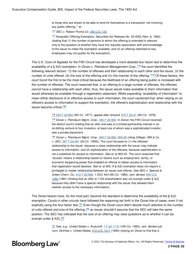to those who are shown to be able to fend for themselves is a transaction 'not involving any public offering.'" *Id.*

<span id="page-25-0"></span>**[116](#page-24-6)** *SEC v. Ralson Purina Co.* [346 U.S. 125](https://www.bloomberglaw.com/product/bec/document/1?citation=346%20U.S.%20125&summary=yes#jcite)

<span id="page-25-6"></span><span id="page-25-5"></span><span id="page-25-1"></span>**[117](#page-24-7)** Nonpublic Offering Exemption, Securities Act Release No. 33-4552 (Nov. 6, 1962) (stating that (1) the number of persons to whom the offering is extended is relevant only to the question of whether they have the requisite association with and knowledge of the issuer to make the exemption available, and (2) an offering restricted to key employees may not qualify for the exemption).

The U.S. Court of Appeals for the Fifth Circuit has developed a more detailed four-factor test to determine the availability of a § 4(2) exemption. In *Doran v. Petroleum Management Corp.*, **[118](#page-25-2)** the court identified the following relevant factors: "(i) the number of offerees and their relationship to each other and the issuer, (ii) the number of units offered, (iii) the size of the offering and (iv) the manner of the offering."**[119](#page-25-3)** Of these factors, the court found the first to be the most critical because the likelihood of an offering being public is increased with the number of offerees. The court reasoned that, in an offering to a large number of offerees, the offerees cannot have a relationship with each other; thus, the issuer would make available to them information that would otherwise be available through a registration statement. While expanding "availability of information" to mean either disclosure of or effective access to such information, the court cautioned that, when relying on an offeree's access to information to support the exemption, the offeree's sophistication and relationship with the issuer become critical.**[120](#page-25-4)**

> <span id="page-25-7"></span><span id="page-25-3"></span><span id="page-25-2"></span>**[118](#page-25-5)** [545 F.2d 893](https://www.bloomberglaw.com/product/bec/document/1?citation=545%20F.2d%20893&summary=yes#jcite) (5th Cir. 1977), *appeal after remand*, [576 F.2d 91](https://www.bloomberglaw.com/product/bec/document/1?citation=576%20F.2d%2091&summary=yes#jcite) (5th Cir. 1978). **[119](#page-25-6)** *Doran v. Petroleum Mgmt. Corp.*, [545 F.2d 900.](https://www.bloomberglaw.com/product/bec/document/1?citation=545%20F.2d%20900&summary=yes#jcite) In *Doran*, the Fifth Circuit reversed the district court's holding that an offer and sale of a limited partnership interest in an oil-drilling venture to four investors, at least one of whom was a sophisticated investor, was a private placement.

> <span id="page-25-4"></span>**[120](#page-25-7)** *Doran v. Petroleum Mgmt. Corp.*, [545 F.2d 893,](https://www.bloomberglaw.com/product/bec/document/1?citation=545%20F.2d%20893&summary=yes#jcite) [905-06](https://www.bloomberglaw.com/product/bec/document/1?citation=545%20F.2d%20905&summary=yes#jcite) (citing *Gilligan*, *Will & Co. v. SEC*, [267 F.2d 461](https://www.bloomberglaw.com/product/bec/document/1?citation=267%20F.2d%20461&summary=yes#jcite) (2d Cir. 1959)). The court focused on (1) the offerees' relationship to the issuer, because a close relationship with the issuer may indicate access to information, and (2) sophistication of the offerees, because sophistication is not a substitute for access to information. *See id.* at 902-03. The court reasoned that "access" means a relationship based on factors such as employment, family, or economic bargaining power that enabled an offeree to obtain access to information that registration would disclose. *See id.* at 903. A § 4(2) exemption does not require a privileged or insider relationship between an issuer and offeree. *See SEC v. Spence & Green Chem. Co.*, [612 F.2d 896,](https://www.bloomberglaw.com/product/bec/document/1?citation=612%20F.2d%20896&summary=yes#jcite) 1 EXC 443 (5th Cir. 1980), *cert. denied*, [449 U.S.](https://www.bloomberglaw.com/product/bec/document/1?citation=449%20U.S.%201082&summary=yes#jcite) [1082](https://www.bloomberglaw.com/product/bec/document/1?citation=449%20U.S.%201082&summary=yes#jcite) (1981) (finding that an offer to 1100 shareholders was not exempt under § 4(2) because they didn't have a special relationship with the issuer that allowed them realistic access to the necessary information).

The *Doran* factors have, for the most part, become the standard to determine the availability of the § 4(2) exemption. Courts in other circuits have followed the reasoning set forth in the *Doran* line of cases, even if not explicitly using the four-factor test.**[121](#page-25-8)** Even though the *Doran* court didn't devote much attention to the number of units offered and size of the offering,**[122](#page-26-0)** an issuer shouldn't assume that the SEC will take the same position. The SEC has indicated that the size of an offering may raise questions as to whether it can be exempt under § 4(2).**[123](#page-26-1)**

> <span id="page-25-11"></span><span id="page-25-10"></span><span id="page-25-9"></span><span id="page-25-8"></span>**[121](#page-25-9)** *See*, *e.g.*, *United States v. Arutunoff*, [1 F.3d 1112](https://www.bloomberglaw.com/product/bec/document/1?citation=1%20F.3d%201112&summary=yes#jcite) (10th Cir. 1993), *cert. denied sub nom. DeVries v. United States*, [510 U.S. 1017](https://www.bloomberglaw.com/product/bec/document/1?citation=510%20U.S.%201017&summary=yes#jcite) (1993) (relying on *Doran* to find that a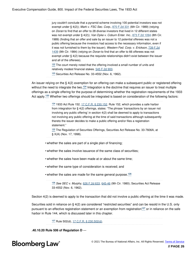jury couldn't conclude that a pyramid scheme involving 100 potential investors was not exempt under § 4(2)); *Mark v. FSC Sec. Corp.*, [870 F.2d 331](https://www.bloomberglaw.com/product/bec/document/1?citation=870%20F.2d%20331&summary=yes#jcite) (6th Cir. 1989) (relying on *Doran* to find that an offer to 28 diverse investors that lived in 12 different states was not exempt under § 4(2)); *Van Dyke v. Coburn Enter. Inc.*, [873 F.2d 1094](https://www.bloomberglaw.com/product/bec/document/1?citation=873%20F.2d%201094&summary=yes#jcite) (8th Cir. 1989) (finding that an offer and sale by an issuer to 12 potential offerees was not a public offering because the investors had access to the necessary information, even if it was not furnished to them by the issuer); *Western Fed. Corp. v. Erickson*, [739 F.2d](https://www.bloomberglaw.com/product/bec/document/1?citation=739%20F.2d%201439&summary=yes#jcite) [1439](https://www.bloomberglaw.com/product/bec/document/1?citation=739%20F.2d%201439&summary=yes#jcite) (9th Cir. 1984) (relying on *Doran* to find that an offer to 66 offerees was not exempt under § 4(2) because the requisite relationships didn't exist between the issuer and all of the offerees).

<span id="page-26-0"></span>**[122](#page-25-10)** The court merely noted that the offering involved a small number of units and relatively modest financial stakes. [545 F.2d 900.](https://www.bloomberglaw.com/product/bec/document/1?citation=545%20F.2d%20900&summary=yes#jcite)

<span id="page-26-4"></span><span id="page-26-1"></span>**[123](#page-25-11)** Securities Act Release No. 33-4552 (Nov. 6, 1962).

An issuer relying on the § 4(2) exemption for an offering can make a subsequent public or registered offering without the need to integrate the two.**[124](#page-26-2)** Integration is the doctrine that requires an issuer to treat multiple offerings as a single offering for the purpose of determining whether the registration requirements of the 1933 Act apply.**[125](#page-26-3)** Whether two offerings should be integrated is based on consideration of the following factors:

> <span id="page-26-5"></span><span id="page-26-2"></span>**[124](#page-26-4)** 1933 Act Rule 152, [17 C.F.R. § 230.152](https://www.bloomberglaw.com/product/bec/document/1?citation=17%20CFR%20230.152&summary=yes#jcite). Rule 152, which provides a safe harbor from integration for § 4(2) offerings, states: "The phrase 'transactions by an issuer not involving any public offering' in section 4(2) shall be deemed to apply to transactions not involving any public offering at the time of said transactions although subsequently thereto the issuer decides to make a public offering and/or files a registration statement."

<span id="page-26-3"></span>**[125](#page-26-5)** The Regulation of Securities Offerings, Securities Act Release No. 33-7606A, at § X(A) (Nov. 17, 1998).

- whether the sales are part of a single plan of financing;
- whether the sales involve issuance of the same class of securities;
- whether the sales have been made at or about the same time;
- whether the same type of consideration is received; and
- whether the sales are made for the same general purpose.**[126](#page-26-6)**

<span id="page-26-7"></span><span id="page-26-6"></span>**[126](#page-26-7)** *See SEC v. Murphy*, [626 F.2d 633](https://www.bloomberglaw.com/product/bec/document/1?citation=626%20F.2d%20633&summary=yes#jcite), [645-46](https://www.bloomberglaw.com/product/bec/document/1?citation=626%20F.2d%20645&summary=yes#jcite) (9th Cir. 1980); Securities Act Release 33-4552 (Nov. 6, 1962).

Section 4(2) is deemed to apply to the transaction that did not involve a public offering at the time it was made.

Securities sold in reliance on § 4(2) are considered "restricted securities" and can be resold in the U.S. only pursuant to an effective registration statement or an exemption from registration**[127](#page-26-8)** or in reliance on the safe harbor in Rule 144, which is discussed later in this chapter.

<span id="page-26-9"></span><span id="page-26-8"></span>**[127](#page-26-9)** Rule 502(d), [17 C.F.R. § 230.502\(d\)](https://www.bloomberglaw.com/product/bec/document/1?citation=17%20CFR%20230.502(d)&summary=yes#jcite).

**.40.10.20 Rule 506 of Regulation D** —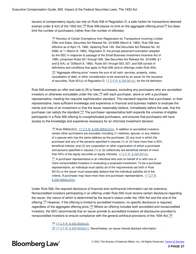Issuers of compensatory equity can rely on Rule 506 of Regulation D, a safe harbor for transactions deemed exempt under § 4(2) of the 1933 Act.**[128](#page-27-0)** Rule 506 places no limit on the aggregate offering price**[129](#page-27-1)** but does limit the number of purchasers (rather than the number of offerees).

> <span id="page-27-3"></span><span id="page-27-2"></span><span id="page-27-0"></span>**[128](#page-27-2)** Revision of Certain Exemptions from Registration for Transactions Involving Limited Offer and Sales, Securities Act Release No. 33-6389 (March 8, 1982). Rule 506 was effective as of April 15, 1982, replacing Rule 146. *See* Securities Act Release No. 33- 6389, at \*1 (March 8, 1982). Regulation D, the private placement exemption adopted by the SEC in response to passage of the Small Business Investment Incentive Act of 1980, comprises Rules 501 through 508. *See* Securities Act Release No. 33-6389, § I and § II(A), at \*2(March 8, 1982). Rules 501 through 503, 507, and 508 consist of definitions and conditions that apply to Rule 506 (and to offerings under Rule 504). **[129](#page-27-3)** "Aggregate offering price" means the sum of all cash, services, property, notes, cancellation of debt, or other consideration to be received by an issuer for the issuance of securities. Rule 501(c) of Regulation D, [17 C.F.R. § 230.501\(c\),](https://www.bloomberglaw.com/product/bec/document/1?citation=17%20CFR%20230.501(c)&summary=yes#jcite) for the full definition.

<span id="page-27-1"></span>Rule 506 exempts an offer and sale to 35 or fewer purchasers, excluding any purchasers who are accredited investors or otherwise excludable under the rule,**[130](#page-27-4)** with each purchaser, alone or with a purchaser representative, meeting the requisite sophistication standard. This standard requires that a purchaser, or their representative, have sufficient knowledge and experience in financial and business matters to evaluate the merits and risks of an investment or that the issuer reasonably believe, immediately before the sale, that the purchaser can satisfy the standard.**[131](#page-27-5)** The purchaser representative both expands the universe of eligible participants in a Rule 506 offering to unsophisticated purchasers, and ensures that purchasers will have access to the knowledge and experience necessary for an informed investment decision.

> <span id="page-27-7"></span><span id="page-27-6"></span><span id="page-27-4"></span>**[130](#page-27-6)** Rule 506(b)(2)(i), [17 C.F.R. § 230.506\(b\)\(2\)\(i\)](https://www.bloomberglaw.com/product/bec/document/1?citation=17%20CFR%20230.506(b)(2)(i)&summary=yes#jcite). In addition to accredited investors, certain other purchasers are excluded, including (1) relatives, spouse, or any relative of a spouse who has the same address as the purchaser; (2) any trust in which the purchaser and any of the persons specified in clauses (1) or (3) have more than a 50% beneficial interest; and (3) any corporation or other organization of which a purchaser and persons specified in clauses (1) or (2) collectively are beneficial owners of more than 50% of the equity securities or equity interests. [17 C.F.R. § 230.501\(e\).](https://www.bloomberglaw.com/product/bec/document/1?citation=17%20CFR%20230.501(e)&summary=yes#jcite)

<span id="page-27-5"></span>**[131](#page-27-7)** A purchaser representative is an individual who acts on behalf of or with one or more nonaccredited investors in evaluating a proposed investment. To be a purchaser representative, an individual must satisfy all of the requirements set forth in Rule 501(h) or the issuer must reasonably believe that the individual satisfies all of the criteria. A purchaser may have more than one purchaser representative. [17 C.F.R.](https://www.bloomberglaw.com/product/bec/document/1?citation=17%20CFR%20230.506(b)(2)(ii)&summary=yes#jcite) [§ 230.506\(b\)\(2\)\(ii\)](https://www.bloomberglaw.com/product/bec/document/1?citation=17%20CFR%20230.506(b)(2)(ii)&summary=yes#jcite).

<span id="page-27-10"></span>Under Rule 506, the required disclosure of financial and nonfinancial information can be extensive. Nonaccredited investors participating in an offering under Rule 506 must receive certain disclosure regarding the issuer, the nature of which is determined by the issuer's status under the 1934 Act and the size of the offering.**[132](#page-27-8)** However, if the offering is limited to accredited investors, no specific disclosure is required, regardless of the aggregate offering price.**[133](#page-27-9)** Where an offering includes both accredited and nonaccredited investors, the SEC recommends that an issuer provide to accredited investors all disclosures provided to nonaccredited investors to ensure compliance with the general antifraud provisions of the 1934 Act.**[134](#page-28-0)**

<span id="page-27-11"></span><span id="page-27-8"></span>**[132](#page-27-10)** [17 C.F.R. § 230.502\(b\)\(2\)](https://www.bloomberglaw.com/product/bec/document/1?citation=17%20CFR%20230.502(b)(2)&summary=yes#jcite).

<span id="page-27-12"></span><span id="page-27-9"></span>**[133](#page-27-11)** [17 C.F.R. § 230.502\(b\)\(1\)](https://www.bloomberglaw.com/product/bec/document/1?citation=17%20CFR%20230.502(b)(1)&summary=yes#jcite). Nevertheless, an issuer should disclose information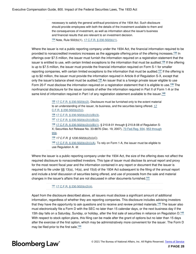necessary to satisfy the general antifraud provisions of the 1934 Act. Such disclosure should provide employees with both the details of the investment available to them and the consequences of investment, as well as information about the issuer's business and financial results that are relevant to an investment decision.

<span id="page-28-8"></span><span id="page-28-7"></span><span id="page-28-0"></span>**[134](#page-27-12)** Note, Rule 502(b)(1), [17 C.F.R. § 230.502\(b\)\(1\)](https://www.bloomberglaw.com/product/bec/document/1?citation=17%20CFR%20230.502(b)(1)&summary=yes#jcite).

Where the issuer is not a public reporting company under the 1934 Act, the financial information required to be provided to nonaccredited investors increases as the aggregate offering price of the offering increases.**[135](#page-28-1)** In offerings over \$7.5 million, the issuer must furnish the information required on a registration statement that the issuer is entitled to use, with certain limited exceptions to the information that must be audited.**[136](#page-28-2)** If the offering is up to \$7.5 million, the issuer must provide the financial information required on Form S-1 for smaller reporting companies, with certain limited exceptions to the information that must be audited.**[137](#page-28-3)** If the offering is up to \$2 million, the issuer must provide the information required in Article 8 of Regulation S-X, except that only the issuer's balance sheet must be audited.**[138](#page-28-4)** An issuer that is a foreign private issuer eligible to use Form 20-F must disclose the information required on a registration statement that it is eligible to use.**[139](#page-28-5)** The nonfinancial disclosure for the issuer consists of either the information required in Part II of Form 1-A or the same kind of information required in Part I of any registration statement available to the issuer.**[140](#page-28-6)**

> <span id="page-28-12"></span><span id="page-28-11"></span><span id="page-28-10"></span><span id="page-28-9"></span><span id="page-28-4"></span><span id="page-28-3"></span><span id="page-28-2"></span><span id="page-28-1"></span>**[135](#page-28-7)** [17 C.F.R. § 230.502\(b\)\(2\)](https://www.bloomberglaw.com/product/bec/document/1?citation=17%20CFR%20230.502(b)(2)&summary=yes#jcite). Disclosure must be furnished only to the extent material to an understanding of the issuer, its business, and the securities being offered. [17](https://www.bloomberglaw.com/product/bec/document/1?citation=17%20CFR%20230.502(b)(2)(i)&summary=yes#jcite) [C.F.R. § 230.502\(b\)\(2\)\(i\).](https://www.bloomberglaw.com/product/bec/document/1?citation=17%20CFR%20230.502(b)(2)(i)&summary=yes#jcite) **[136](#page-28-8)** [17 C.F.R. § 230.502\(b\)\(2\)\(i\)\(B\)\(3\)](https://www.bloomberglaw.com/product/bec/document/1?citation=17%20CFR%20230.502(b)(2)(i)(b)(3)&summary=yes#jcite). **[137](#page-28-9)** [17 C.F.R. § 230.502\(b\)\(2\)\(i\)\(B\)\(2\)](https://www.bloomberglaw.com/product/bec/document/1?citation=17%20CFR%20230.502(b)(2)(i)(b)(2)&summary=yes#jcite). **[138](#page-28-10)** [17 C.F.R. § 230.502\(b\)\(2\)\(i\)\(B\)\(1\)](https://www.bloomberglaw.com/product/bec/document/1?citation=17%20CFR%20230.502(b)(2)(i)(b)(1)&summary=yes#jcite). § 210.8-01 through § 210.8-08 of Regulation S-X; Securities Act Release No. 33-8876 (Dec. 19, 2007), [73 Fed.Reg. 934](https://www.bloomberglaw.com/product/bec/document/1?citation=73%20FR%20934&summary=yes#jcite), [953 through](https://www.bloomberglaw.com/product/bec/document/1?citation=73%20FR%20953&summary=yes#jcite) [956](https://www.bloomberglaw.com/product/bec/document/1?citation=73%20FR%20953&summary=yes#jcite). **[139](#page-28-11)** *17 C.F.R. § 1230.502(b)(2)(i)(C)*. **[140](#page-28-12)** [17 C.F.R. § 230.502\(b\)\(2\)\(i\)\(A\)](https://www.bloomberglaw.com/product/bec/document/1?citation=17%20CFR%20230.502(b)(2)(i)(a)&summary=yes#jcite). To rely on Form 1-A, the issuer must be eligible to use Regulation A. *Id.*

<span id="page-28-6"></span><span id="page-28-5"></span>Where the issuer is a public reporting company under the 1934 Act, the size of the offering does not affect the required disclosure to nonaccredited investors. This type of issuer must disclose its annual report and proxy for the most recent fiscal year and the information contained in any report or document that the issuer is required to file under §§ 13(a), 14(a), and 15(d) of the 1934 Act subsequent to the filing of the annual report and include a brief discussion of securities being offered, and use of proceeds from the sale and material changes in the issuer's affairs that are not discussed in other documents furnished.**[141](#page-28-13)**

#### <span id="page-28-17"></span><span id="page-28-16"></span><span id="page-28-15"></span><span id="page-28-14"></span><span id="page-28-13"></span>**[141](#page-28-14)** [17 C.F.R. § 230.502\(b\)\(2\)\(ii\)](https://www.bloomberglaw.com/product/bec/document/1?citation=17%20CFR%20230.502(b)(2)(ii)&summary=yes#jcite).

Apart from the disclosure described above, all issuers must disclose a significant amount of additional information, regardless of whether they are reporting companies. This disclosure includes advising investors that they have the opportunity to ask questions and to receive and review printed materials.**[142](#page-29-0)** The issuer also must electronically file a Form D with the SEC no later than 15 calendar days, or the next business day if the 15th day falls on a Saturday, Sunday, or holiday, after the first sale of securities in reliance on Regulation D.**[143](#page-29-1)** With respect to stock option plans, this filing can be made after the grant of options but no later than 15 days after the exercise of the first option, which may be administratively more convenient for the issuer. The Form D may be filed prior to the first sale.<sup>[144](#page-29-2)</sup>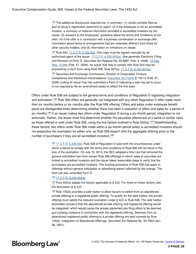<span id="page-29-1"></span><span id="page-29-0"></span>**[142](#page-28-15)** The additional disclosures required are, in summary: (1) certain exhibits filed as part of issuer's registration statement or report; (2) if the employee is not an accredited investor, a summary of material information provided to accredited investors by the issuer; (3) answers to the employees' questions about the terms and conditions of the offer; (4) if the offer is in connection with a business combination or exchange offer, information about terms or arrangements that are materially different from those for other security holders; and (5) information on limitations on resale. **[143](#page-28-16)** Rule 503, [17 C.F.R. § 230.503](https://www.bloomberglaw.com/product/bec/document/1?citation=17%20CFR%20230.503&summary=yes#jcite). One copy must be signed manually by an authorized agent of the issuer. [17 C.F.R. § 230.503\(b\).](https://www.bloomberglaw.com/product/bec/document/1?citation=17%20CFR%20230.503(b)&summary=yes#jcite) *See generally* Electronic Filing and Revision of Form D, Securities Act Release No. 33-8891 (Feb. 6, 2008), [73 Fed.](https://www.bloomberglaw.com/product/bec/document/1?citation=73%20FR%2010592&summary=yes#jcite) [Reg. 10,592](https://www.bloomberglaw.com/product/bec/document/1?citation=73%20FR%2010592&summary=yes#jcite) (Feb. 27, 2008). An issuer that fails to comply with Rule 503 may be enjoined by a court from using Rule 506. Rule 507(a), [17 C.F.R. § 230.507\(a\)](https://www.bloomberglaw.com/product/bec/document/1?citation=17%20CFR%20230.507(a)&summary=yes#jcite). **[144](#page-28-17)** Securities and Exchange Commission, Division of Corporation Finance, Compliance and Disclosure Interpretations: [Securities Act Forms](http://www.sec.gov/divisions/corpfin/guidance/safinterp.htm) § 130.12 (Feb. 27,

<span id="page-29-7"></span><span id="page-29-2"></span>2009) (noting an issuer that has submitted a Form D indicating a sale has yet to occur is not required to file an amendment solely to reflect the first sale).

<span id="page-29-8"></span>Offers under Rule 506 are subject to the general terms and conditions of Regulation D regarding integration and solicitation.**[145](#page-29-3)** Rule 506 offers are generally not integrated with any other Regulation D offer made more than six months before or six months after the Rule 506 offering. Offers and sales under employee benefit plans are disregarded when determining whether there has been a cessation of offers and sales for a period of six months.**[146](#page-29-4)** If an issuer makes two offers under Regulation D during a six-month period, integration is not automatic. Rather, the issuer must first determine whether the securities offered are of a same or similar class as those offered or sold under Rule 506, using the five factors outlined in Rule 502(a).**[147](#page-29-5)** Notwithstanding these factors, two offers under Rule 506 made within a six-month period solely to accredited investors should not jeopardize the exemption for either one, as Rule 506 doesn't limit the aggregate offering price or the number of purchasers if they are all accredited investors.**[148](#page-29-6)**

> <span id="page-29-10"></span><span id="page-29-9"></span><span id="page-29-3"></span>**[145](#page-29-7)** [17 C.F.R. § 230.502](https://www.bloomberglaw.com/product/bec/document/1?citation=17%20CFR%20230.502&summary=yes#jcite). Rule 508 of Regulation D sets forth the circumstances under which a failure to comply with the terms and conditions of Rule 506 will not result in the loss of the exemption. On July 10, 2013, the SEC adopted a final rule that removed the general solicitation ban from certain Rule 506 offerings in which sales of securities are limited to accredited investors and the issuer takes reasonable steps to verify that the purchasers are accredited investors. The existing provisions of Rule 506 that apply to offerings without general solicitation or advertising weren't affected by the change. The final rule also amended Form D.

#### <span id="page-29-4"></span>**[146](#page-29-8)** [17 C.F.R. § 230.502\(a\)](https://www.bloomberglaw.com/product/bec/document/1?citation=17%20CFR%20230.502(a)&summary=yes#jcite)

<span id="page-29-5"></span>**[147](#page-29-9)** Rule 502(a) adopts the factors applicable to § 4(2). For more on these factors, see the discussion at  $\S$  4(2).

<span id="page-29-6"></span>**[148](#page-29-10)** Rule 155(b) provides a safe harbor to allow issuers to switch from an abandoned private offering to a registered public offering. To qualify for the safe harbor, the private offering must satisfy the relevant exemption under § 4(2) or Rule 506. The safe harbor eliminates concerns that the abandoned private offering and registered offering would be integrated, which would cause the private placement pre-filing offers to be deemed gun-jumping violations in connection with the registered offering. Switches from an abandoned registered public offering to a private offering are also covered by Rule 155(b). Integration of Abandoned Offerings, Securities Act Release No. 33-7943 (Jan. 26, 2001).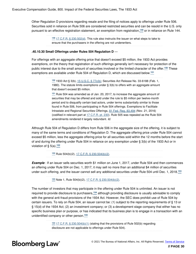Other Regulation D provisions regarding resale and the filing of notices apply to offerings under Rule 506. Securities sold in reliance on Rule 506 are considered restricted securities and can be resold in the U.S. only pursuant to an effective registration statement, an exemption from registration,**[149](#page-30-0)** or in reliance on Rule 144.

> <span id="page-30-1"></span><span id="page-30-0"></span>**[149](#page-30-1)** [17 C.F.R. § 230.502\(d\)](https://www.bloomberglaw.com/product/bec/document/1?citation=17%20CFR%20230.502(d)&summary=yes#jcite). This rule also instructs the issuer on what steps to take to ensure that the purchasers in the offering are not underwriters.

#### **.40.10.30 Small Offerings under Rules 504 Regulation D** —

For offerings with an aggregate offering price that doesn't exceed \$5 million, the 1933 Act provides exemptions, on the theory that registration of such offerings generally isn't necessary for protection of the public interest due to the small amount of securities involved or the limited character of the offer.**[150](#page-30-2)** These exemptions are available under Rule 504 of Regulation D, which are discussed below.**[151](#page-30-3)**

> <span id="page-30-5"></span><span id="page-30-4"></span><span id="page-30-2"></span>**[150](#page-30-4)** 1933 Act § 3(b), [15 U.S.C. § 77c\(b\)](https://www.bloomberglaw.com/product/bec/document/1?citation=15%20USC%2077c(b)&summary=yes#jcite); Securities Act Release No. 33-6188 (Feb. 1, 1980). The statute limits exemptions under § 3(b) to offers with an aggregate amount that doesn't exceed \$5 million.

<span id="page-30-3"></span>**[151](#page-30-5)** Rule 504 was amended as of Jan. 20, 2017, to increase the aggregate amount of securities that may be offered and sold under the rule to \$5 million per twelve-month period and to disqualify certain bad actors, under terms substantially similar to those found in Rule 506, from participating in Rule 504 offerings. Exemptions to Facilitate Intrastate and Regional Securities Offerings, [81 Fed. Reg. 83,494](https://www.bloomberglaw.com/product/bec/document/1?citation=81%20FR%2083494&summary=yes#jcite) (Nov. 21, 2016) (codified in relevant part at [17 C.F.R. pt. 230](https://www.bloomberglaw.com/product/bec/document/1?citation=17%20CFR%20230&summary=yes#jcite)). Rule 505 was repealed as the Rule 504 amendments rendered it largely redundant. *Id.*

Although Rule 504 of Regulation D differs from Rule 506 in the aggregate size of the offering, it is subject to many of the same terms and conditions of Regulation D. The aggregate offering price under Rule 504 cannot exceed \$5 million, less the aggregate offering price for all securities sold within the 12 months before the start of and during the offering under Rule 504 in reliance on any exemption under § 3(b) of the 1933 Act or in violation of  $\S$  5(a)  $\frac{152}{152}$  $\frac{152}{152}$  $\frac{152}{152}$ 

<span id="page-30-7"></span><span id="page-30-6"></span>**[152](#page-30-7)** Rule 504(b)(2), [17 C.F.R. § 230.504\(b\)\(2\)](https://www.bloomberglaw.com/product/bec/document/1?citation=17%20CFR%20230.504(b)(2)&summary=yes#jcite).

**Example**: If an issuer sells securities worth \$1 million on June 1, 2017, under Rule 504 and then commences an offering under Rule 504 on Dec. 1, 2017, it may sell no more than an additional \$4 million of securities under such offering, and the issuer cannot sell any additional securities under Rule 504 until Dec. 1, 2018.**[153](#page-30-8)**

<span id="page-30-11"></span><span id="page-30-9"></span><span id="page-30-8"></span>**[153](#page-30-9)** Note 1, Rule 504(b)(2), [17 C.F.R. § 230.504\(b\)\(2\).](https://www.bloomberglaw.com/product/bec/document/1?citation=17%20CFR%20230.504(b)(2)&summary=yes#jcite)

The number of investors that may participate in the offering under Rule 504 is unlimited. An issuer is not required to provide disclosure to purchasers,**[154](#page-30-10)** although providing disclosure is usually advisable to comply with the general anti-fraud provisions of the 1934 Act. However, the SEC does prohibit use of Rule 504 by certain issuers. To rely on Rule 504, an issuer cannot be: (1) subject to the reporting requirements of § 13 or § 15(d) of the 1934 Act; (2) an investment company; or (3) a development stage company that either has no specific business plan or purpose, or has indicated that its business plan is to engage in a transaction with an unidentified company or other person.**[155](#page-31-0)**

> <span id="page-30-12"></span><span id="page-30-10"></span>**[154](#page-30-11)** [17 C.F.R. § 230.504\(b\)\(1\)](https://www.bloomberglaw.com/product/bec/document/1?citation=17%20CFR%20230.504(b)(1)&summary=yes#jcite) (stating that the provisions of Rule 502(b) regarding disclosure are not applicable to offerings under Rule 504).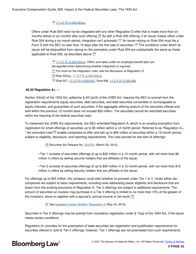<span id="page-31-5"></span><span id="page-31-0"></span>**[155](#page-30-12)** [17 C.F.R. § 230.504\(a\)](https://www.bloomberglaw.com/product/bec/document/1?citation=17%20CFR%20230.504(a)&summary=yes#jcite).

Offers under Rule 504 need not be integrated with any other Regulation D offer that is made more than six months before or six months after such offering.**[156](#page-31-1)** As with a Rule 506 offering, if an issuer makes offers under Rule 504 during a six-month period, integration isn't automatic.**[157](#page-31-2)** An issuer relying on Rule 504 must file a Form D with the SEC no later than 15 days after the first sale of securities.**[158](#page-31-3)** The conditions under which an issuer will be disqualified from relying on the exemption under Rule 504 are substantially the same as those applicable to Rule 506, as described above.**[159](#page-31-4)**

> <span id="page-31-8"></span><span id="page-31-7"></span><span id="page-31-6"></span><span id="page-31-4"></span><span id="page-31-3"></span><span id="page-31-2"></span><span id="page-31-1"></span> [17 C.F.R. § 230.502\(a\)](https://www.bloomberglaw.com/product/bec/document/1?citation=17%20CFR%20230.502(a)&summary=yes#jcite). Offers and sales under an employee benefit plan are disregarded when determining whether integration is required. For more on the integration rules, see the discussion at Regulation D. Rule 503(a), [17 C.F.R. § 230.503\(a\)](https://www.bloomberglaw.com/product/bec/document/1?citation=17%20CFR%20230.503(a)&summary=yes#jcite). Rule 507, [17 C.F.R. § 230.507](https://www.bloomberglaw.com/product/bec/document/1?citation=17%20CFR%20230.507&summary=yes#jcite); Rule 508, [17 C.F.R. § 230.508](https://www.bloomberglaw.com/product/bec/document/1?citation=17%20CFR%20230.508&summary=yes#jcite).

#### **.40.20 Regulation A+** —

Section 3(b)(2) of the 1933 Act, added by § 401(a)(2) of the JOBS Act, requires the SEC to exempt from the registration requirements equity securities, debt securities, and debt securities convertible or exchangeable to equity interests, and guarantees of such securities, if the aggregate offering amount of the securities offered and sold within the previous 12 months does not exceed \$50 million. The securities cannot be restricted securities within the meaning of the federal securities laws.

To implement the JOBS Act requirements, the SEC amended Regulation A, which is an existing exemption from registration for small offerings of securities up to \$5 million within a 12-month period. Referred to as "Regulation A+, " the amended rules**[160](#page-31-9)** enable companies to offer and sell up to \$50 million of securities within a 12-month period, subject to eligibility, disclosure, and reporting requirements. The rules provide for two tiers of offerings:

<span id="page-31-10"></span><span id="page-31-9"></span>**[160](#page-31-10)** Securities Act Release No. [33-9741](http://www.sec.gov/rules/final/2015/33-9741.pdf) (March 25, 2015).

• Tier 1 consists of securities offerings of up to \$20 million in a 12-month period, with not more than \$6 million in offers by selling security holders that are affiliates of the issuer.

• Tier 2 consists of securities offerings of up to \$50 million in a 12-month period, with not more than \$15 million in offers by selling security holders that are affiliates of the issuer.

For offerings up to \$20 million, the company could elect whether to proceed under Tier 1 or 2. Under either tier, companies are subject to basic requirements, including ones addressing issuer eligibility and disclosure that are drawn from the existing provisions of Regulation A. Tier 2 offerings are subject to additional requirements. The amount of securities an investor may purchase in a Tier 2 offering is limited to no more than 10% of the greater of the investor's, alone or together with a spouse's, annual income or net worth.**[161](#page-31-11)**

<span id="page-31-12"></span><span id="page-31-11"></span>**[161](#page-31-12)** *See* [Updated Investor Bulletin: Regulation A](https://www.sec.gov/oiea/investor-alerts-bulletins/ib_regulationa.html) (May 24, 2019).

Securities in Tier 2 offerings may be exempt from mandatory registration under § 12(g) of the 1934 Act, if the issuer meets certain conditions.

Regulation A+ provides for the preemption of state securities law registration and qualification requirements for securities offered or sold to Tier 2 offerings; however, Tier 1 offerings are not preempted from such requirements.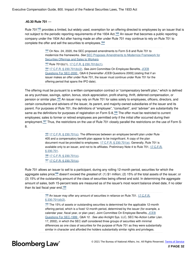#### **.40.30 Rule 701** —

<span id="page-32-3"></span>Rule 701**[162](#page-32-0)** provides a limited, but widely used, exemption for an offering directed to employees by an issuer that is not subject to the periodic reporting requirements of the 1934 Act.**[163](#page-32-1)** An issuer that becomes a public reporting company under the 1934 Act after having made an offer under Rule 701 may continue to rely on Rule 701 to complete the offer and sell the securities to employees.**[164](#page-32-2)**

> <span id="page-32-5"></span><span id="page-32-4"></span><span id="page-32-2"></span><span id="page-32-1"></span><span id="page-32-0"></span>**[162](#page-32-3)** On Nov. 24, 2020, the SEC proposed amendments to Form S-8 and Rule 701 to modernize the frameworks. *See* [SEC Proposes Amendments to Modernize Framework for](https://www.sec.gov/news/press-release/2020-294) [Securities Offerings and Sales to Workers](https://www.sec.gov/news/press-release/2020-294). **[163](#page-32-4)** Rule 701(b)(1), [17 C.F.R. § 230.701\(b\)\(1\)](https://www.bloomberglaw.com/product/bec/document/1?citation=17%20CFR%20230.701(b)(1)&summary=yes#jcite). **[164](#page-32-5)** [17 C.F.R. § 230.701\(b\)\(2\)](https://www.bloomberglaw.com/product/bec/document/1?citation=17%20CFR%20230.701(b)(2)&summary=yes#jcite). *See* Joint Committee On Employee Benefits, [JCEB](https://www.americanbar.org/content/dam/aba/events/employee_benefits/2000_sec.pdf) [Questions](https://www.americanbar.org/content/dam/aba/events/employee_benefits/2000_sec.pdf) [For SEC-2000](https://www.americanbar.org/content/dam/aba/events/employee_benefits/2000_sec.pdf) , Q&A 6 [hereinafter JCEB Questions 2000] (stating that if an issuer makes an offer under Rule 701, the issuer must continue under Rule 701 for the offering period that spans the IPO date).

<span id="page-32-9"></span>The offering must be pursuant to a written compensation contract or "compensatory benefit plan," which is defined as any purchase, savings, option, bonus, stock appreciation, profit-sharing, thrift, deferred compensation, or pension or similar plan.**[165](#page-32-6)** An issuer may rely on Rule 701 for sales solely to employees, officers, directors, and certain consultants and advisers of the issuer, its parent, and majority-owned subsidiaries of the issuer and its parent. For purposes of Rule 701, the definitions of "employee", "consultant", and "adviser" are substantially the same as the definitions for purposes of registration on Form S-8.**[166](#page-32-7)** The offer must be restricted to current employees; sales to former or retired employees are permitted only if the initial offer occurred during their employment.**[167](#page-32-8)** Thus, the restrictions on the use of Rule 701 closely parallel the restrictions on the use of Form S-8.

> <span id="page-32-11"></span><span id="page-32-10"></span><span id="page-32-6"></span>**[165](#page-32-9)** [17 C.F.R. § 230.701\(c\).](https://www.bloomberglaw.com/product/bec/document/1?citation=17%20CFR%20230.701(c)&summary=yes#jcite) The differences between an employee benefit plan under Rule 405 and a compensatory benefit plan appear to be insignificant. A copy of the plan document must be provided to employees. [17 C.F.R. § 230.701\(e\)](https://www.bloomberglaw.com/product/bec/document/1?citation=17%20CFR%20230.701(e)&summary=yes#jcite). Generally, Rule 701 is available only to an issuer, and not to its affiliates. Preliminary Note 4 to Rule 701, [17 C.F.R.](https://www.bloomberglaw.com/product/bec/document/1?citation=17%20CFR%20230.701&summary=yes#jcite) [§ 230.701](https://www.bloomberglaw.com/product/bec/document/1?citation=17%20CFR%20230.701&summary=yes#jcite). **[166](#page-32-10)** [17 C.F.R. § 230.701\(c\).](https://www.bloomberglaw.com/product/bec/document/1?citation=17%20CFR%20230.701(c)&summary=yes#jcite)

<span id="page-32-14"></span><span id="page-32-8"></span><span id="page-32-7"></span>**[167](#page-32-11)** [17 C.F.R. § 230.701\(c\).](https://www.bloomberglaw.com/product/bec/document/1?citation=17%20CFR%20230.701(c)&summary=yes#jcite)

Rule 701 allows an issuer to sell to a participant, during any rolling 12-month period, securities for which the aggregate sales price**[168](#page-32-12)** doesn't exceed the *greatest* of: (1) \$1 million; (2) 15% of the total assets of the issuer; or (3) 15% of the outstanding amount of the class of securities being offered and sold. In determining the aggregate amount of sales, both 15-percent tests are measured as of the issuer's most recent balance sheet date, if no older than its last fiscal year end.**[169](#page-32-13)**

> <span id="page-32-15"></span><span id="page-32-12"></span>**[168](#page-32-14)** An issuer may offer any amount of securities in reliance on Rule 701. [17 C.F.R.](https://www.bloomberglaw.com/product/bec/document/1?citation=17%20CFR%20230.701(d)(2)&summary=yes#jcite) [§ 230.701\(d\)\(2\)](https://www.bloomberglaw.com/product/bec/document/1?citation=17%20CFR%20230.701(d)(2)&summary=yes#jcite).

<span id="page-32-13"></span>**[169](#page-32-15)** The 15% of assets or outstanding securities is determined for the applicable 12-month offering period, which is a fixed 12-month period, determined by the issuer (for example, a calendar year, fiscal year, or plan year). Joint Committee On Employee Benefits, [JCEB](https://www.americanbar.org/content/dam/aba/events/employee_benefits/1999_sec.pdf) [Questions For SEC-1999](https://www.americanbar.org/content/dam/aba/events/employee_benefits/1999_sec.pdf) , Q&A 12 . *See also* Arclight Sys. LLC, SEC No-Action Letter (Jan. 17, 2002), in which the SEC staff considered three groups of securities with minimal differences as one class of securities for the purpose of Rule 701 as they were substantially similar in character and afforded the holders substantially similar rights and privileges.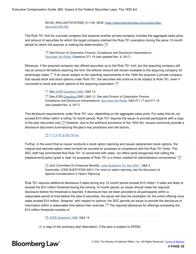DK:NA\_ARCLIGHTSYSTEMS\_011702\_NEW; [https://www.bloomberglaw.com/product/bec/](https://www.bloomberglaw.com/product/bec/document/XALSEI) [document/XALSEI.](https://www.bloomberglaw.com/product/bec/document/XALSEI)

The Rule 701 limit for a private company that acquires another private company includes the aggregate sales price and amount of securities for which the target company claimed the Rule 701 exemption during the same 12-month period for which the acquirer is making the determination.**[170](#page-33-0)**

> <span id="page-33-1"></span><span id="page-33-0"></span>**[170](#page-33-1)** *See* Division of Corporation Finance, Compliance and Disclosure Interpretations: [Securities Act Rules,](http://www.sec.gov/divisions/corpfin/guidance/securitiesactrules-interps.htm#271.19) Questions 271.19 (last updated Nov. 6, 2017).

Moreover, if the acquired company has offered securities up to the Rule 701 limit, but the acquiring company still has an amount left before reaching the limit, the leftover amount will remain available to the acquiring company for postmerger sales.**[171](#page-33-2)** If an issuer subject to the reporting requirements of the 1934 Act acquires a private company that issued stock and stock options under Rule 701, the securities will continue to be subject to Rule 701, even if converted to stock and stock options of the acquiring corporation.**[172](#page-33-3)**

> <span id="page-33-5"></span><span id="page-33-4"></span><span id="page-33-3"></span><span id="page-33-2"></span>**[171](#page-33-4)** *See* [JCEB Questions 2000](https://www.americanbar.org/content/dam/aba/events/employee_benefits/2000_sec.pdf), Q&A 13. **[172](#page-33-5)** *See* JCEB [Questions](https://www.americanbar.org/content/dam/aba/events/employee_benefits/2000_sec.pdf) 2000, Q&A 12. *See also* Division of Corporation Finance, Compliance and Disclosure Interpretations: [Securities Act Rules](http:/www.sec.gov/divisions/corpfin/guidance/securitiesactrules-interps.htm#271.17), Q&A 271.17 and 271.18 (last updated Nov. 6, 2017).

The disclosure requirements under Rule 701 vary, depending on the aggregate sales price. For sales that do not exceed \$10 million within a rolling 12-month period, Rule 701 requires the issuer to provide participants with a copy of the plan document only.**[173](#page-33-6)** However, due to the antifraud provisions of the 1934 Act, issuers commonly provide a disclosure document summarizing the plan's key provisions and risk factors.

#### <span id="page-33-7"></span><span id="page-33-6"></span>**[173](#page-33-7)** [17 C.F.R. § 230.701\(e\)](https://www.bloomberglaw.com/product/bec/document/1?citation=17%20CFR%20230.701(e)&summary=yes#jcite).

Further, in the event that an issuer conducts a stock option repricing and issues replacement stock options, the original and repriced option need not both be counted for purposes of compliance with the Rule 701 limits. The SEC staff has commented that Rule 701 "is concerned with sales, not offers [and] recognizes that calling the [replacement] option grant a 'sale' for purposes of Rule 701 is a fiction created for administrative convenience."**[174](#page-33-8)**

> <span id="page-33-9"></span><span id="page-33-8"></span>**[174](#page-33-9)** Joint Committee On Employee Benefits, [Jceb Questions For Sec-2001](https://www.americanbar.org/content/dam/aba/events/employee_benefits/2001_sec.pdf) [,](https://www.americanbar.org/content/dam/aba/events/employee_benefits/2001_sec.pdf) Q&A 2, [hereinafter JCEB QUESTIONS 2001]. For more on option repricing, see the discussion at Special Considerations in Option Repricing.

Rule 701 requires additional disclosure if sales during any 12-month period exceed \$10 million. If sales are likely to exceed the \$10 million threshold during the coming 12-month period, an issuer should make the required disclosure before the threshold is reached. If disclosure has not been provided to all participants within a reasonable period of time before the sale of securities, the issuer will lose the exemption for the entire offering once sales exceed \$10 million. However, with respect to options, the SEC permits an issuer to provide the disclosure of information within a reasonable time before their exercise.**[175](#page-33-10)** The required disclosure for offerings exceeding the \$10 million threshold consists of:

<span id="page-33-11"></span><span id="page-33-10"></span>**[175](#page-33-11)** [JCEB Questions 1999,](https://www.americanbar.org/content/dam/aba/events/employee_benefits/1999_sec.pdf) Q&A 14.

(1) a copy of the summary plan description, if the plan is subject to ERISA;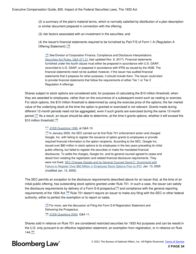(2) a summary of the plan's material terms, which is normally satisfied by distribution of a plan description or similar document prepared in connection with the offering;

(3) risk factors associated with an investment in the securities; and

(4) the issuer's financial statements required to be furnished by Part F/S of Form 1-A (Regulation A Offering Statement).**[176](#page-34-0)**

<span id="page-34-1"></span><span id="page-34-0"></span>**[176](#page-34-1)** *See* Division of Corporation Finance, Compliance and Disclosure Interpretations: [Securities Act Rules, Q&A 271.21](http://www.sec.gov/divisions/corpfin/guidance/securitiesactrules-interps.htm#271.21) (last updated Nov. 6, 2017). Financial statements furnished under the fourth clause must either be prepared in accordance with U.S. GAAP, reconciled to U.S. GAAP, or prepared in accordance with IFRS as issued by the IASB. The financial statements need not be audited; however, if the issuer has audited financial statements that it prepares for other purposes, it should include them. The issuer could elect to provide financial statements that follow the requirements of either Tier 1 or Tier 2 Regulation A offerings.

Shares subject to stock options are considered sold, for purposes of calculating the \$10 million threshold, when they are awarded to employees, rather than on the occurrence of a subsequent event such as vesting or exercise. For stock options, the \$10 million threshold is determined by using the exercise price of the options; the fair market value of the underlying stock at the time the option is granted or exercised is not relevant. Grants made during different 12-month periods need not be aggregated, even if such grants are exercised during the same 12-month period.**[177](#page-34-2)** As a result, an issuer should be able to determine, at the time it grants options, whether it will exceed the \$10 million threshold.**[178](#page-34-3)**

<span id="page-34-5"></span><span id="page-34-4"></span><span id="page-34-2"></span>**[177](#page-34-4)** [JCEB Questions 1999,](https://www.americanbar.org/content/dam/aba/events/employee_benefits/1999_sec.pdf) at Q&A 10.

<span id="page-34-3"></span>**[178](#page-34-5)** In January 2005, the SEC carried out its first Rule 701 enforcement action and charged Google, Inc. with failing to register the issuance of option grants to employees or provide required financial information to the option recipients. According to the SEC, Google Inc. issued over \$80 million in stock options to its employees in the two years preceding its initial public offering, but failed to register the securities or make the mandated financial disclosures. To settle the charges, Google Inc. and its general counsel agreed to cease and desist from violating the registration and related financial disclosure requirements. They were not fined. [SEC Charges Google and its General Counsel David C. Drummond with](http://www.sec.gov/news/press/2005-6.htm) [Failure to Register Over \\$80 Million in Employee Stock Options Prior to IPO](http://www.sec.gov/news/press/2005-6.htm), Jan. 13, 2005 (modified Jan. 13, 2005).

The SEC permits an exception to the disclosure requirements described above for an issuer that, at the time of an initial public offering, has outstanding stock options granted under Rule 701. In such a case, the issuer can satisfy the disclosure requirements by delivery of a Form S-8 prospectus**[179](#page-34-6)** and compliance with the general reporting requirements of the 1934 Act.**[180](#page-34-7)** Rule 701 doesn't require an issuer to make any filing with the SEC or other federal authority, either to perfect the exemption or to report on sales.

> <span id="page-34-9"></span><span id="page-34-8"></span><span id="page-34-7"></span><span id="page-34-6"></span>**[179](#page-34-8)** For more, see the discussion at Filing the Form S-8 Registration Statement and Delivering the Prospectus. **[180](#page-34-9)** [JCEB Questions 2000,](https://www.americanbar.org/content/dam/aba/events/employee_benefits/2000_sec.pdf) Q&A 11.

<span id="page-34-10"></span>Shares sold in reliance on Rule 701 are considered restricted securities for 1933 Act purposes and can be resold in the U.S. only pursuant to an effective registration statement, an exemption from registration, or in reliance on Rule 144.**[181](#page-35-0)**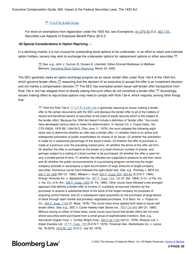#### <span id="page-35-2"></span><span id="page-35-0"></span>**[181](#page-34-10)** [17 C.F.R. § 230.701\(g\)](https://www.bloomberglaw.com/product/bec/document/1?citation=17%20CFR%20230.701(g)&summary=yes#jcite).

For more on exemptions from registration under the 1933 Act, see *Exemptions*, [44 CPS §II](https://www.bloomberglaw.com/product/bec/document/1?citation=cps%2044%20II&summary=yes#jcite).D.2; [362 T.M.](https://www.bloomberglaw.com/product/bec/document/1?citation=TM%20362&summary=yes#jcite), *Securities Law Aspects of Employee Benefit Plans*, §II.D.2.

#### **.50 Special Considerations in Option Repricing** —

In a declining market, it is not unusual for outstanding stock options to be underwater. In an effort to retain and motivate option holders, issuers may wish to exchange the underwater options for replacement options or other securities.**[182](#page-35-1)**

> <span id="page-35-5"></span><span id="page-35-4"></span><span id="page-35-1"></span>**[182](#page-35-2)** *See, e.g.*, John J. Cannon III, Doreen E. Lilienfeld, Gillian Emmett Moldowan & Matthew Behrens, [Revisiting Stock Option Repricing](https://www.shearman.com/perspectives/2020/03/revisiting-stock-option-repricing), March 20, 2020.

The SEC generally views an option exchange program as an issuer tender offer under Rule 13e-4 of the 1934 Act, which governs tender offers,**[183](#page-35-3)** reasoning that the decision of an executive to accept the offer is an investment decision and not merely a compensation decision.**[184](#page-36-0)** The SEC has exempted certain issuer self-tender offer transactions from Rule 13e-4, but has stopped short of directly stating that such offers do not constitute a tender offer.**[185](#page-36-1)** Accordingly, issuers making offers to repurchase options may need to comply with Rule 13e-4, which requires, among other things, that:

> <span id="page-35-6"></span><span id="page-35-3"></span>**[183](#page-35-4)** 1934 Act Rule 13e-4, [17 C.F.R. § 240.13e-4](https://www.bloomberglaw.com/product/bec/document/1?citation=17%20CFR%20240.13e-4&summary=yes#jcite) (generally requiring an issuer making a tender offer to file certain documents with the SEC and disclose the tender offer to all of the holders of record and beneficial owners of securities of the class of equity security which is the subject of the tender offer). Because the 1934 Act doesn't include a definition of "tender offer," the courts have developed various tests to make the determination. In *Hoover Co. v. Fuqua Indus.*, No. C79-1062A, *1979 WL 1244* (N.D. Ohio June 11, 1979), the court adopted the following eightfactor test to determine whether an offer was a tender offer: (1) whether there is an active and widespread solicitation of public shareholders for shares of an issuer; (2) whether the solicitation is made for a substantial percentage of the issuer's stock; (3) whether the offer to purchase is made at a premium over the prevailing market price; (4) whether the terms of the offer are firm; (5) whether the offer is contingent on the tender of a fixed minimum number of shares, and perhaps subject to a ceiling of a fixed number to be purchased; (6) whether the offer is open for only a limited period of time; (7) whether the offerees are subjected to pressure to sell their stock; and (8) whether the public announcements of a purchasing program concerning the target company precede or accompany a rapid accumulation of large amounts of target company securities. Numerous courts have followed this eight-factor test. *See*, *e.g.*, *Polinsky v. MCA Inc.*, [680 F.2d 1286](https://www.bloomberglaw.com/product/bec/document/1?citation=680%20F.2d%201286&summary=yes#jcite) (9th Cir. 1982); *Milstein v. Huck*, [600 F. Supp. 254](https://www.bloomberglaw.com/product/bec/document/1?citation=600%20F.%20Supp.%20254&summary=yes#jcite), [263-64](https://www.bloomberglaw.com/product/bec/document/1?citation=600%20F.%20Supp.%20263&summary=yes#jcite) (E.D.N.Y. 1984); *Energy Ventures Inc. v. Appalachian Co.,* [587 F. Supp. 734](https://www.bloomberglaw.com/product/bec/document/1?citation=587%20F.%20Supp.%20734&summary=yes#jcite), [740](https://www.bloomberglaw.com/product/bec/document/1?citation=587%20F.%20Supp.%20740&summary=yes#jcite) (D. Del. 1984); *E.H.I. of Fla. Inc. v. Ins. Co. of N. Am.*, [499 F. Supp. 1053](https://www.bloomberglaw.com/product/bec/document/1?citation=499%20F.%20Supp.%201053&summary=yes#jcite) (D. Pa. 1980). Other courts have followed a two-pronged approach that defines a tender offer to involve (1) a publicly announced intention by the purchaser to acquire a substantial block of the stock of the target company for purposes of acquiring control thereof, and (2) a subsequent rapid acquisition by the purchaser of large blocks of stock through open market and privately negotiated purchases. *S-G Secs. Inc. v. Fuqua Inv. Co.*, [466 F. Supp. 1144](https://www.bloomberglaw.com/product/bec/document/1?citation=466%20F.%20Supp.%201144&summary=yes#jcite) (D. Mass. 1978). The courts have since applied both tests to issuer selftender offers. *See*, *e.g.*, *SEC v. Carter Hawley Hale Stores Inc.*, [760 F.2d 945](https://www.bloomberglaw.com/product/bec/document/1?citation=760%20F.2d%20945&summary=yes#jcite) (9th Cir. 1985). Without relying on either of these tests, some courts have found that tender offers did not exist where securities were purchased from a small group of sophisticated investors. *See, e.g.*, *Kennecott Copper Corp. v. Curtiss-Wright Corp.*, [584 F.2d 1195](https://www.bloomberglaw.com/product/bec/document/1?citation=584%20F.2d%201195&summary=yes#jcite) (2d Cir. 1978); *Brascan Ltd. v. Edper Equities Ltd.*, [477 F. Supp. 733](https://www.bloomberglaw.com/product/bec/document/1?citation=477%20F.%20Supp.%20733&summary=yes#jcite) (S.D.N.Y. 1979); *Financial Gen. Bankshares Inc. v. Lance*, No. 78-0278, [1978 BL 327](https://www.bloomberglaw.com/product/bec/document/1?citation=1978%20BL%20327&summary=yes#jcite) (D.D.C. July 30, 1978).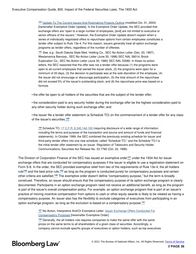<span id="page-36-0"></span>**[184](#page-35-5)** [Update To The Current Issues And Rulemaking Projects Outline](http://www.sec.gov/divisions/corpfin/repricings.htm) (modified Oct. 31, 2003) [hereinafter Exemptive Order Update]. In the Exemptive Order Update, the SEC provided that exchange offers are "open to a large number of employees, [and] are not limited to executive or senior officers of the issuers." However, the Exemptive Order Update doesn't explain when a series of individually negotiated offers to repurchase options from certain employees constitutes a tender offer subject to Rule 13e-4. For this reason, issuers generally treat all option exchange programs as tender offers, regardless of the number of offerees.

<span id="page-36-1"></span>**[185](#page-35-6)** *See*, *e.g.,* South Dakota State Med. Holding Co., SEC No-Action Letter (Dec. 20, 1997); Westamerica Bancorp., SEC No-Action Letter (June 20, 1996) SEC NAL 56014; Brock Exploration Co., SEC No-Action Letter (June 30, 1980) SEC NAL 53080. In these no-action letters, the SEC reasoned that the offer was not a tender offer because (1) the programs were open to all current employees that owned the issuer stock, (2) the programs were open for a minimum of 20 days, (3) the decision to participate was at the sole discretion of the employee, (4) the issuer did not encourage or discourage participation, (5) the total amount of the repurchase did not exceed 5% of the issuer's outstanding stock, and (6) the repurchase price was based on a formula.

• the offer be open to all holders of the securities that are the subject of the tender offer;

• the consideration paid to any security holder during the exchange offer be the highest consideration paid to any other security holder during such exchange offer; and

• the issuer file a tender offer statement (a Schedule TO) on the commencement of a tender offer for any class of the issuer's securities.**[186](#page-36-2)**

<span id="page-36-6"></span><span id="page-36-3"></span><span id="page-36-2"></span>**[186](#page-36-3)** Schedule TO, [17 C.F.R. § 240.14d-100](https://www.bloomberglaw.com/product/bec/document/1?citation=17%20CFR%20240.14d-100&summary=yes#jcite) (requiring disclosure of a wide range of information, including the terms and purpose of the transaction and source and amount of funds and financial statements). In October 1999, the SEC combined the previously existing schedule for issuer and third-party tender offers into one new schedule, called "Schedule TO," and the Schedule TO-I is the initial tender offer statement by an issuer. Regulation of Takeovers and Security Holder Communications, Securities Act Release No. 33-7760 (Oct. 22, 1999).

<span id="page-36-8"></span><span id="page-36-7"></span>The Division of Corporation Finance of the SEC has issued an exemptive order**[187](#page-36-4)** under the 1934 Act for issuer exchange offers that are conducted for compensatory purposes if the issuer is eligible to use a registration statement on Form S-8. In the order, the SEC provided exemptive relief from two of the requirements of Rule 13e-4, the all holders rule**[188](#page-36-5)** and the best price rule,**[189](#page-37-0)** as long as the program is conducted purely for compensatory purposes and certain other criteria are satisfied.**[190](#page-37-1)** The exemptive order doesn't define "compensatory purpose," but the term is broadly construed. Therefore, an issuer should ensure that the compensatory purpose of its option exchange program is clearly documented. Participants in an option exchange program need not receive an additional benefit, as long as the program is part of the issuer's overall compensation policy. For example, an option exchange program that is part of an issuer's practice of moving incentive compensation from options to cash or other equity awards is likely to be viewed as having a compensatory purpose. An issuer also has the flexibility to exclude categories of executives from participating in an option exchange program, as long as the exclusion is based on a compensatory purpose.**[191](#page-37-2)**

> <span id="page-36-10"></span><span id="page-36-9"></span><span id="page-36-4"></span>**[187](#page-36-6)** No-Action, Interpretive And/Or Exemptive Letter: [Issuer Exchange Offers Conducted For](https://www.sec.gov/divisions/corpfin/cf-noaction/repricingorder.htm) [Compensatory Purposes](https://www.sec.gov/divisions/corpfin/cf-noaction/repricingorder.htm) [hereinafter Exemptive Order].

<span id="page-36-5"></span>**[188](#page-36-7)** Generally, the all holders rule requires companies to make the same offer with the same prices on the same terms to all shareholders of a given class of securities. Accordingly, a company cannot exclude specific groups of executives or option holders, such as top executives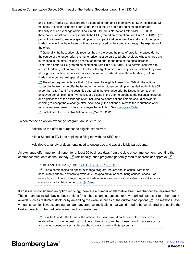and officers, from a buy-back program extended to rank-and-file employees. Such restrictions will not apply to option exchange offers under the exemptive order, giving companies greater flexibility in such exchange offers. LookSmart, Ltd., SEC No-Action Letter (Mar. 20, 2001) [hereinafter LookSmart Letter], in which the SEC granted an exemption from Rule 13e-4(f)(8)(i) to permit LookSmart to exclude special options from participation in the offer and to exclude option holders who will not have been continuously employed by the company through the expiration of the offer.

<span id="page-37-0"></span>**[189](#page-36-8)** Generally, the best price rule requires that, in the event the price offered is increased during the course of the tender offer, the higher price must be paid to all shareholders whose shares are purchased in the offer, including shares tendered prior to the date of the price increase. LookSmart Letter (SEC granted an exemption from Rule 13e-4(f)(8)(ii) to permit LookSmart to require tendering option holders to tender both eligible options and any special options they own, although such option holders will receive the same consideration as those tendering option holders who do not hold special options).

<span id="page-37-1"></span>**[190](#page-36-9)** The other requirements are that: (i) the issuer be eligible to use Form S-8, (ii) the options subject to the exchange offer be issued under an employee benefit plan, as defined in Rule 405 under the 1933 Act, (iii) the securities offered in the exchange offer be issued under such an employee benefit plan, and (iv) the issuer disclose in the offer to purchase the essential features and significance of the exchange offer, including risks that options holders should consider in deciding to accept the exchange offer. Additionally, the options subject to the repurchase offer must have been issued under an employee benefit plan. *See* [Exemptive Order](https://www.sec.gov/divisions/corpfin/cf-noaction/repricingorder.htm).

<span id="page-37-2"></span>**[191](#page-36-10)** LookSmart, Ltd., SEC No-Action Letter (Mar. 20, 2001).

To commence an option exchange program, an issuer must:

- distribute the offer to purchase to eligible executives;
- file a Schedule TO-I and applicable filing fee with the SEC; and
- distribute a variety of documents used to encourage and assist eligible participants.

An exchange offer must remain open for at least 20 business days from the date of commencement (counting the commencement date as the first day).**[192](#page-37-3)** Additionally, such programs generally require shareholder approval.**[193](#page-37-4)**

<span id="page-37-6"></span><span id="page-37-5"></span><span id="page-37-3"></span>**[192](#page-37-5)** 1934 Act Rule 13e-4(f)(1)(i), [17 C.F.R. § 240.13e-4\(f\)\(1\)\(i\)](https://www.bloomberglaw.com/product/bec/document/1?citation=17%20CFR%20240.13e-4(f)(1)(i)&summary=yes#jcite).

<span id="page-37-4"></span>**[193](#page-37-6)** Prior to commencing an option exchange program, issuers should consult with their accountants and tax advisers to avoid any unexpected tax or accounting consequences. For example, an option exchange may raise certain tax issues, such as the status of incentive stock options or deductibility under *I.R.C.* § 162(m).

If an issuer is considering an option repricing, there are a number of alternative structures that can be implemented. These methods include buying back options for cash, exchanging options for new repriced options or for other equity awards such as restricted stock, or by amending the exercise prices of the outstanding options.**[194](#page-37-7)** The methods have various securities law, accounting, tax, and governance implications that would need to be considered in choosing the best approach for the particular issuer and circumstances.

> <span id="page-37-8"></span><span id="page-37-7"></span>**[194](#page-37-8)** If available under the terms of the options, the issuer would not be expected to include a tender offer. In order to design an option exchange program that doesn't result in adverse tax or accounting consequences, an issuer should work closely with its accountant.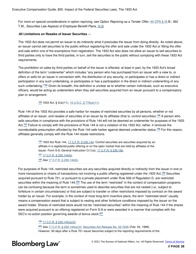For more on special considerations in option repricing, see Option *Repricing as a Tender Offer*, [44 CPS § IX](https://www.bloomberglaw.com/product/bec/document/1?citation=cps%2044%20IX&summary=yes#jcite).B.; 362 T.M., *Securities Law Aspects of Employee Benefit Plans*, [IX.B.](https://www.bloomberglaw.com/product/bec/document/1?citation=bna%20tm%20362%20ix%20b&summary=yes#jcite)

#### **.60 Limitations on Resales of Issuer Securities** —

The 1933 Act does not permit an issuer to do indirectly what it precludes the issuer from doing directly. As noted above, an issuer cannot sell securities to the public without registering the offer and sale under the 1933 Act or fitting the offer and sale within one of the exemptions from registration. The 1933 Act also does not allow an issuer to sell securities to third parties only to have the third parties, in turn, sell the securities to the public without complying with these 1933 Act requirements.

The prohibition on sales by third parties on behalf of the issuer is effected, at least in part, by the 1933 Act's broad definition of the term "underwriter" which includes "any person who has purchased from an issuer with a view to, or offers or sells for an issuer in connection with, the distribution of any security, or participates or has a direct or indirect participation in any such undertaking, or participates or has a participation in the direct or indirect underwriting of any such undertaking."**[195](#page-38-0)** Given its breadth, this definition is unclear as to whether certain individuals, such as executive officers, would be acting as underwriters when they sell securities acquired from an issuer pursuant to a compensatory plan or arrangement.

<span id="page-38-5"></span><span id="page-38-1"></span><span id="page-38-0"></span>**[195](#page-38-1)** 1933 Act, § 2(a)(11), [15 U.S.C. § 77b\(a\)\(11\)](https://www.bloomberglaw.com/product/bec/document/1?citation=15%20USC%2077b(a)(11)&summary=yes#jcite).

<span id="page-38-6"></span>Rule 144 of the 1933 Act provides a safe harbor for resales of restricted securities by all persons, whether or not affiliates of an issuer, and resales of securities of an issuer by its affiliates (that is, control securities).**[196](#page-38-2)** A person who sells securities in compliance with the provisions of Rule 144 will not be deemed an underwriter for purposes of the 1933 Act.**[197](#page-38-3)** Failure to comply with the provisions of Rule 144 is not a violation of the 1933 Act; rather, it removes the nonrebuttable presumption afforded by the Rule 144 safe harbor against deemed underwriter status.**[198](#page-38-4)** For this reason, affiliates generally comply with the Rule 144 resale restrictions.

> <span id="page-38-10"></span><span id="page-38-7"></span><span id="page-38-4"></span><span id="page-38-3"></span><span id="page-38-2"></span>**[196](#page-38-5)** 1933 Act Rule 144, [17 C.F.R. § 230.144](https://www.bloomberglaw.com/product/bec/document/1?citation=17%20CFR%20230.144&summary=yes#jcite). Control securities are securities acquired by an affiliate in a registered public offering or on the open market that are held by affiliates of the issuer. Form S-8, General Instruction C(1)(a); [17 C.F.R. § 239.16b.](https://www.bloomberglaw.com/product/bec/document/1?citation=17%20CFR%20239.16b&summary=yes#jcite) **[197](#page-38-6)** [17 C.F.R. § 230.144\(b\)](https://www.bloomberglaw.com/product/bec/document/1?citation=17%20CFR%20230.144(b)&summary=yes#jcite). **[198](#page-38-7)** *See* [17 C.F.R. § 230.144\(b\).](https://www.bloomberglaw.com/product/bec/document/1?citation=17%20CFR%20230.144(b)&summary=yes#jcite)

For purposes of Rule 144, restricted securities are any securities acquired directly or indirectly from the issuer in one or more transactions or chains of transactions not involving a public offering registered under the 1933 Act.**[199](#page-38-8)** Securities acquired pursuant to Rule 701, or pursuant to a private placement under Rule 506 of Regulation D, are restricted securities within the meaning of Rule 144.**[200](#page-38-9)** The use of the term "restricted" in the context of compensation programs can be confusing because the term is sometimes used to describe securities that are not vested (*i.e.*, subject to forfeiture in certain circumstances) or that are subject to transfer or other restrictions imposed by contract on the award holder by an issuer. For example, in the context of most long-term incentive plans, the term "restricted stock" usually means a compensation award that is subject to vesting and other forfeiture conditions imposed by the issuer on the award holder. Shares of restricted stock would not be "restricted securities" within the meaning of Rule 144 if the shares were acquired pursuant to an offering registered on Form S-8 or were awarded in a manner that complies with the SEC's no-action position governing awards of bonus stock.**[201](#page-39-0)**

#### <span id="page-38-12"></span><span id="page-38-11"></span><span id="page-38-8"></span>**[199](#page-38-10)** [17 C.F.R. § 230.144\(a\)\(3\)](https://www.bloomberglaw.com/product/bec/document/1?citation=17%20CFR%20230.144(a)(3)&summary=yes#jcite).

<span id="page-38-9"></span>**[200](#page-38-11)** *See* [17 C.F.R. § 230.144\(a\)\(3\);](https://www.bloomberglaw.com/product/bec/document/1?citation=17%20CFR%20230.144(a)(3)&summary=yes#jcite) [Securities Act Release No. 33-7645](https://www.bloomberglaw.com/product/blaw/document/X2VBE2) (Feb. 25, 1999). However, 90 days after a Rule 701 issuer becomes subject to the reporting requirements of the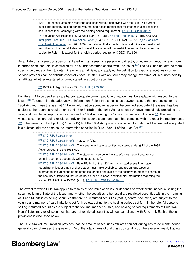<span id="page-39-0"></span>1934 Act, nonaffiliates may resell the securities without complying with the Rule 144 current public information, holding period, volume, and notice restrictions; affiliates may also resell the securities without complying with the holding period requirement. [17 C.F.R. § 230.701\(g\)](https://www.bloomberglaw.com/product/bec/document/1?citation=17%20CFR%20230.701(g)&summary=yes#jcite). **[201](#page-38-12)** Securities Act Release No. 33-6281 (Jan. 15, 1981), [46 Fed. Reg. 8446](https://www.bloomberglaw.com/product/bec/document/1?citation=46%20FR%208446&summary=yes#jcite), § III(B). *See also* [Intelligent Elecs. Inc., SEC No-Action Letter](https://www.bloomberglaw.com/product/blaw/document/XAOFED) (Aug. 20, 1991) SEC NAL 24572; [Tejas Gas Corp.,](https://www.bloomberglaw.com/product/blaw/document/XAFRBM) [SEC No-Action Letter](https://www.bloomberglaw.com/product/blaw/document/XAFRBM) (July 20, 1989) (both stating that awards of bonus stock are not restricted securities, so that nonaffiliates could resell the shares without restriction and affiliates would be subject to Rule 144, except for the holding period requirement) SEC NAL 6601.

An affiliate of an issuer, or a person affiliated with an issuer, is a person who directly, or indirectly through one or more intermediaries, controls, is controlled by, or is under common control with, the issuer.**[202](#page-39-1)** The SEC has not offered more specific guidance on how to determine who is an affiliate, and applying the definition to specific executives or other service providers can be difficult, especially because status with an issuer may change over time. All securities held by an affiliate, whether registered or unregistered, are control securities.

<span id="page-39-9"></span><span id="page-39-2"></span><span id="page-39-1"></span>**[202](#page-39-2)** 1933 Act Reg. C, Rule 405, [17 C.F.R. § 230.405](https://www.bloomberglaw.com/product/bec/document/1?citation=17%20CFR%20230.405&summary=yes#jcite).

<span id="page-39-8"></span>For Rule 144 to be used as a safe harbor, adequate current public information must be available with respect to the issuer.**[203](#page-39-3)** To determine the adequacy of information, Rule 144 distinguishes between issuers that are subject to the 1934 Act and those that are not.**[204](#page-39-4)** Public information about an issuer will be deemed adequate if the issuer has been subject to the reporting requirements of § 13 or § 15(d) of the 1934 Act for at least 90 days immediately preceding the sale, and has filed all reports required under the 1934 Act during the 12 months preceding the sale.**[205](#page-39-5)** The person whose securities are being resold can rely on the issuer's statement that it has complied with the reporting requirements. **[206](#page-39-6)** If the issuer is not subject to § 13 or § 15(d) of the 1934 Act, publicly available information will be deemed adequate if it is substantially the same as the information specified in Rule 15c2-11 of the 1934 Act.**[207](#page-39-7)**

> <span id="page-39-12"></span><span id="page-39-11"></span><span id="page-39-10"></span><span id="page-39-6"></span><span id="page-39-5"></span><span id="page-39-4"></span><span id="page-39-3"></span>**[203](#page-39-8)** [17 C.F.R. § 230.144\(c\).](https://www.bloomberglaw.com/product/bec/document/1?citation=17%20CFR%20230.144(c)&summary=yes#jcite) **[204](#page-39-9)** [17 C.F.R. § 230.144\(c\)\(1\),](https://www.bloomberglaw.com/product/bec/document/1?citation=17%20CFR%20230.144(c)(1)&summary=yes#jcite) § 230.144(c)(2). **[205](#page-39-10)** [17 C.F.R. § 230.144\(c\)\(1\).](https://www.bloomberglaw.com/product/bec/document/1?citation=17%20CFR%20230.144(c)(1)&summary=yes#jcite) The issuer may have securities registered under § 12 of the 1934 Act or pursuant to the 1933 Act. **[206](#page-39-11)** [17 C.F.R. § 230.144\(c\)\(1\).](https://www.bloomberglaw.com/product/bec/document/1?citation=17%20CFR%20230.144(c)(1)&summary=yes#jcite) The statement can be in the issuer's most recent quarterly or annual report or a separately written statement. *Id.* **[207](#page-39-12)** [17 C.F.R. § 230.144\(c\)\(2\).](https://www.bloomberglaw.com/product/bec/document/1?citation=17%20CFR%20230.144(c)(2)&summary=yes#jcite) Rule 15c2-11 of the 1934 Act, which addresses information regarding an issuer that a broker-dealer must make available, requires various types of information, including the name of the issuer, title and class of the security, number of shares of the security outstanding, nature of the issuer's business, and financial information regarding the

<span id="page-39-7"></span>issuer. 1934 Act Rule 15c2-11(a)(5), [17 C.F.R. § 240.15c2-11\(a\)\(5\)](https://www.bloomberglaw.com/product/bec/document/1?citation=17%20CFR%20240.15c2-11(a)(5)&summary=yes#jcite).

The extent to which Rule 144 applies to resales of securities of an issuer depends on whether the individual selling the securities is an affiliate of the issuer and whether the securities to be resold are restricted securities within the meaning of Rule 144. Affiliates selling securities that are *not* restricted securities (that is, control securities) are subject to the volume and manner-of-sale limitations set forth below, but not to the holding periods set forth in the rule. All persons selling restricted securities are subject to the volume, manner-of-sale, and holding period requirements of Rule 144. Nonaffiliates may resell securities that are not restricted securities without compliance with Rule 144. Each of these provisions is discussed below.

The Rule 144 volume limitation provides that the amount of securities affiliates can sell during any three-month period generally cannot exceed the greater of 1% of the total shares of that class outstanding, or the average weekly trading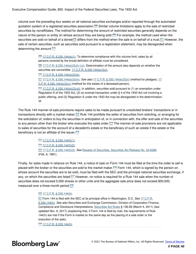volume over the preceding four weeks on all national securities exchanges and/or reported through the automated quotation system of a registered securities association.**[208](#page-40-0)** Similar volume limitations apply to the sale of restricted securities by nonaffiliates. The method for determining the amount of restricted securities generally depends on the nature of the person or entity on whose account they are being sold.**[209](#page-40-1)** For example, the method used when the securities are sold on behalf of a donee**[210](#page-40-2)** differs from the method when the sale is on behalf of a trust.**[211](#page-40-3)** However, the sale of certain securities, such as securities sold pursuant to a registration statement, may be disregarded when determining the amount.**[212](#page-40-4)**

> <span id="page-40-9"></span><span id="page-40-8"></span><span id="page-40-7"></span><span id="page-40-6"></span><span id="page-40-5"></span><span id="page-40-3"></span><span id="page-40-2"></span><span id="page-40-1"></span><span id="page-40-0"></span>**[208](#page-40-5)** [17 C.F.R. § 230.144\(e\)\(1\)](https://www.bloomberglaw.com/product/bec/document/1?citation=17%20CFR%20230.144(e)(1)&summary=yes#jcite). To determine compliance with this volume limit, sales by all persons covered by the broad definition of affiliate must be considered. **[209](#page-40-6)** [17 C.F.R. § 230.144\(e\)\(3\)\(ii\)–\(vi\).](https://www.bloomberglaw.com/product/bec/document/1?citation=17%20CFR%20230.144(e)(3)(ii)&summary=yes#jcite) Determination of the amount also depends on whether the securities are convertible. [17 C.F.R. § 230.144\(e\)\(3\)\(i\).](https://www.bloomberglaw.com/product/bec/document/1?citation=17%20CFR%20230.144(e)(3)(i)&summary=yes#jcite) **[210](#page-40-7)** [17 C.F.R. § 230.144\(e\)\(3\)\(iii\)](https://www.bloomberglaw.com/product/bec/document/1?citation=17%20CFR%20230.144(e)(3)(iii)&summary=yes#jcite). **[211](#page-40-8)** [17 C.F.R. § 230.144\(e\)\(3\)\(iv\).](https://www.bloomberglaw.com/product/bec/document/1?citation=17%20CFR%20230.144(e)(3)(iv)&summary=yes#jcite) *See also* [17 C.F.R. § 230.144\(e\)\(3\)\(ii\)](https://www.bloomberglaw.com/product/bec/document/1?citation=17%20CFR%20230.144(e)(3)(ii)&summary=yes#jcite) (method for pledgee); [17](https://www.bloomberglaw.com/product/bec/document/1?citation=17%20CFR%20230.144(e)(3)(v)&summary=yes#jcite) [C.F.R. § 230.144\(e\)\(3\)\(v\)](https://www.bloomberglaw.com/product/bec/document/1?citation=17%20CFR%20230.144(e)(3)(v)&summary=yes#jcite) (method for the estate of a deceased person). **[212](#page-40-9)** [17 C.F.R. § 230.144\(e\)\(3\)\(vii\).](https://www.bloomberglaw.com/product/bec/document/1?citation=17%20CFR%20230.144(e)(3)(vii)&summary=yes#jcite) In addition, securities sold pursuant to (1) an exemption under Regulation A of the 1933 Act, (2) an exempt transaction under § 4 of the 1933 Act not involving a public offering, and (3) Regulation S under the 1933 Act may be disregarded in the determination. *Id.*

<span id="page-40-4"></span>The Rule 144 manner-of-sale provisions require sales to be made pursuant to unsolicited brokers' transactions or in transactions directly with a market maker.**[213](#page-40-10)** Rule 144 prohibits the seller of securities from soliciting, or arranging for the solicitation of, orders to buy the securities in anticipation of, or in connection with, the offer and sale of the securities to any person other than the broker who executes the sales order.**[214](#page-40-11)** The manner-of-sale provisions are not applicable to sales of securities for the account of a decedent's estate or the beneficiary of such an estate if the estate or the beneficiary is not an affiliate of the issuer.**[215](#page-40-12)**

> <span id="page-40-15"></span><span id="page-40-14"></span><span id="page-40-13"></span><span id="page-40-12"></span><span id="page-40-11"></span><span id="page-40-10"></span> [17 C.F.R. § 230.144\(f\)\(1\).](https://www.bloomberglaw.com/product/bec/document/1?citation=17%20CFR%20230.144(f)(1)&summary=yes#jcite) [17 C.F.R. § 230.144\(f\)\(2\).](https://www.bloomberglaw.com/product/bec/document/1?citation=17%20CFR%20230.144(f)(2)&summary=yes#jcite) [17 C.F.R. § 230.144\(f\)\(3\).](https://www.bloomberglaw.com/product/bec/document/1?citation=17%20CFR%20230.144(f)(3)&summary=yes#jcite) *See* [Resales of Securities, Securities Act Release No. 33-6286](https://www.bloomberglaw.com/product/blaw/document/XAM8U7) (Feb. 6, 1981).

Finally, for sales made in reliance on Rule 144, a notice of sale on Form 144 must be filed at the time the order to sell is placed with the broker or the securities are sold to the market maker.**[216](#page-40-16)** Form 144, which is signed by the person on whose account the securities are to be sold, must be filed with the SEC and the principal national securities exchange, if any, on which the securities are listed.**[217](#page-40-17)** However, no notice is required for a Rule 144 sale when the number of securities does not exceed 5,000 shares or other units and the aggregate sale price does not exceed \$50,000, measured over a three-month period.**[218](#page-40-18)**

#### <span id="page-40-21"></span><span id="page-40-20"></span><span id="page-40-19"></span><span id="page-40-16"></span>**[216](#page-40-19)** [17 C.F.R. § 230.144\(h\)](https://www.bloomberglaw.com/product/bec/document/1?citation=17%20CFR%20230.144(h)&summary=yes#jcite).

<span id="page-40-17"></span>**[217](#page-40-20)** Form 144 is filed with the SEC at its principal office in Washington, D.C. *See* [17 C.F.R.](https://www.bloomberglaw.com/product/bec/document/1?citation=17%20CFR%20230.144(h)&summary=yes#jcite) [§ 230.144\(h\)](https://www.bloomberglaw.com/product/bec/document/1?citation=17%20CFR%20230.144(h)&summary=yes#jcite). *See also* Securities and Exchange Commission, Division of Corporation Finance, Compliance and Disclosure Interpretations: [Securities Act Rules](http://www.sec.gov/divisions/corpfin/guidance/securitiesactrules-interps.htm) § 136.09 (March 4, 2011) (last updated Nov. 6, 2017) (explaining that, if Form 144 is filed by mail, the requirements of Rule 144(h) are met if the Form is mailed on the same day as the placing of a sale order or the execution of the sale).

<span id="page-40-18"></span>**[218](#page-40-21)** [17 C.F.R. § 230.144\(h\)](https://www.bloomberglaw.com/product/bec/document/1?citation=17%20CFR%20230.144(h)&summary=yes#jcite).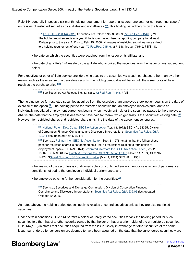Rule 144 generally imposes a six-month holding requirement for reporting issuers (one year for non-reporting issuers) on resales of restricted securities by affiliates and nonaffiliates.**[219](#page-41-0)** This holding period begins on the later of:

> <span id="page-41-1"></span><span id="page-41-0"></span>**[219](#page-41-1)** [17 C.F.R. § 230.144\(d\)\(1\)](https://www.bloomberglaw.com/product/bec/document/1?citation=17%20CFR%20230.144(d)(1)&summary=yes#jcite); Securities Act Release No. 33-8869, [72 Fed.Reg. 71546,](https://www.bloomberglaw.com/product/bec/document/1?citation=72%20FR%2071546&summary=yes#jcite) § VII. The holding requirement is one year if the issuer has not been a reporting company for at least 90 days prior to the sale. *Id* Prior to Feb. 15, 2008, all resales of restricted securities were subject to a holding requirement of one year.  $72$  Fed. Reg.  $71546$ , at 71548 through 71549, § II(B)(1).

• the date on which the securities were acquired from the issuer or its affiliate; and

• the date of any Rule 144 resale by the affiliate who acquired the securities from the issuer or any subsequent holder.

For executives or other affiliate service providers who acquire the securities via a cash purchase, rather than by other means such as the exercise of a derivative security, the holding period doesn't begin until the issuer or its affiliate receives the purchase price.**[220](#page-41-2)**

<span id="page-41-6"></span><span id="page-41-3"></span><span id="page-41-2"></span>**[220](#page-41-3)** *See* Securities Act Release No. 33-8869, [72 Fed.Reg. 71546](https://www.bloomberglaw.com/product/bec/document/1?citation=72%20FR%2071546&summary=yes#jcite), § VII.

The holding period for restricted securities acquired from the exercise of an employee stock option begins on the date of exercise of the option.**[221](#page-41-4)** The holding period for restricted securities that an employee receives pursuant to an individually negotiated employment agreement begins when investment risk for the securities passes to the employee, (that is, the date that the employee is deemed to have paid for them), which generally is the securities' vesting date.**[222](#page-41-5)** However, for restricted shares and restricted share units, it is the date of the agreement so long as:

> <span id="page-41-7"></span><span id="page-41-5"></span><span id="page-41-4"></span>**[221](#page-41-6)** [National Patent Dev. Corp., SEC No-Action Letter](https://www.bloomberglaw.com/product/bec/document/XD7HO8) (Apr. 13, 1972) SEC NAL 34325; Division of Corporation Finance, Compliance and Disclosure Interpretations: [Securities Act Rules, Q&A](https://www.sec.gov/divisions/corpfin/guidance/securitiesactrules-interps.htm) [132.11](https://www.sec.gov/divisions/corpfin/guidance/securitiesactrules-interps.htm) (last updated Nov. 6, 2017). **[222](#page-41-7)** *See, e.g.*, [Pullman Inc., SEC No-Action Letter](https://www.bloomberglaw.com/product/bec/document/XAN526) (Sept. 6, 1976) (stating that the full purchase price for restricted shares is not deemed paid until all restrictions relating to termination of employment lapse) SEC NAL 3074; [Federated Investors Inc., SEC No-Action Letter](https://www.bloomberglaw.com/product/bec/document/XDFQM1) (Feb. 2, 1976) SEC NAL 40984; [Ralph M. Parsons Co., SEC No-Action Letter](https://www.bloomberglaw.com/product/bec/document/XAN526) (March 11, 1974) SEC NAL 14774; [SSignal Cos. Inc., SEC No-Action Letter](https://www.bloomberglaw.com/product/bec/document/XAL38N) (Mar. 4, 1974) SEC NAL 11551.

• the vesting of the securities is conditioned solely on continued employment or satisfaction of performance conditions not tied to the employee's individual performance, and

• the employee pays no further consideration for the securities.**[223](#page-41-8)**

<span id="page-41-9"></span><span id="page-41-8"></span>**[223](#page-41-9)** *See, e.g.*, Securities and Exchange Commission, Division of Corporation Finance, Compliance and Disclosure Interpretations: [Securities Act Rules, Q&A 532.06](https://www.sec.gov/divisions/corpfin/guidance/securitiesactrules-interps.htm) (last updated October 19, 2016).

As noted above, the holding period doesn't apply to resales of control securities unless they are also restricted securities.

Under certain conditions, Rule 144 permits a holder of unregistered securities to tack the holding period for such securities to either that of another security owned by that holder or that of a prior holder of the unregistered securities. Rule 144(d)(3)(ii) states that securities acquired from the issuer solely in exchange for other securities of the same issuer surrendered for conversion are deemed to have been acquired on the date that the surrendered securities were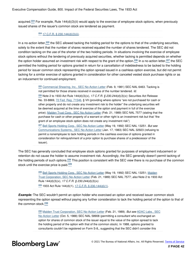<span id="page-42-1"></span>acquired.**[224](#page-42-0)** For example, Rule 144(d)(3)(ii) would apply to the exercise of employee stock options, when previously issued shares of the issuer's common stock are tendered as payment.

#### <span id="page-42-5"></span><span id="page-42-0"></span>**[224](#page-42-1)** [17 C.F.R. § 230.144\(d\)\(3\)\(ii\)](https://www.bloomberglaw.com/product/bec/document/1?citation=17%20CFR%20230.144(d)(3)(ii)&summary=yes#jcite).

In a no-action letter,**[225](#page-42-2)** the SEC allowed tacking the holding period for the options to that of the underlying securities, solely to the extent that the number of shares received equaled the number of shares tendered. The SEC did not condition tacking on the use of the shorter of the two holding periods. In situations involving the exercise of employee stock options without the tendering of previously acquired securities, whether tacking is permitted depends on whether the option holder assumed an investment risk with respect to the grant of the option.**[226](#page-42-3)** In a no-action letter,**[227](#page-42-4)** the SEC permitted the holding period for options granted in return for a cancellation of indebtedness to be tacked to the holding period for issuer common stock representing the option spread issued in a cashless option exercise, but did not permit tacking for a similar exercise of options granted in consideration for other canceled vested stock purchase rights or as an inducement for continued employment.

> <span id="page-42-7"></span><span id="page-42-6"></span><span id="page-42-3"></span><span id="page-42-2"></span>**[225](#page-42-5)** [Commercial Shearing, Inc., SEC No-Action Letter](https://www.bloomberglaw.com/product/bec/document/XAFR6M) (Feb. 9, 1981) SEC NAL 6463. Tacking is not permitted for those shares received in excess of the number tendered. *Id.* **[226](#page-42-6)** Note 2 to 1933 Act Rule 144(d)(3)(x), *17 C.F.R. § 230.244(d)(3)(x)*; Securities Act Release No. 33-8869, [72 Fed. Reg. 71546](https://www.bloomberglaw.com/product/bec/document/1?citation=72%20FR%2071546&summary=yes#jcite), § VII (providing where options "are not purchased for cash or other property and do not create any investment risk to the holder" the underlying securities will be deemed acquired at the time of exercise of the option and payment in full of the exercise price); [Malden Trust Corp., SEC No-Action Letter](https://www.bloomberglaw.com/product/bec/document/XAINH4) (Feb. 21, 1989) SEC NAL 7577 (stating that the purchase for cash or other property of a warrant or other right is an investment risk but that "the grant of an employee stock option does not create any investment risk") **[227](#page-42-7)** [Bell Sports Holding Corp., SEC No-Action Letter](https://www.bloomberglaw.com/product/bec/document/XALTMN) (May 19, 1992) SEC NAL 13251. *But see* [Communications Systems., SEC No-Action Letter](https://www.bloomberglaw.com/product/bec/document/XAQH9H) (Jan. 17, 1983) SEC NAL 32923 (refusing to permit a nonemployee to tack holding periods in the cashless exercise of options granted in consideration for relinquishment of a prior option to purchase shares of a predecessor of the issuer).

<span id="page-42-4"></span>The SEC has generally concluded that employee stock options granted for purposes of employment inducement or retention do not cause the holder to assume investment risk. Accordingly, the SEC generally doesn't permit tacking of the holding periods of such options.**[228](#page-42-8)** This position is consistent with the SEC view there is no purchase of the common stock until the exercise price is paid.**[229](#page-42-9)**

> <span id="page-42-11"></span><span id="page-42-10"></span><span id="page-42-9"></span><span id="page-42-8"></span>**[228](#page-42-10)** [Bell Sports Holding Corp., SEC No-Action Letter](https://www.bloomberglaw.com/product/bec/document/XALTMN) (May 19, 1992) SEC NAL 13251; [Malden](https://www.bloomberglaw.com/product/bec/document/XAINH4) [Trust Corporation, SEC No-Action Letter](https://www.bloomberglaw.com/product/bec/document/XAINH4) (Feb. 21, 1989) SEC NAL 7577; *also* Note 2 to 1933 Act Rule 144(d)(3)(x), *17 C.F.R. § 230.244(d)(3)(x)*. **[229](#page-42-11)** 1933 Act Rule 144(d)(1), [17 C.F.R. § 230.144\(d\)\(1\)](https://www.bloomberglaw.com/product/bec/document/1?citation=17%20CFR%20230.144(d)(1)&summary=yes#jcite).

*Example:* The SEC wouldn't permit an option holder who exercised an option and received issuer common stock representing the option spread without paying any further consideration to tack the holding period of the option to that of the common stock.**[230](#page-42-12)**

> <span id="page-42-13"></span><span id="page-42-12"></span>**[230](#page-42-13)** [Malden Trust Corporation, SEC No-Action Letter](https://www.bloomberglaw.com/product/bec/document/XAINH4) (Feb. 21, 1989). *But see* [ADAC Labs., SEC](https://www.bloomberglaw.com/product/bec/document/XDGA3N) [No-Action Letter](https://www.bloomberglaw.com/product/bec/document/XDGA3N) (Oct. 5, 1988) SEC NAL 58908 (permitting a consultant who exchanged an option for shares of common stock of the issuer equal to the value of the option spread to tack the holding period of the option with that of the common stock). In 1988, options granted to consultants couldn't be registered on Form S-8,, suggesting that the SEC didn't consider this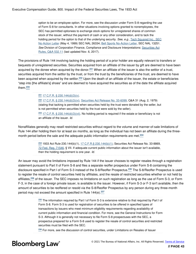option to be an employee option. For more, see the discussion under Form S-8 regarding the use of Form S-8 for consultants. In other situations involving options granted to nonemployees, the SEC has permitted optionees to exchange stock options for unregistered shares of common stock of the issuer, without the payment of cash or any other consideration, and to tack the holding period for the option to that of the underlying security. *See, e.g.*, [Tech Squared Inc., SEC](https://www.bloomberglaw.com/product/bec/document/XAONS7) [No-Action Letter](https://www.bloomberglaw.com/product/bec/document/XAONS7) (May 4, 1999) SEC NAL 26334; [Bell Sports No-Action Letter,](https://www.bloomberglaw.com/product/bec/document/XALTMN) SEC NAL 13251. *See* Division of Corporation Finance, Compliance and Disclosure Interpretations: [Securities Act](http://www.sec.gov/divisions/corpfin/guidance/securitiesactrules-interps.htm#532.11) [Rules, Q&A 532.11](http://www.sec.gov/divisions/corpfin/guidance/securitiesactrules-interps.htm#532.11) (last updated Nov. 6, 2017).

The provisions of Rule 144 involving tacking the holding period of a prior holder are equally relevant to transfers or bequests of unregistered securities. Securities acquired from an affiliate of the issuer by gift are deemed to have been acquired by the donee when acquired by the donor.**[231](#page-43-0)** When an affiliate of the issuer is also the settlor of a trust, securities acquired from the settlor by the trust, or from the trust by the beneficiaries of the trust, are deemed to have been acquired when acquired by the settlor.**[232](#page-43-1)** Upon the death of an affiliate of the issuer, the estate or beneficiaries "step into [the affiliate's] shoes" and are deemed to have acquired the securities as of the date the affiliate acquired them.**[233](#page-43-2)**

#### <span id="page-43-5"></span><span id="page-43-4"></span><span id="page-43-3"></span><span id="page-43-0"></span>**[231](#page-43-3)** [17 C.F.R. § 230.144\(d\)\(3\)\(v\).](https://www.bloomberglaw.com/product/bec/document/1?citation=17%20CFR%20230.144(d)(3)(v)&summary=yes#jcite)

<span id="page-43-2"></span><span id="page-43-1"></span>**[232](#page-43-4)** [17 C.F.R. § 230.144\(d\)\(3\)\(vi\).](https://www.bloomberglaw.com/product/bec/document/1?citation=17%20CFR%20230.144(d)(3)(vi)&summary=yes#jcite) [Securities Act Release No. 33-6099](https://www.bloomberglaw.com/product/blaw/document/XAMT9C), Q&A 31 (Aug. 2, 1979) (stating that tacking is permitted when securities held by the trust were donated by the seller, but is not permitted when securities held by the trust were sold by the seller). **[233](#page-43-5)** [17 C.F.R. § 230.144\(d\)\(3\)\(vii\).](https://www.bloomberglaw.com/product/bec/document/1?citation=17%20CFR%20230.144(d)(3)(vii)&summary=yes#jcite) No holding period is required if the estate or beneficiary is not an affiliate of the issuer. *Id.*

Nonaffiliates generally may resell restricted securities without regard to the volume and manner-of-sale limitations of Rule 144 after holding them for at least six months, as long as the individual has not been an affiliate during the threemonth period before the sale and the adequate public information requirements are met.**[234](#page-43-6)**

> <span id="page-43-10"></span><span id="page-43-7"></span><span id="page-43-6"></span>**[234](#page-43-7)** 1933 Act Rule 230.144(b)(1), [17 C.F.R.§ 230.144\(b\)\(1\)](https://www.bloomberglaw.com/product/bec/document/1?citation=17%20CFR%20230.144(b)(1)&summary=yes#jcite); Securities Act Release No. 33-8869, [72 Fed. Reg. 71546,](https://www.bloomberglaw.com/product/bec/document/1?citation=72%20FR%2071546&summary=yes#jcite) § VII. If adequate current public information about the issuer isn't available, then the holding requirement is one year. *Id.*

<span id="page-43-11"></span>An issuer may avoid the limitations imposed by Rule 144 if the issuer chooses to register resales through a registration statement pursuant to Part II of Form S-8 and files a separate reoffer prospectus under Form S-8 containing the disclosure specified in Part I of Form S-3 instead of the S-8/Reoffer Prospectus.**[235](#page-43-8)** The S-8/Reoffer Prospectus is used to register the resale of control securities held by affiliates, and the resale of restricted securities whether or not held by affiliates,**[236](#page-43-9)** of the issuer. The SEC imposes no limitations on such registration as long as the use of Form S-3, or Form F-3, in the case of a foreign private issuer, is available to the issuer. However, if Form S-3 or F-3 isn't available, then the amount of securities to be reoffered or resold via the S-8/Reoffer Prospectus by any person during any three-month period may not exceed the amount specified in Rule 144(e).**[237](#page-44-0)**

> <span id="page-43-12"></span><span id="page-43-8"></span>**[235](#page-43-10)** The information required by Part I of Form S-3 is extensive relative to that required by Part I of Form S-8. Form S-3 is used for registration of securities to be offered in specified types of transactions by issuers who meet minimum eligibility requirements regarding availability of current public information and financial condition. For more, see the General Instructions for Form S-3. Although it is generally not necessary to file Form S-8 prospectuses with the SEC, a prospectus prepared for a Form S-8 used to register the resale of control securities and restricted securities must be filed with the SEC.

<span id="page-43-9"></span>**[236](#page-43-11)** For more, see the discussion of control securities, under Limitations on Resales of Issuer